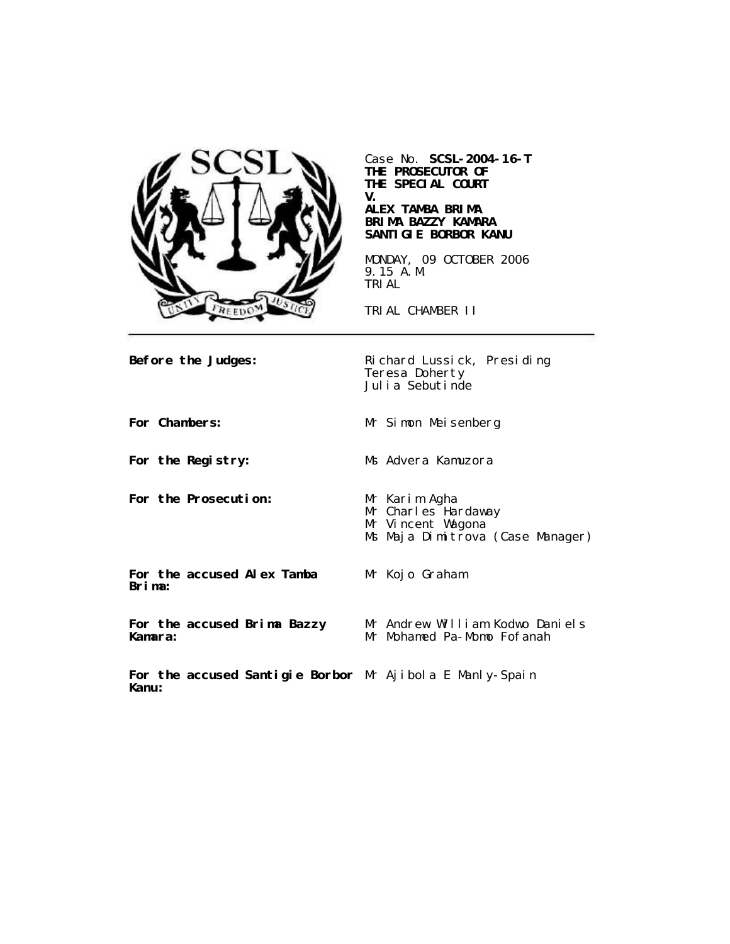

Case No. **SCSL-2004-16-T THE PROSECUTOR OF THE SPECIAL COURT V.**

## **ALEX TAMBA BRIMA BRIMA BAZZY KAMARA SANTIGIE BORBOR KANU**

MONDAY, 09 OCTOBER 2006 9.15 A.M. TRIAL

TRIAL CHAMBER II

**Before the Judges:** Richard Lussick, Presiding Teresa Doherty Julia Sebutinde

**For Chambers:** Mr Simon Meisenberg

**For the Registry:** Ms Advera Kamuzora

**For the Prosecution:** Mr Karim Agha

- Mr Charles Hardaway
- Mr Vincent Wagona

Ms Maja Dimitrova (Case Manager)

**For the accused Alex Tamba Brima:**

**For the accused Brima Bazzy Kamara:**

Mr Kojo Graham

Mr Andrew William Kodwo Daniels Mr Mohamed Pa-Momo Fofanah

**For the accused Santigie Borbor** Mr Ajibola E Manly-Spain**Kanu:**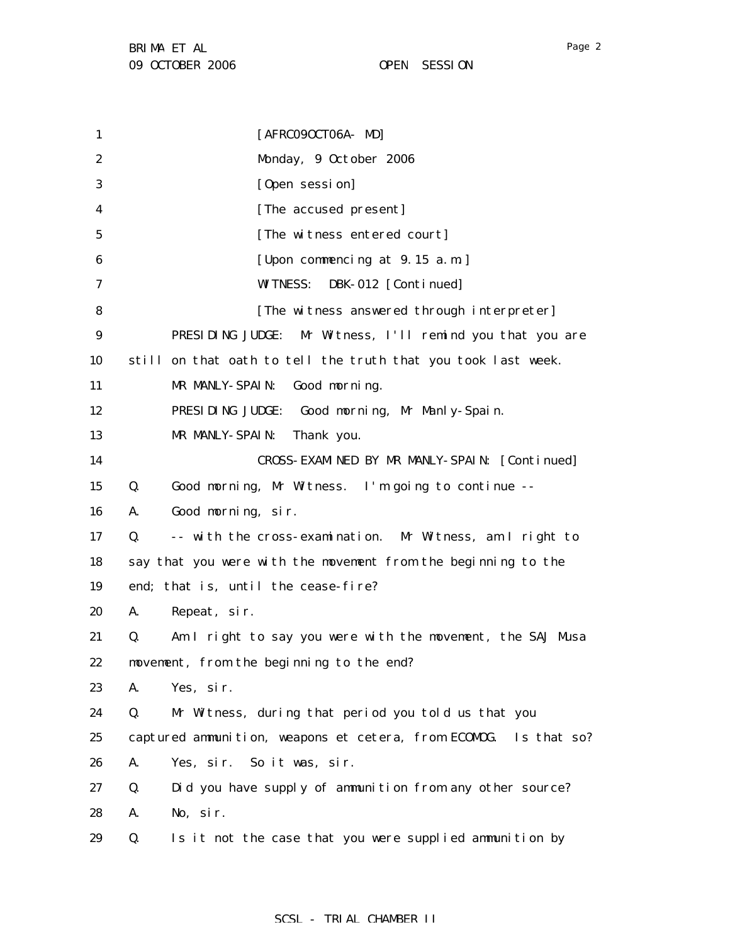1 2 3 4 5 6 7 8 9 10 11 12 13 14 15 16 17 18 19 20 21 22 23 24 25 26 27 28 29 [AFRC090CT06A- MD] Monday, 9 October 2006 [Open session] [The accused present] [The witness entered court] [Upon commencing at 9.15 a.m.] WITNESS: DBK-012 [Continued] [The witness answered through interpreter] PRESIDING JUDGE: Mr Witness, I'll remind you that you are still on that oath to tell the truth that you took last week. MR MANLY-SPAIN: Good morning. PRESIDING JUDGE: Good morning, Mr Manly-Spain. MR MANLY-SPAIN: Thank you. CROSS-EXAMINED BY MR MANLY-SPAIN: [Continued] Q. Good morning, Mr Witness. I'm going to continue -- A. Good morning, sir. Q. -- with the cross-examination. Mr Witness, am I right to say that you were with the movement from the beginning to the end; that is, until the cease-fire? A. Repeat, sir. Q. Am I right to say you were with the movement, the SAJ Musa movement, from the beginning to the end? A. Yes, sir. Q. Mr Witness, during that period you told us that you captured ammunition, weapons et cetera, from ECOMOG. Is that so? A. Yes, sir. So it was, sir. Q. Did you have supply of ammunition from any other source? A. No, sir. Q. Is it not the case that you were supplied ammunition by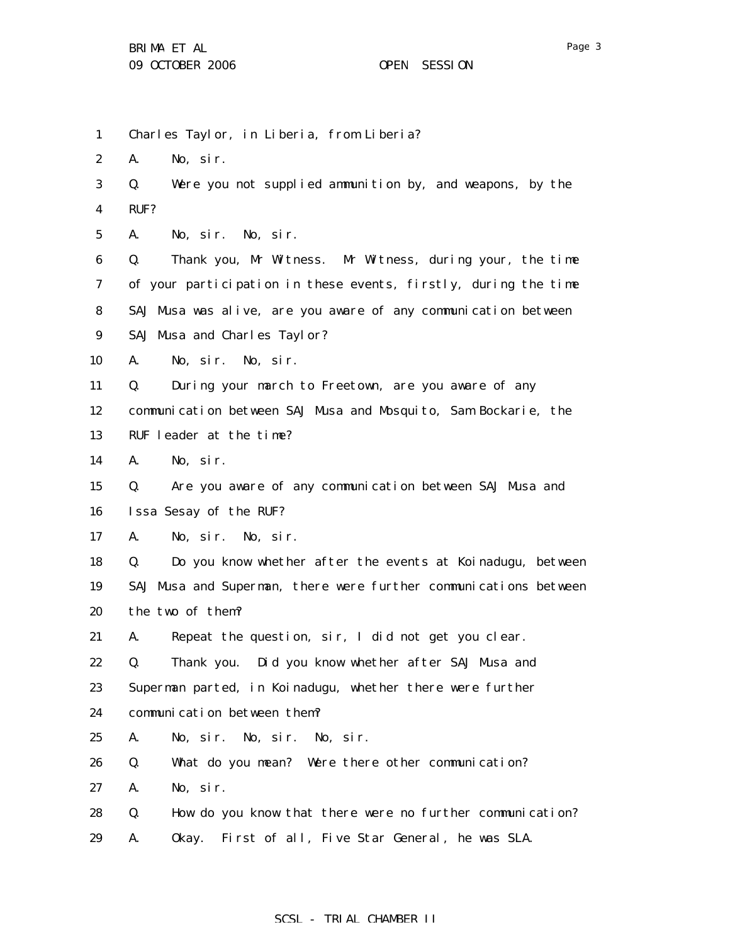| $\mathbf{1}$     |      | Charles Taylor, in Liberia, from Liberia?                        |
|------------------|------|------------------------------------------------------------------|
| $\boldsymbol{2}$ | A.   | No, sir.                                                         |
| 3                | Q.   | Were you not supplied ammunition by, and weapons, by the         |
| $\boldsymbol{4}$ | RUF? |                                                                  |
| $\bf{5}$         | A.   | No, sir. No, sir.                                                |
| 6                | Q.   | Thank you, Mr Witness. Mr Witness, during your, the time         |
| 7                |      | of your participation in these events, firstly, during the time  |
| 8                |      | SAJ Musa was alive, are you aware of any communication between   |
| 9                |      | SAJ Musa and Charles Taylor?                                     |
| 10               | A.   | No, sir. No, sir.                                                |
| 11               | Q.   | During your march to Freetown, are you aware of any              |
| 12               |      | communication between SAJ Musa and Mosquito, Sam Bockarie, the   |
| 13               |      | RUF leader at the time?                                          |
| 14               | A.   | No, sir.                                                         |
| 15               | Q.   | Are you aware of any communication between SAJ Musa and          |
| 16               |      | Issa Sesay of the RUF?                                           |
| 17               | A.   | No, sir. No, sir.                                                |
| 18               | Q.   | Do you know whether after the events at Koinadugu, between       |
| 19               |      | SAJ Musa and Superman, there were further communications between |
| 20               |      | the two of them?                                                 |
| 21               | A.   | Repeat the question, sir, I did not get you clear.               |
| 22               | Q.   | Thank you. Did you know whether after SAJ Musa and               |
| 23               |      | Superman parted, in Koinadugu, whether there were further        |
| 24               |      | communication between them?                                      |
| 25               | A.   | No, sir. No, sir. No, sir.                                       |
| 26               | Q.   | What do you mean? Were there other communication?                |
| 27               | A.   | No, sir.                                                         |
| 28               | Q.   | How do you know that there were no further communication?        |
| 29               | A.   | First of all, Five Star General, he was SLA.<br>0kay.            |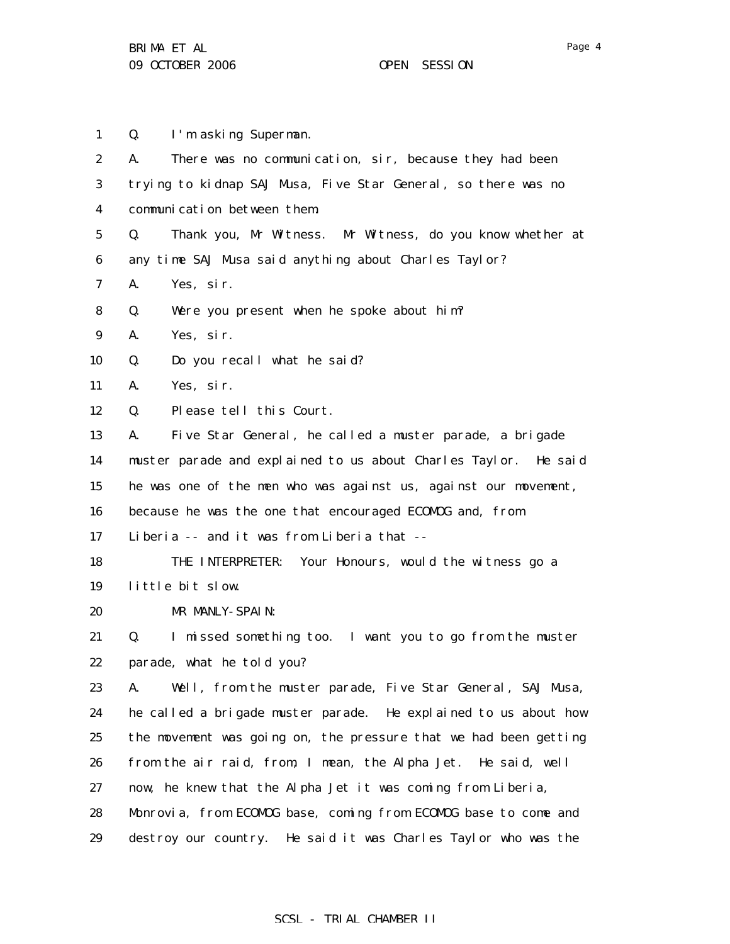1 2 3 4 5 6 7 8 9 10 11 12 13 14 15 16 17 18 19 20 21 22 23 24 25 26 27 28 29 Q. I'm asking Superman. A. There was no communication, sir, because they had been trying to kidnap SAJ Musa, Five Star General, so there was no communication between them. Q. Thank you, Mr Witness. Mr Witness, do you know whether at any time SAJ Musa said anything about Charles Taylor? A. Yes, sir. Q. Were you present when he spoke about him? A. Yes, sir. Q. Do you recall what he said? A. Yes, sir. Q. Please tell this Court. A. Five Star General, he called a muster parade, a brigade muster parade and explained to us about Charles Taylor. He said he was one of the men who was against us, against our movement, because he was the one that encouraged ECOMOG and, from Liberia -- and it was from Liberia that -- THE INTERPRETER: Your Honours, would the witness go a little bit slow. MR MANLY-SPAIN: Q. I missed something too. I want you to go from the muster parade, what he told you? A. Well, from the muster parade, Five Star General, SAJ Musa, he called a brigade muster parade. He explained to us about how the movement was going on, the pressure that we had been getting from the air raid, from, I mean, the Alpha Jet. He said, well now, he knew that the Alpha Jet it was coming from Liberia, Monrovia, from ECOMOG base, coming from ECOMOG base to come and destroy our country. He said it was Charles Taylor who was the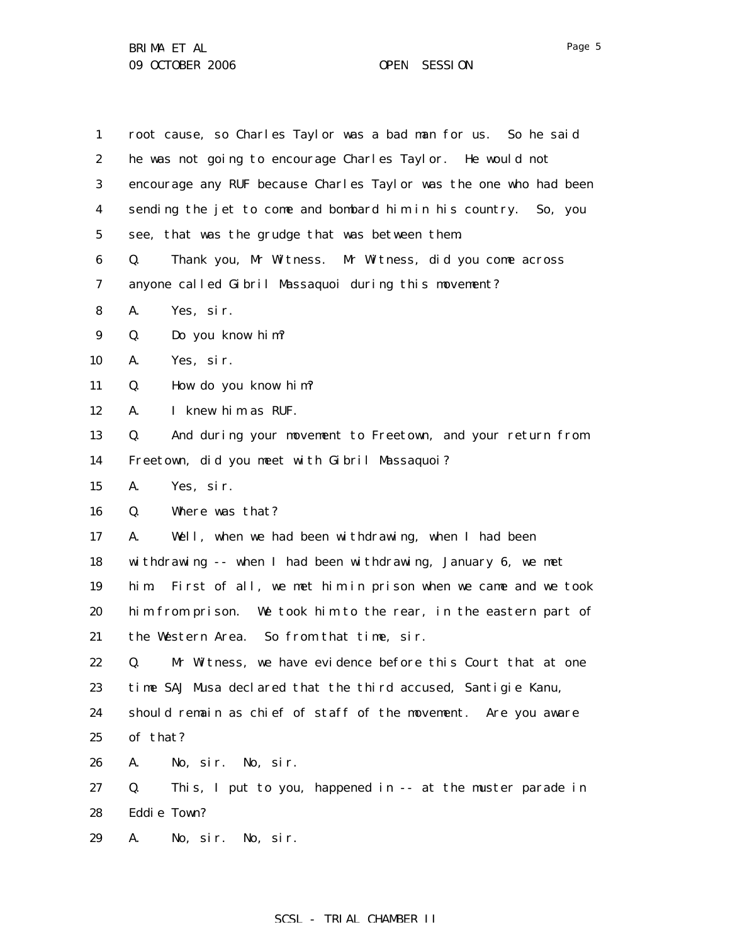| $\mathbf{1}$     | root cause, so Charles Taylor was a bad man for us. So he said      |
|------------------|---------------------------------------------------------------------|
| 2                | he was not going to encourage Charles Taylor. He would not          |
| 3                | encourage any RUF because Charles Taylor was the one who had been   |
| 4                | sending the jet to come and bombard him in his country. So, you     |
| $5\phantom{.0}$  | see, that was the grudge that was between them.                     |
| 6                | Thank you, Mr Witness. Mr Witness, did you come across<br>Q.        |
| $\boldsymbol{7}$ | anyone called Gibril Massaquoi during this movement?                |
| 8                | A.<br>Yes, sir.                                                     |
| $\boldsymbol{9}$ | Q.<br>Do you know him?                                              |
| 10               | Yes, sir.<br>A.                                                     |
| 11               | How do you know him?<br>Q.                                          |
| 12               | A.<br>I knew him as RUF.                                            |
| 13               | And during your movement to Freetown, and your return from<br>Q.    |
| 14               | Freetown, did you meet with Gibril Massaquoi?                       |
| 15               | A.<br>Yes, sir.                                                     |
| 16               | Where was that?<br>Q.                                               |
| 17               | Well, when we had been withdrawing, when I had been<br>A.           |
| 18               | withdrawing -- when I had been withdrawing, January 6, we met       |
| 19               | First of all, we met him in prison when we came and we took<br>hi m |
| 20               | him from prison. We took him to the rear, in the eastern part of    |
| 21               | the Western Area. So from that time, sir.                           |
| 22               | Mr Witness, we have evidence before this Court that at one<br>Q.    |
| 23               | time SAJ Musa declared that the third accused, Santigie Kanu,       |
| 24               | should remain as chief of staff of the movement. Are you aware      |
| 25               | of that?                                                            |
| 26               | A.<br>No, sir. No, sir.                                             |
| 27               | Q.<br>This, I put to you, happened in -- at the muster parade in    |
| 28               | Eddie Town?                                                         |
| 29               | A.<br>No, sir.<br>No, sir.                                          |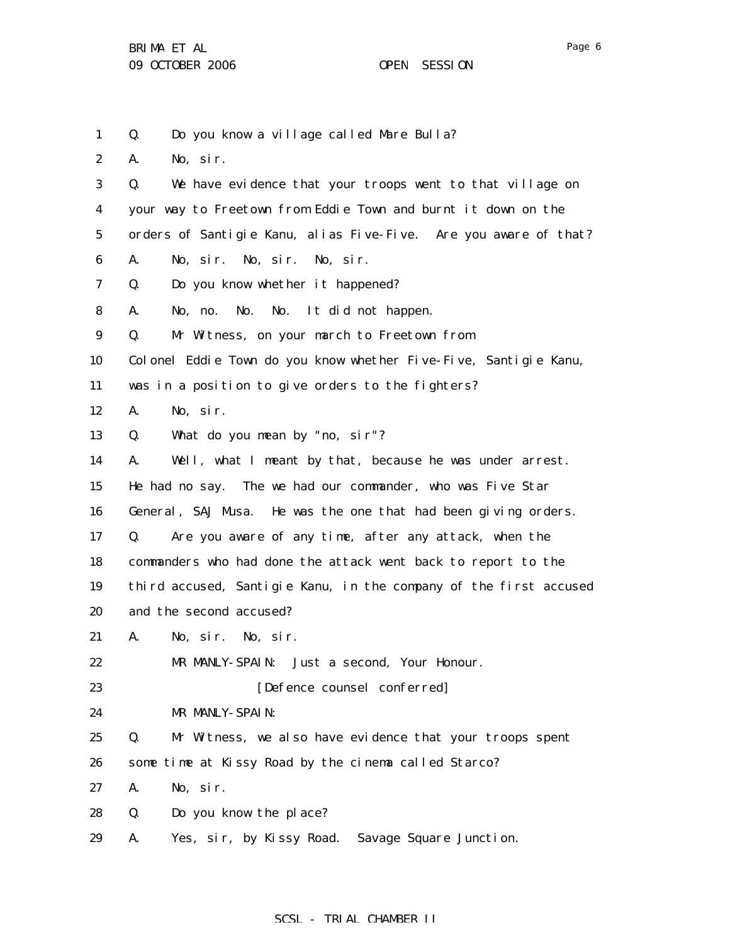Page 6

1 2 3 4 5 6 7 8 9 10 11 12 13 14 15 16 17 18 19 20 21 22 23 24 25 26 27 28 29 Q. Do you know a village called Mare Bulla? A. No, sir. Q. We have evidence that your troops went to that village on your way to Freetown from Eddie Town and burnt it down on the orders of Santigie Kanu, alias Five-Five. Are you aware of that? A. No, sir. No, sir. No, sir. Q. Do you know whether it happened? A. No, no. No. No. It did not happen. Q. Mr Witness, on your march to Freetown from Colonel Eddie Town do you know whether Five-Five, Santigie Kanu, was in a position to give orders to the fighters? A. No, sir. Q. What do you mean by "no, sir"? A. Well, what I meant by that, because he was under arrest. He had no say. The we had our commander, who was Five Star General, SAJ Musa. He was the one that had been giving orders. Q. Are you aware of any time, after any attack, when the commanders who had done the attack went back to report to the third accused, Santigie Kanu, in the company of the first accused and the second accused? A. No, sir. No, sir. MR MANLY-SPAIN: Just a second, Your Honour. [Defence counsel conferred] MR MANLY-SPAIN: Q. Mr Witness, we also have evidence that your troops spent some time at Kissy Road by the cinema called Starco? A. No, sir. Q. Do you know the place? A. Yes, sir, by Kissy Road. Savage Square Junction.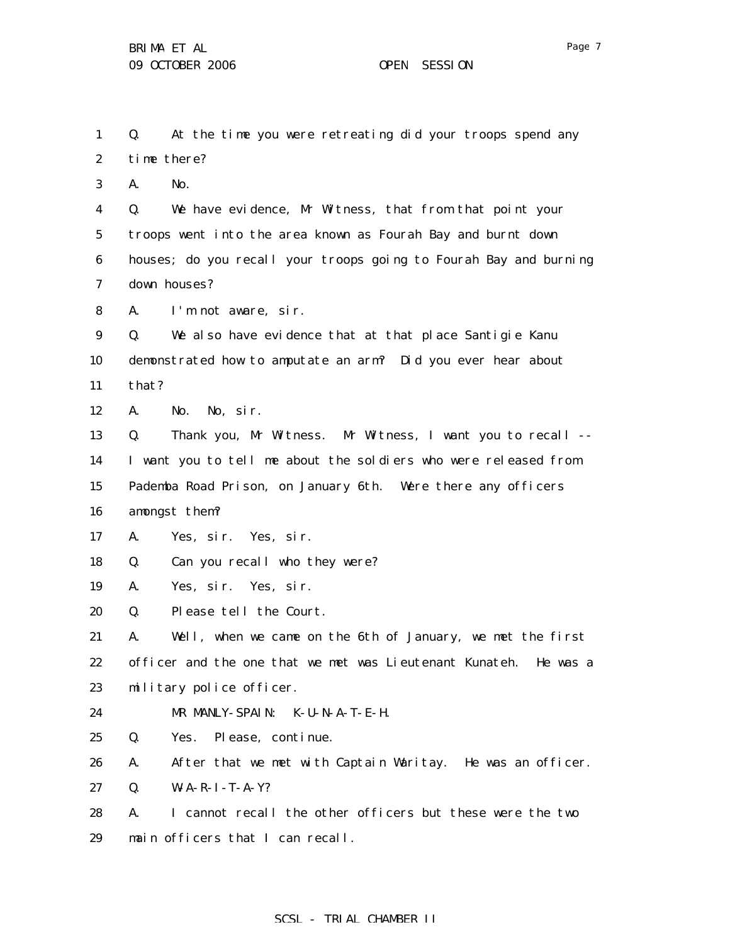1 2 3 4 5 6 7 8 9 10 11 12 13 14 15 16 17 18 19 20 21 22 23 24 25 26 27 28 Q. At the time you were retreating did your troops spend any time there? A. No. Q. We have evidence, Mr Witness, that from that point your troops went into the area known as Fourah Bay and burnt down houses; do you recall your troops going to Fourah Bay and burning down houses? A. I'm not aware, sir. Q. We also have evidence that at that place Santigie Kanu demonstrated how to amputate an arm? Did you ever hear about that? A. No. No, sir. Q. Thank you, Mr Witness. Mr Witness, I want you to recall -- I want you to tell me about the soldiers who were released from Pademba Road Prison, on January 6th. Were there any officers amongst them? A. Yes, sir. Yes, sir. Q. Can you recall who they were? A. Yes, sir. Yes, sir. Q. Please tell the Court. A. Well, when we came on the 6th of January, we met the first officer and the one that we met was Lieutenant Kunateh. He was a military police officer. MR MANLY-SPAIN: K-U-N-A-T-E-H. Q. Yes. Please, continue. A. After that we met with Captain Waritay. He was an officer. Q. W-A-R-I-T-A-Y? A. I cannot recall the other officers but these were the two

29 main officers that I can recall.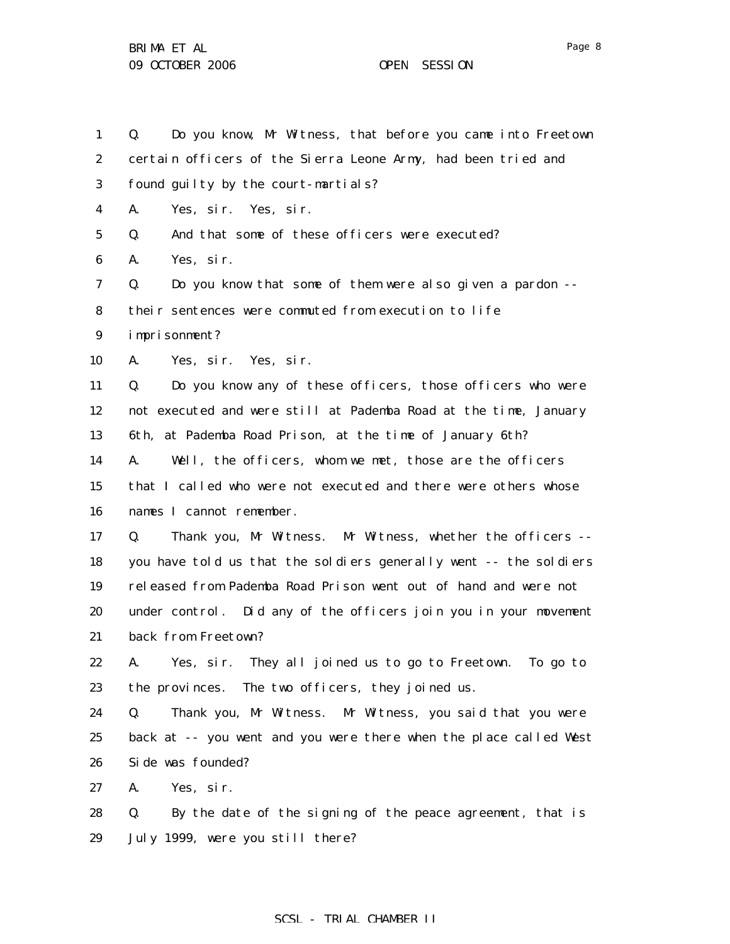29

1 2 3 4 5 6 7 8 9 10 11 12 13 14 15 16 17 18 19 20 21 22 23 24 25 26 27 28 Q. Do you know, Mr Witness, that before you came into Freetown certain officers of the Sierra Leone Army, had been tried and found guilty by the court-martials? A. Yes, sir. Yes, sir. Q. And that some of these officers were executed? A. Yes, sir. Q. Do you know that some of them were also given a pardon - their sentences were commuted from execution to life imprisonment? A. Yes, sir. Yes, sir. Q. Do you know any of these officers, those officers who were not executed and were still at Pademba Road at the time, January 6th, at Pademba Road Prison, at the time of January 6th? A. Well, the officers, whom we met, those are the officers that I called who were not executed and there were others whose names I cannot remember. Q. Thank you, Mr Witness. Mr Witness, whether the officers - you have told us that the soldiers generally went -- the soldiers released from Pademba Road Prison went out of hand and were not under control. Did any of the officers join you in your movement back from Freetown? A. Yes, sir. They all joined us to go to Freetown. To go to the provinces. The two officers, they joined us. Q. Thank you, Mr Witness. Mr Witness, you said that you were back at -- you went and you were there when the place called West Side was founded? A. Yes, sir. Q. By the date of the signing of the peace agreement, that is

## SCSL - TRIAL CHAMBER II

July 1999, were you still there?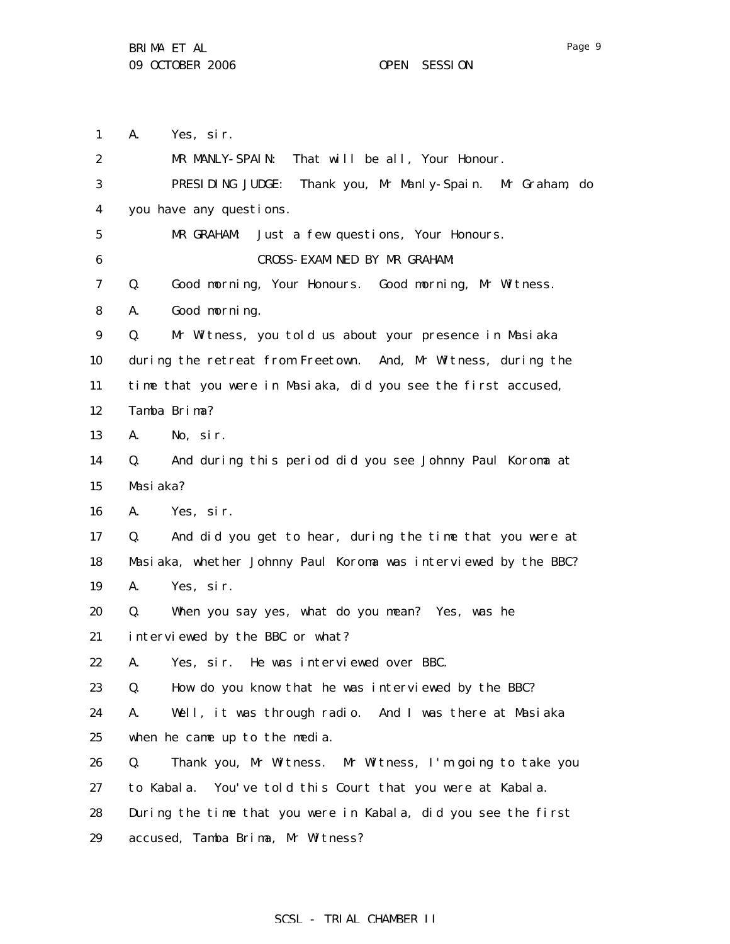1 2 3 4 5 6 7 8 9 10 11 12 13 14 15 16 17 18 19 20 21 22 23 24 25 26 27 28 A. Yes, sir. MR MANLY-SPAIN: That will be all, Your Honour. PRESIDING JUDGE: Thank you, Mr Manly-Spain. Mr Graham, do you have any questions. MR GRAHAM: Just a few questions, Your Honours. CROSS-EXAMINED BY MR GRAHAM: Q. Good morning, Your Honours. Good morning, Mr Witness. A. Good morning. Q. Mr Witness, you told us about your presence in Masiaka during the retreat from Freetown. And, Mr Witness, during the time that you were in Masiaka, did you see the first accused, Tamba Brima? A. No, sir. Q. And during this period did you see Johnny Paul Koroma at Masiaka? A. Yes, sir. Q. And did you get to hear, during the time that you were at Masiaka, whether Johnny Paul Koroma was interviewed by the BBC? A. Yes, sir. Q. When you say yes, what do you mean? Yes, was he interviewed by the BBC or what? A. Yes, sir. He was interviewed over BBC. Q. How do you know that he was interviewed by the BBC? A. Well, it was through radio. And I was there at Masiaka when he came up to the media. Q. Thank you, Mr Witness. Mr Witness, I'm going to take you to Kabala. You've told this Court that you were at Kabala. During the time that you were in Kabala, did you see the first

29 accused, Tamba Brima, Mr Witness?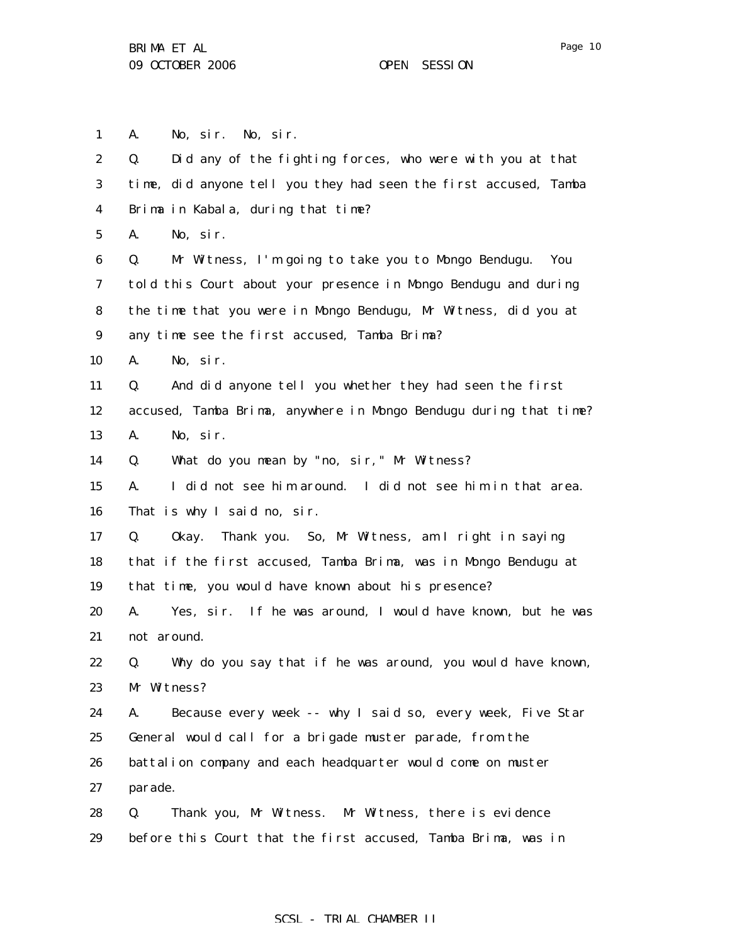1 2 3 4 5 6 7 8 9 10 11 12 13 14 15 16 17 18 19 20 21 22 23 24 25 26 27 28 29 A. No, sir. No, sir. Q. Did any of the fighting forces, who were with you at that time, did anyone tell you they had seen the first accused, Tamba Brima in Kabala, during that time? A. No, sir. Q. Mr Witness, I'm going to take you to Mongo Bendugu. You told this Court about your presence in Mongo Bendugu and during the time that you were in Mongo Bendugu, Mr Witness, did you at any time see the first accused, Tamba Brima? A. No, sir. Q. And did anyone tell you whether they had seen the first accused, Tamba Brima, anywhere in Mongo Bendugu during that time? A. No, sir. Q. What do you mean by "no, sir," Mr Witness? A. I did not see him around. I did not see him in that area. That is why I said no, sir. Q. Okay. Thank you. So, Mr Witness, am I right in saying that if the first accused, Tamba Brima, was in Mongo Bendugu at that time, you would have known about his presence? A. Yes, sir. If he was around, I would have known, but he was not around. Q. Why do you say that if he was around, you would have known, Mr Witness? A. Because every week -- why I said so, every week, Five Star General would call for a brigade muster parade, from the battalion company and each headquarter would come on muster parade. Q. Thank you, Mr Witness. Mr Witness, there is evidence before this Court that the first accused, Tamba Brima, was in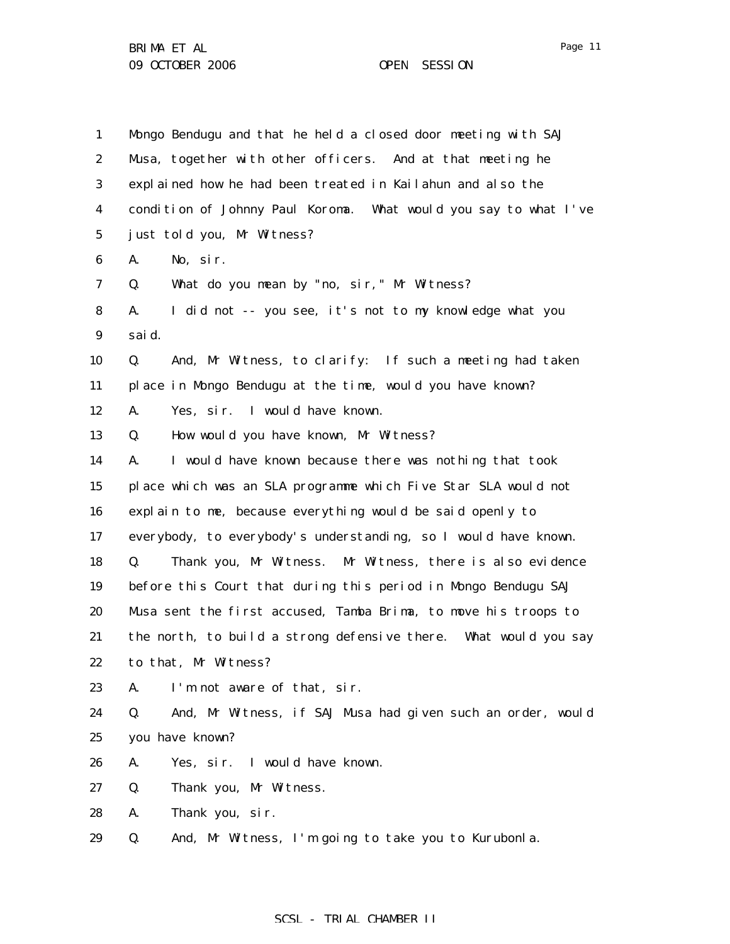| $\mathbf{1}$     | Mongo Bendugu and that he held a closed door meeting with SAJ     |
|------------------|-------------------------------------------------------------------|
| $\boldsymbol{2}$ | Musa, together with other officers. And at that meeting he        |
| 3                | explained how he had been treated in Kailahun and also the        |
| 4                | condition of Johnny Paul Koroma. What would you say to what I've  |
| $\bf{5}$         | just told you, Mr Witness?                                        |
| 6                | A.<br>No, sir.                                                    |
| 7                | What do you mean by "no, sir," Mr Witness?<br>Q.                  |
| 8                | A.<br>I did not -- you see, it's not to my knowledge what you     |
| $\boldsymbol{9}$ | sai d.                                                            |
| 10               | And, Mr Witness, to clarify: If such a meeting had taken<br>Q.    |
| 11               | place in Mongo Bendugu at the time, would you have known?         |
| 12               | Yes, sir. I would have known.<br>A.                               |
| 13               | How would you have known, Mr Witness?<br>Q.                       |
| 14               | I would have known because there was nothing that took<br>A.      |
| 15               | place which was an SLA programme which Five Star SLA would not    |
| 16               | explain to me, because everything would be said openly to         |
| 17               | everybody, to everybody's understanding, so I would have known.   |
| 18               | Thank you, Mr Witness. Mr Witness, there is also evidence<br>Q.   |
| 19               | before this Court that during this period in Mongo Bendugu SAJ    |
| 20               | Musa sent the first accused, Tamba Brima, to move his troops to   |
| 21               | the north, to build a strong defensive there. What would you say  |
| 22               | to that, Mr Witness?                                              |
| 23               | A.<br>I'm not aware of that, sir.                                 |
| 24               | And, Mr Witness, if SAJ Musa had given such an order, would<br>Q. |
| 25               | you have known?                                                   |
| 26               | A.<br>Yes, sir.<br>I would have known.                            |
| 27               | Q.<br>Thank you, Mr Witness.                                      |
| 28               | A.<br>Thank you, sir.                                             |
| 29               | And, Mr Witness, I'm going to take you to Kurubonla.<br>Q.        |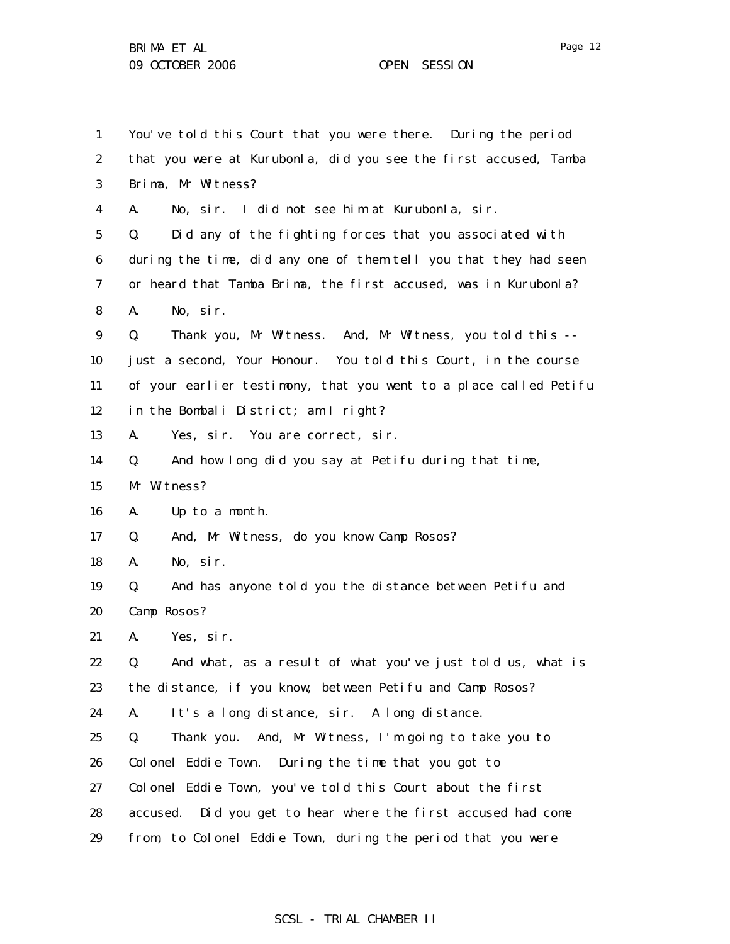1 2 3 4 5 6 7 8 9 10 11 12 13 14 15 16 17 18 19 20 21 22 23 24 25 26 27 28 You've told this Court that you were there. During the period that you were at Kurubonla, did you see the first accused, Tamba Brima, Mr Witness? A. No, sir. I did not see him at Kurubonla, sir. Q. Did any of the fighting forces that you associated with during the time, did any one of them tell you that they had seen or heard that Tamba Brima, the first accused, was in Kurubonla? A. No, sir. Q. Thank you, Mr Witness. And, Mr Witness, you told this - just a second, Your Honour. You told this Court, in the course of your earlier testimony, that you went to a place called Petifu in the Bombali District; am I right? A. Yes, sir. You are correct, sir. Q. And how long did you say at Petifu during that time, Mr Witness? A. Up to a month. Q. And, Mr Witness, do you know Camp Rosos? A. No, sir. Q. And has anyone told you the distance between Petifu and Camp Rosos? A. Yes, sir. Q. And what, as a result of what you've just told us, what is the distance, if you know, between Petifu and Camp Rosos? A. It's a long distance, sir. A long distance. Q. Thank you. And, Mr Witness, I'm going to take you to Colonel Eddie Town. During the time that you got to Colonel Eddie Town, you've told this Court about the first accused. Did you get to hear where the first accused had come

29 from, to Colonel Eddie Town, during the period that you were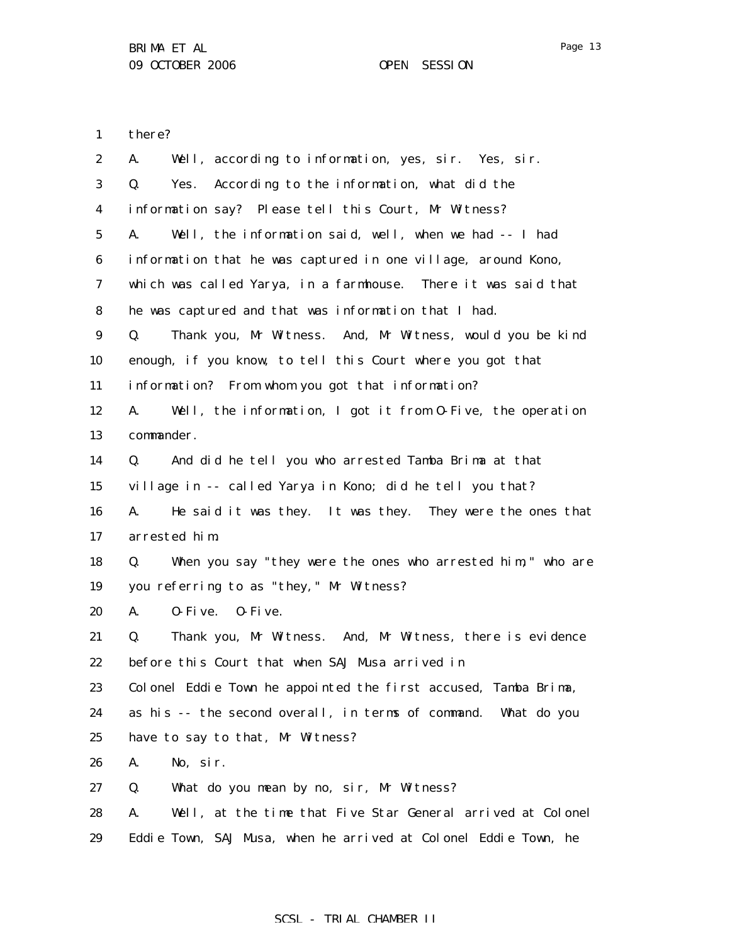Page 13

1 there?

| $\boldsymbol{2}$ | Well, according to information, yes, sir. Yes, sir.<br>A.         |
|------------------|-------------------------------------------------------------------|
| 3                | Yes. According to the information, what did the<br>Q.             |
| $\boldsymbol{4}$ | information say? Please tell this Court, Mr Witness?              |
| $5\phantom{.0}$  | Well, the information said, well, when we had -- I had<br>A.      |
| 6                | information that he was captured in one village, around Kono,     |
| 7                | which was called Yarya, in a farmhouse. There it was said that    |
| 8                | he was captured and that was information that I had.              |
| $\boldsymbol{9}$ | Thank you, Mr Witness. And, Mr Witness, would you be kind<br>Q.   |
| 10               | enough, if you know, to tell this Court where you got that        |
| 11               | information? From whom you got that information?                  |
| 12               | Well, the information, I got it from 0-Five, the operation<br>A.  |
| 13               | commander.                                                        |
| 14               | And did he tell you who arrested Tamba Brima at that<br>Q.        |
| 15               | village in -- called Yarya in Kono; did he tell you that?         |
| 16               | A.<br>He said it was they. It was they. They were the ones that   |
| 17               | arrested him.                                                     |
| 18               | When you say "they were the ones who arrested him," who are<br>Q. |
| 19               | you referring to as "they," Mr Witness?                           |
| 20               | A.<br>$0$ -Five. $0$ -Five.                                       |
| 21               | Thank you, Mr Witness. And, Mr Witness, there is evidence<br>Q.   |
| 22               | before this Court that when SAJ Musa arrived in                   |
| 23               | Colonel Eddie Town he appointed the first accused, Tamba Brima,   |
| 24               | as his -- the second overall, in terms of command. What do you    |
| 25               | have to say to that, Mr Witness?                                  |
| 26               | A.<br>No, sir.                                                    |
| 27               | Q.<br>What do you mean by no, sir, Mr Witness?                    |
| 28               | Well, at the time that Five Star General arrived at Colonel<br>A. |
| 29               | Eddie Town, SAJ Musa, when he arrived at Colonel Eddie Town, he   |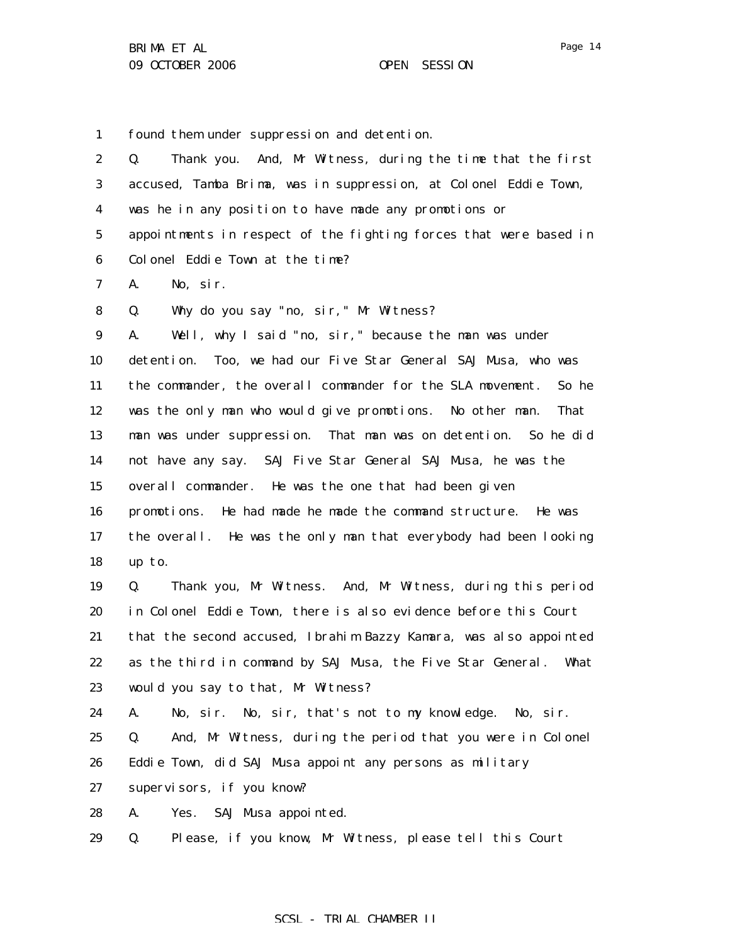1 found them under suppression and detention.

| $\boldsymbol{2}$ | Thank you. And, Mr Witness, during the time that the first<br>Q.    |
|------------------|---------------------------------------------------------------------|
| 3                | accused, Tamba Brima, was in suppression, at Colonel Eddie Town,    |
| 4                | was he in any position to have made any promotions or               |
| $\bf{5}$         | appointments in respect of the fighting forces that were based in   |
| 6                | Colonel Eddie Town at the time?                                     |
| 7                | A.<br>No, sir.                                                      |
| 8                | Why do you say "no, sir," Mr Witness?<br>Q.                         |
| $\boldsymbol{9}$ | Well, why I said "no, sir," because the man was under<br>A.         |
| 10               | detention. Too, we had our Five Star General SAJ Musa, who was      |
| 11               | the commander, the overall commander for the SLA movement.<br>So he |
| 12               | was the only man who would give promotions. No other man.<br>That   |
| 13               | man was under suppression. That man was on detention. So he did     |
| 14               | not have any say. SAJ Five Star General SAJ Musa, he was the        |
| 15               | overall commander. He was the one that had been given               |
| 16               | promotions. He had made he made the command structure. He was       |
| 17               | the overall. He was the only man that everybody had been looking    |
| 18               | up to.                                                              |
| 19               | Thank you, Mr Witness. And, Mr Witness, during this period<br>Q.    |
| 20               | in Colonel Eddie Town, there is also evidence before this Court     |
| 21               | that the second accused, Ibrahim Bazzy Kamara, was also appointed   |
| 22               | as the third in command by SAJ Musa, the Five Star General.<br>What |
| 23               | would you say to that, Mr Witness?                                  |
| 24               | No, sir. No, sir, that's not to my knowledge. No, sir.<br>A.        |
| 25               | Q.<br>And, Mr Witness, during the period that you were in Colonel   |
| 26               | Eddie Town, did SAJ Musa appoint any persons as military            |
| 27               | supervisors, if you know?                                           |
| 28               | SAJ Musa appointed.<br>A.<br>Yes.                                   |
|                  |                                                                     |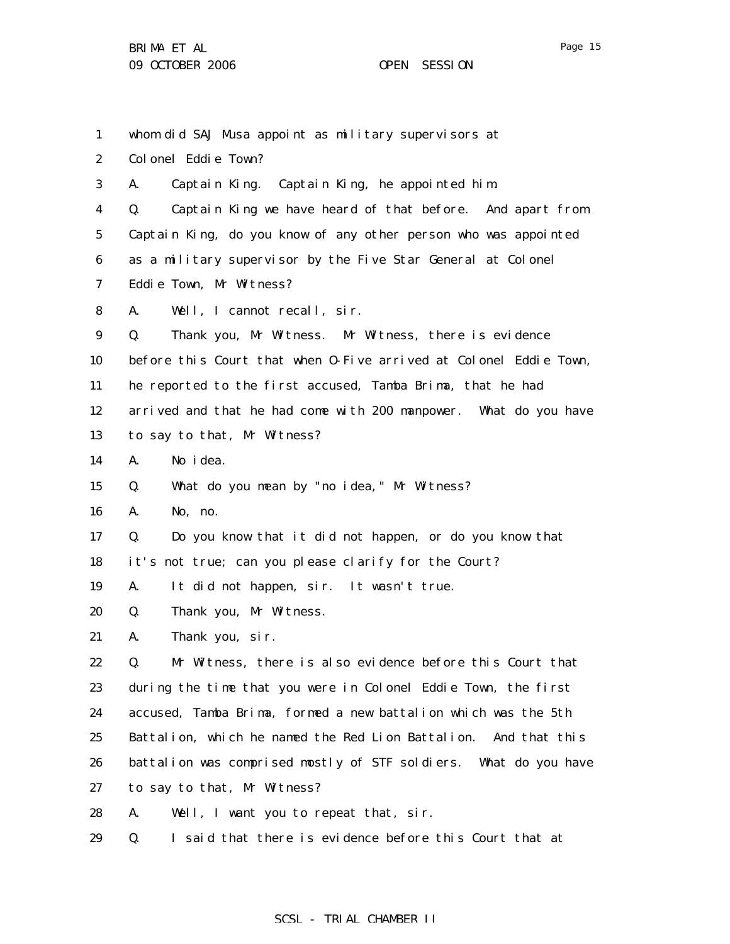whom did SAJ Musa appoint as military supervisors at

2 Colonel Eddie Town?

1

3 A. Captain King. Captain King, he appointed him.

4 5 6 7 Q. Captain King we have heard of that before. And apart from Captain King, do you know of any other person who was appointed as a military supervisor by the Five Star General at Colonel Eddie Town, Mr Witness?

8 A. Well, I cannot recall, sir.

9 Q. Thank you, Mr Witness. Mr Witness, there is evidence

10 before this Court that when O-Five arrived at Colonel Eddie Town,

11 he reported to the first accused, Tamba Brima, that he had

12 arrived and that he had come with 200 manpower. What do you have

13 to say to that, Mr Witness?

14 A. No idea.

15 Q. What do you mean by "no idea," Mr Witness?

16 A. No, no.

17 Q. Do you know that it did not happen, or do you know that

18 it's not true; can you please clarify for the Court?

19 A. It did not happen, sir. It wasn't true.

20 Q. Thank you, Mr Witness.

21 A. Thank you, sir.

22 23 24 25 26 27 Q. Mr Witness, there is also evidence before this Court that during the time that you were in Colonel Eddie Town, the first accused, Tamba Brima, formed a new battalion which was the 5th Battalion, which he named the Red Lion Battalion. And that this battalion was comprised mostly of STF soldiers. What do you have to say to that, Mr Witness?

28 A. Well, I want you to repeat that, sir.

29 Q. I said that there is evidence before this Court that at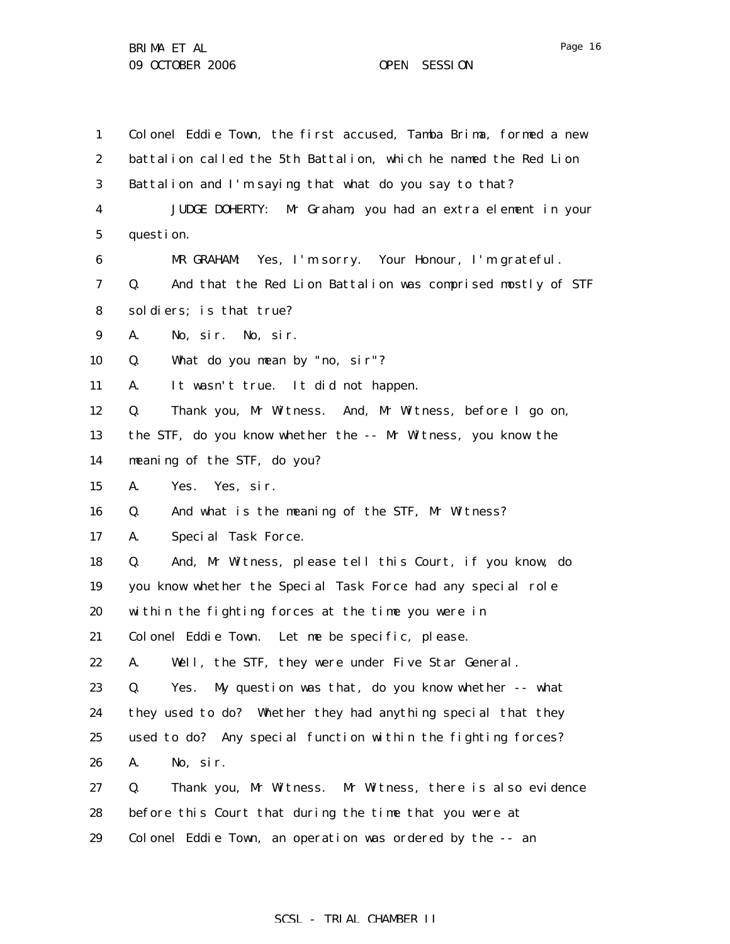1 2 3 4 5 6 7 8 9 10 11 12 13 14 15 16 17 18 19 20 21 22 23 24 25 26 27 28 29 Colonel Eddie Town, the first accused, Tamba Brima, formed a new battalion called the 5th Battalion, which he named the Red Lion Battalion and I'm saying that what do you say to that? JUDGE DOHERTY: Mr Graham, you had an extra element in your question. MR GRAHAM: Yes, I'm sorry. Your Honour, I'm grateful. Q. And that the Red Lion Battalion was comprised mostly of STF soldiers; is that true? A. No, sir. No, sir. Q. What do you mean by "no, sir"? A. It wasn't true. It did not happen. Q. Thank you, Mr Witness. And, Mr Witness, before I go on, the STF, do you know whether the -- Mr Witness, you know the meaning of the STF, do you? A. Yes. Yes, sir. Q. And what is the meaning of the STF, Mr Witness? A. Special Task Force. Q. And, Mr Witness, please tell this Court, if you know, do you know whether the Special Task Force had any special role within the fighting forces at the time you were in Colonel Eddie Town. Let me be specific, please. A. Well, the STF, they were under Five Star General. Q. Yes. My question was that, do you know whether -- what they used to do? Whether they had anything special that they used to do? Any special function within the fighting forces? A. No, sir. Q. Thank you, Mr Witness. Mr Witness, there is also evidence before this Court that during the time that you were at Colonel Eddie Town, an operation was ordered by the -- an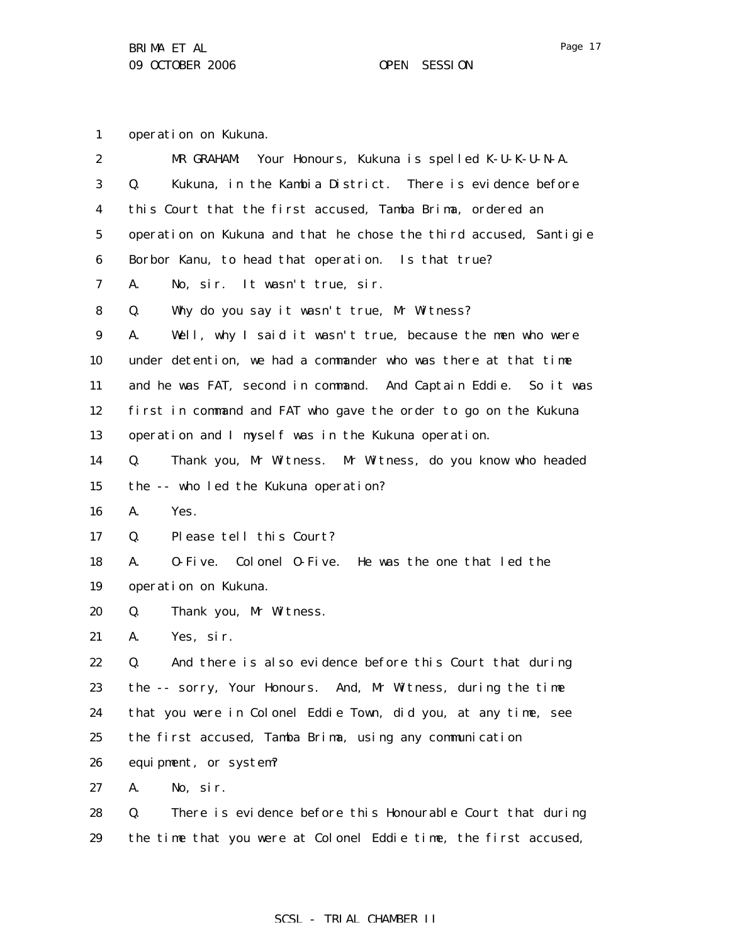1 operation on Kukuna.

| $\boldsymbol{2}$ | Your Honours, Kukuna is spelled K-U-K-U-N-A.<br>MR GRAHAM:        |
|------------------|-------------------------------------------------------------------|
| 3                | Kukuna, in the Kambia District. There is evidence before<br>Q.    |
| 4                | this Court that the first accused, Tamba Brima, ordered an        |
| $\bf 5$          | operation on Kukuna and that he chose the third accused, Santigie |
| 6                | Borbor Kanu, to head that operation. Is that true?                |
| 7                | A.<br>No, sir. It wasn't true, sir.                               |
| 8                | Why do you say it wasn't true, Mr Witness?<br>Q.                  |
| $\boldsymbol{9}$ | Well, why I said it wasn't true, because the men who were<br>A.   |
| 10               | under detention, we had a commander who was there at that time    |
| 11               | and he was FAT, second in command. And Captain Eddie. So it was   |
| 12               | first in command and FAT who gave the order to go on the Kukuna   |
| 13               | operation and I myself was in the Kukuna operation.               |
| 14               | Thank you, Mr Witness. Mr Witness, do you know who headed<br>Q.   |
| 15               | the -- who led the Kukuna operation?                              |
| 16               | A.<br>Yes.                                                        |
| 17               | Please tell this Court?<br>Q.                                     |
| 18               | 0-Five. Colonel 0-Five. He was the one that led the<br>A.         |
| 19               | operation on Kukuna.                                              |
| 20               | Thank you, Mr Witness.<br>Q.                                      |
| 21               | Yes, sir.<br>A.                                                   |
| 22               | And there is also evidence before this Court that during<br>Q.    |
| 23               | the -- sorry, Your Honours. And, Mr Witness, during the time      |
| 24               | that you were in Colonel Eddie Town, did you, at any time, see    |
| 25               | the first accused, Tamba Brima, using any communication           |
| 26               | equipment, or system?                                             |
| 27               | No, sir.<br>A.                                                    |
| 28               | Q.<br>There is evidence before this Honourable Court that during  |
| 29               | the time that you were at Colonel Eddie time, the first accused,  |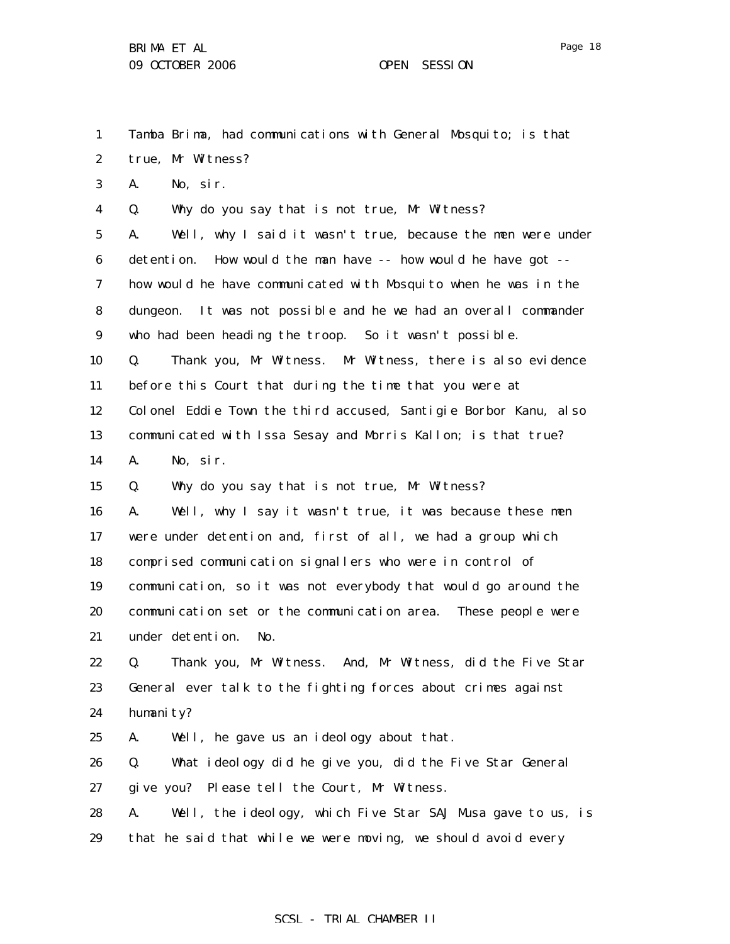true, Mr Witness?

A. No, sir.

A. No, sir.

1

2

3

4

5

6

7

8

9

10

11

12

13

14

15

16

17

18

Tamba Brima, had communications with General Mosquito; is that Q. Why do you say that is not true, Mr Witness? A. Well, why I said it wasn't true, because the men were under detention. How would the man have -- how would he have got - how would he have communicated with Mosquito when he was in the dungeon. It was not possible and he we had an overall commander who had been heading the troop. So it wasn't possible. Q. Thank you, Mr Witness. Mr Witness, there is also evidence before this Court that during the time that you were at Colonel Eddie Town the third accused, Santigie Borbor Kanu, also communicated with Issa Sesay and Morris Kallon; is that true? Q. Why do you say that is not true, Mr Witness? A. Well, why I say it wasn't true, it was because these men were under detention and, first of all, we had a group which comprised communication signallers who were in control of

19 20 21 communication, so it was not everybody that would go around the communication set or the communication area. These people were under detention. No.

22 23 24 Q. Thank you, Mr Witness. And, Mr Witness, did the Five Star General ever talk to the fighting forces about crimes against humanity?

25 A. Well, he gave us an ideology about that.

26 27 Q. What ideology did he give you, did the Five Star General give you? Please tell the Court, Mr Witness.

28 29 A. Well, the ideology, which Five Star SAJ Musa gave to us, is that he said that while we were moving, we should avoid every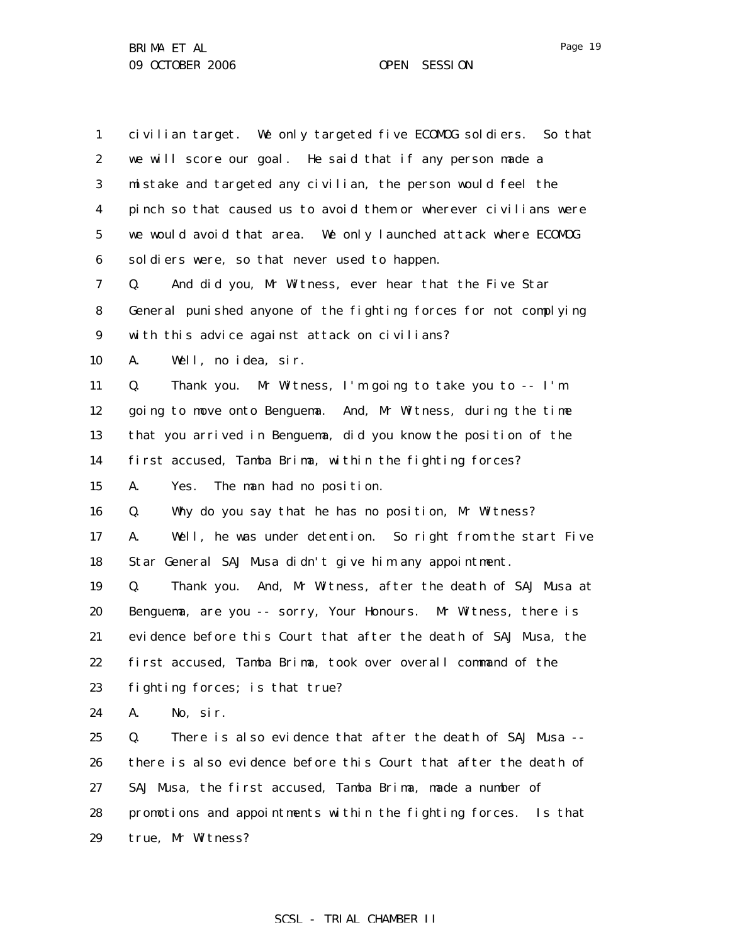| $\mathbf{1}$     | civilian target. We only targeted five ECOMDG soldiers. So that    |
|------------------|--------------------------------------------------------------------|
| $\boldsymbol{2}$ | we will score our goal. He said that if any person made a          |
| 3                | mistake and targeted any civilian, the person would feel the       |
| $\boldsymbol{4}$ | pinch so that caused us to avoid them or wherever civilians were   |
| $\mathbf 5$      | we would avoid that area. We only launched attack where ECOMDG     |
| $\boldsymbol{6}$ | soldiers were, so that never used to happen.                       |
| 7                | And did you, Mr Witness, ever hear that the Five Star<br>Q.        |
| 8                | General punished anyone of the fighting forces for not complying   |
| $\boldsymbol{9}$ | with this advice against attack on civilians?                      |
| 10               | Well, no idea, sir.<br>А.                                          |
| 11               | Thank you. Mr Witness, I'm going to take you to -- I'm<br>Q.       |
| 12               | going to move onto Benguema. And, Mr Witness, during the time      |
| 13               | that you arrived in Benguema, did you know the position of the     |
| 14               | first accused, Tamba Brima, within the fighting forces?            |
| 15               | A.<br>Yes. The man had no position.                                |
| 16               | Why do you say that he has no position, Mr Witness?<br>Q.          |
| 17               | Well, he was under detention. So right from the start Five<br>A.   |
| 18               | Star General SAJ Musa didn't give him any appointment.             |
| 19               | Thank you. And, Mr Witness, after the death of SAJ Musa at<br>Q.   |
| 20               | Benguema, are you -- sorry, Your Honours. Mr Witness, there is     |
| 21               | evidence before this Court that after the death of SAJ Musa, the   |
| 22               | first accused, Tamba Brima, took over overall command of the       |
| 23               | fighting forces; is that true?                                     |
| 24               | No, sir.<br>A.                                                     |
| 25               | There is also evidence that after the death of SAJ Musa --<br>Q.   |
| 26               | there is also evidence before this Court that after the death of   |
| 27               | SAJ Musa, the first accused, Tamba Brima, made a number of         |
| 28               | promotions and appointments within the fighting forces.<br>Is that |
| 29               | true, Mr Witness?                                                  |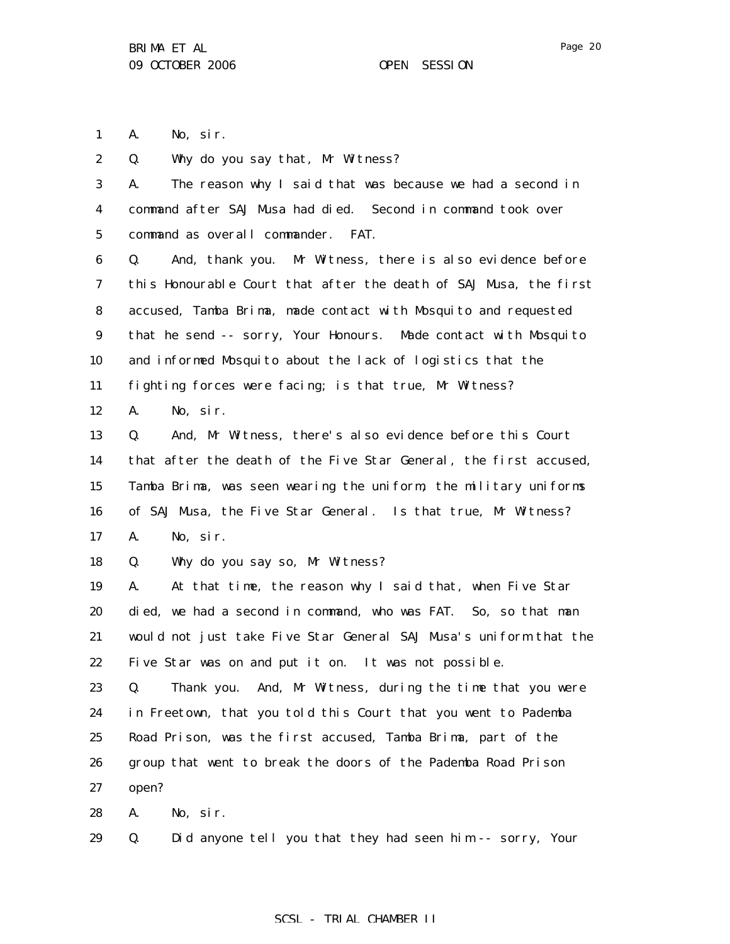Page 20

1 A. No, sir.

2 Q. Why do you say that, Mr Witness?

| 3           | The reason why I said that was because we had a second in<br>A.   |
|-------------|-------------------------------------------------------------------|
| 4           | command after SAJ Musa had died. Second in command took over      |
| $\mathbf 5$ | command as overall commander.<br>FAT.                             |
| 6           | And, thank you. Mr Witness, there is also evidence before<br>Q.   |
| 7           | this Honourable Court that after the death of SAJ Musa, the first |
| 8           | accused, Tamba Brima, made contact with Mosquito and requested    |
| 9           | that he send -- sorry, Your Honours. Made contact with Mosquito   |
| 10          | and informed Mosquito about the lack of logistics that the        |
| 11          | fighting forces were facing; is that true, Mr Witness?            |
| 12          | A.<br>No, sir.                                                    |
| 13          | And, Mr Witness, there's also evidence before this Court<br>Q.    |
| 14          | that after the death of the Five Star General, the first accused, |
| 15          | Tamba Brima, was seen wearing the uniform, the military uniforms  |
| 16          | of SAJ Musa, the Five Star General. Is that true, Mr Witness?     |
| 17          | A.<br>No, sir.                                                    |
| 18          | Why do you say so, Mr Witness?<br>Q.                              |
| 19          | At that time, the reason why I said that, when Five Star<br>A.    |
| 20          | died, we had a second in command, who was FAT. So, so that man    |
| 21          | would not just take Five Star General SAJ Musa's uniform that the |
| 22          | Five Star was on and put it on. It was not possible.              |
| 23          | Thank you. And, Mr Witness, during the time that you were<br>Q.   |
| 24          | in Freetown, that you told this Court that you went to Pademba    |
| 25          | Road Prison, was the first accused, Tamba Brima, part of the      |
| 26          | group that went to break the doors of the Pademba Road Prison     |
| 27          | open?                                                             |
| 28          | No, sir.<br>A.                                                    |

29 Q. Did anyone tell you that they had seen him -- sorry, Your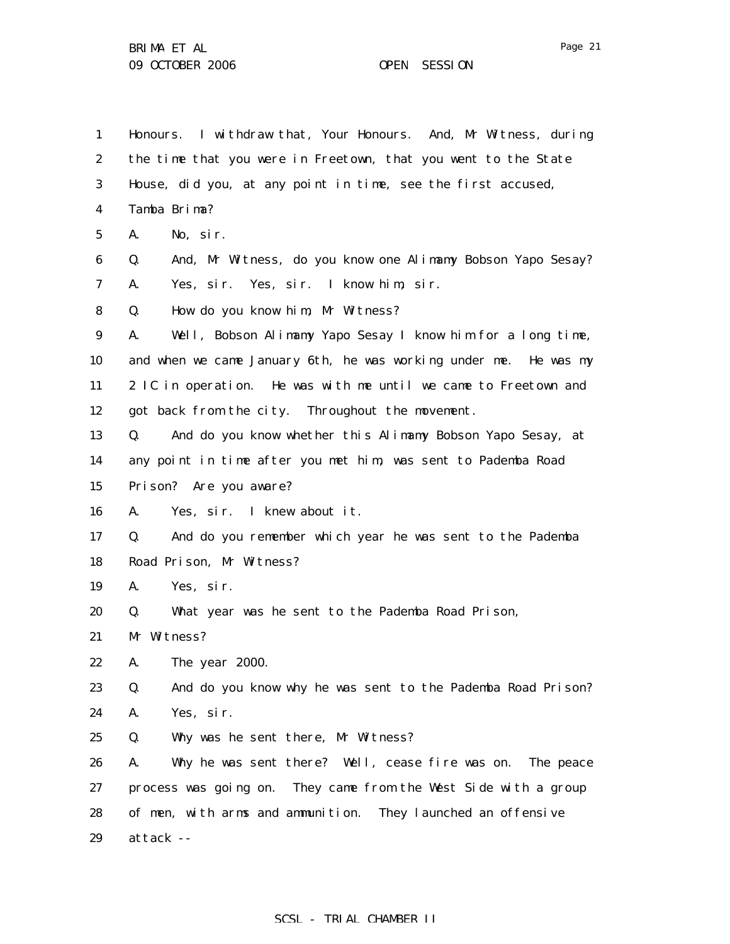1 2 3 4 5 6 7 8 9 10 11 12 13 14 15 16 17 18 19 20 21 22 23 24 25 26 27 28 29 Honours. I withdraw that, Your Honours. And, Mr Witness, during the time that you were in Freetown, that you went to the State House, did you, at any point in time, see the first accused, Tamba Brima? A. No, sir. Q. And, Mr Witness, do you know one Alimamy Bobson Yapo Sesay? A. Yes, sir. Yes, sir. I know him, sir. Q. How do you know him, Mr Witness? A. Well, Bobson Alimamy Yapo Sesay I know him for a long time, and when we came January 6th, he was working under me. He was my 2 IC in operation. He was with me until we came to Freetown and got back from the city. Throughout the movement. Q. And do you know whether this Alimamy Bobson Yapo Sesay, at any point in time after you met him, was sent to Pademba Road Prison? Are you aware? A. Yes, sir. I knew about it. Q. And do you remember which year he was sent to the Pademba Road Prison, Mr Witness? A. Yes, sir. Q. What year was he sent to the Pademba Road Prison, Mr Witness? A. The year 2000. Q. And do you know why he was sent to the Pademba Road Prison? A. Yes, sir. Q. Why was he sent there, Mr Witness? A. Why he was sent there? Well, cease fire was on. The peace process was going on. They came from the West Side with a group of men, with arms and ammunition. They launched an offensive attack --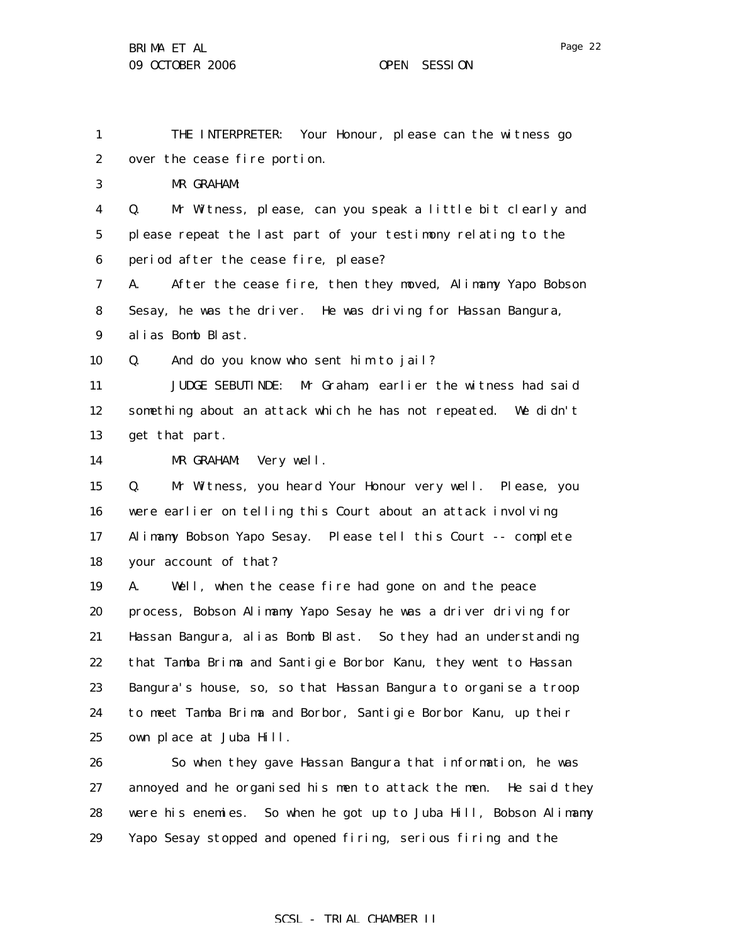1 2 3 4 5 6 7 8 9 10 11 12 13 14 15 16 17 18 19 20 21 22 23 24 25 26 27 28 THE INTERPRETER: Your Honour, please can the witness go over the cease fire portion. MR GRAHAM: Q. Mr Witness, please, can you speak a little bit clearly and please repeat the last part of your testimony relating to the period after the cease fire, please? A. After the cease fire, then they moved, Alimamy Yapo Bobson Sesay, he was the driver. He was driving for Hassan Bangura, alias Bomb Blast. Q. And do you know who sent him to jail? JUDGE SEBUTINDE: Mr Graham, earlier the witness had said something about an attack which he has not repeated. We didn't get that part. MR GRAHAM: Very well. Q. Mr Witness, you heard Your Honour very well. Please, you were earlier on telling this Court about an attack involving Alimamy Bobson Yapo Sesay. Please tell this Court -- complete your account of that? A. Well, when the cease fire had gone on and the peace process, Bobson Alimamy Yapo Sesay he was a driver driving for Hassan Bangura, alias Bomb Blast. So they had an understanding that Tamba Brima and Santigie Borbor Kanu, they went to Hassan Bangura's house, so, so that Hassan Bangura to organise a troop to meet Tamba Brima and Borbor, Santigie Borbor Kanu, up their own place at Juba Hill. So when they gave Hassan Bangura that information, he was annoyed and he organised his men to attack the men. He said they were his enemies. So when he got up to Juba Hill, Bobson Alimamy

29 Yapo Sesay stopped and opened firing, serious firing and the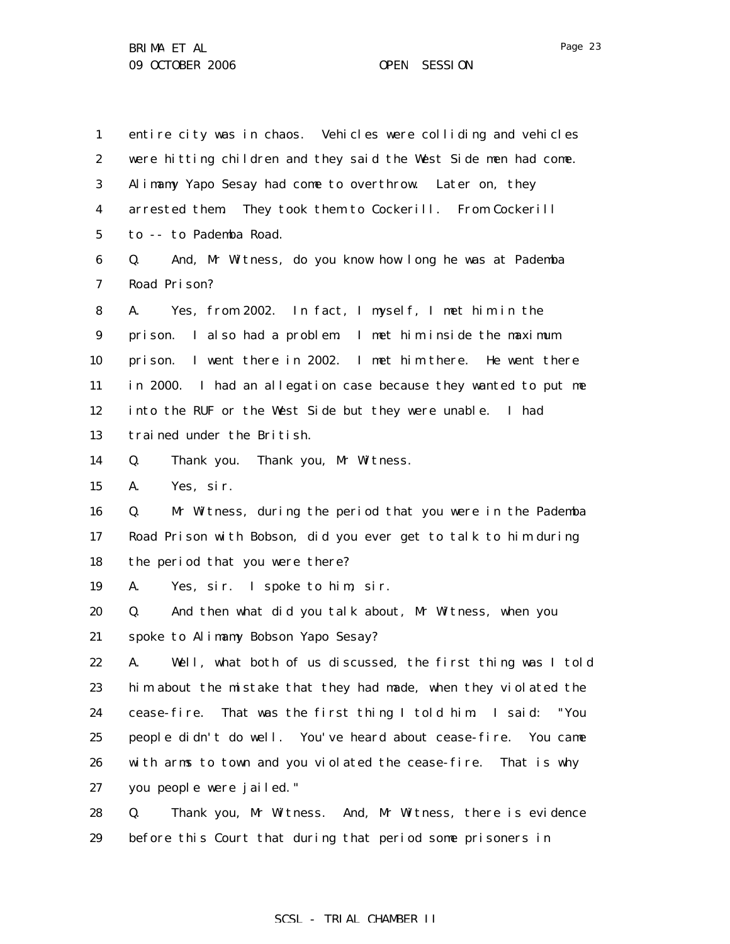1 2 3 4 5 6 7 8 9 10 11 12 13 14 15 16 17 18 19 20 21 22 23 24 25 26 27 28 entire city was in chaos. Vehicles were colliding and vehicles were hitting children and they said the West Side men had come. Alimamy Yapo Sesay had come to overthrow. Later on, they arrested them. They took them to Cockerill. From Cockerill to -- to Pademba Road. Q. And, Mr Witness, do you know how long he was at Pademba Road Prison? A. Yes, from 2002. In fact, I myself, I met him in the prison. I also had a problem. I met him inside the maximum prison. I went there in 2002. I met him there. He went there in 2000. I had an allegation case because they wanted to put me into the RUF or the West Side but they were unable. I had trained under the British. Q. Thank you. Thank you, Mr Witness. A. Yes, sir. Q. Mr Witness, during the period that you were in the Pademba Road Prison with Bobson, did you ever get to talk to him during the period that you were there? A. Yes, sir. I spoke to him, sir. Q. And then what did you talk about, Mr Witness, when you spoke to Alimamy Bobson Yapo Sesay? A. Well, what both of us discussed, the first thing was I told him about the mistake that they had made, when they violated the cease-fire. That was the first thing I told him. I said: "You people didn't do well. You've heard about cease-fire. You came with arms to town and you violated the cease-fire. That is why you people were jailed." Q. Thank you, Mr Witness. And, Mr Witness, there is evidence

29 before this Court that during that period some prisoners in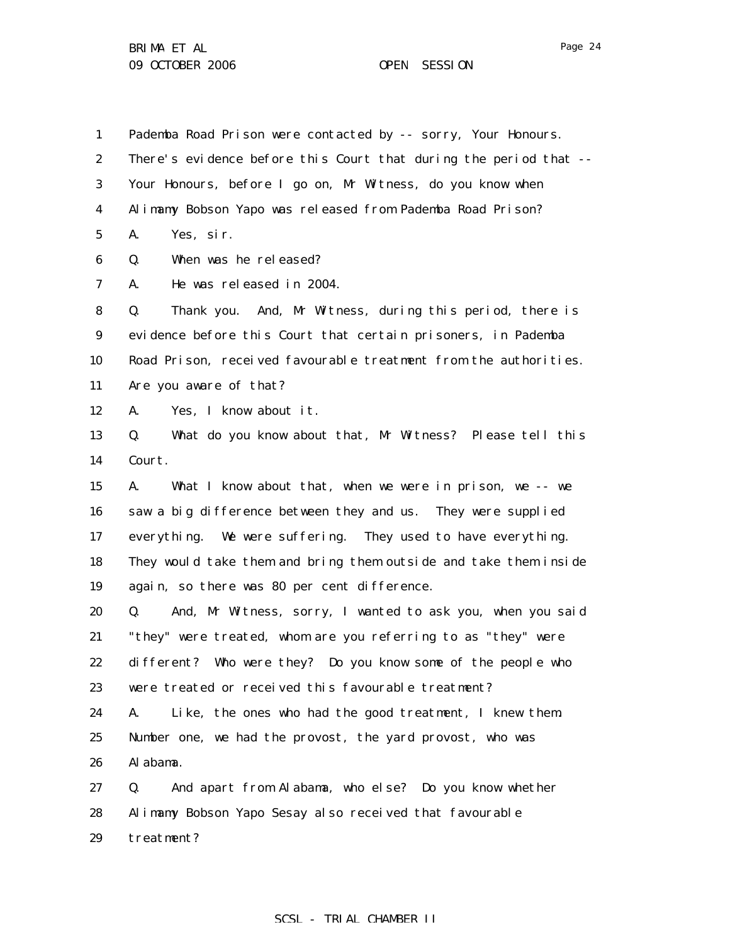1 2 3 4 5 6 7 8 9 10 11 12 13 14 15 16 17 18 19 20 21 22 23 24 25 26 27 28 Pademba Road Prison were contacted by -- sorry, Your Honours. There's evidence before this Court that during the period that -- Your Honours, before I go on, Mr Witness, do you know when Alimamy Bobson Yapo was released from Pademba Road Prison? A. Yes, sir. Q. When was he released? A. He was released in 2004. Q. Thank you. And, Mr Witness, during this period, there is evidence before this Court that certain prisoners, in Pademba Road Prison, received favourable treatment from the authorities. Are you aware of that? A. Yes, I know about it. Q. What do you know about that, Mr Witness? Please tell this Court. A. What I know about that, when we were in prison, we -- we saw a big difference between they and us. They were supplied everything. We were suffering. They used to have everything. They would take them and bring them outside and take them inside again, so there was 80 per cent difference. Q. And, Mr Witness, sorry, I wanted to ask you, when you said "they" were treated, whom are you referring to as "they" were different? Who were they? Do you know some of the people who were treated or received this favourable treatment? A. Like, the ones who had the good treatment, I knew them. Number one, we had the provost, the yard provost, who was Alabama. Q. And apart from Alabama, who else? Do you know whether Alimamy Bobson Yapo Sesay also received that favourable

29 treatment?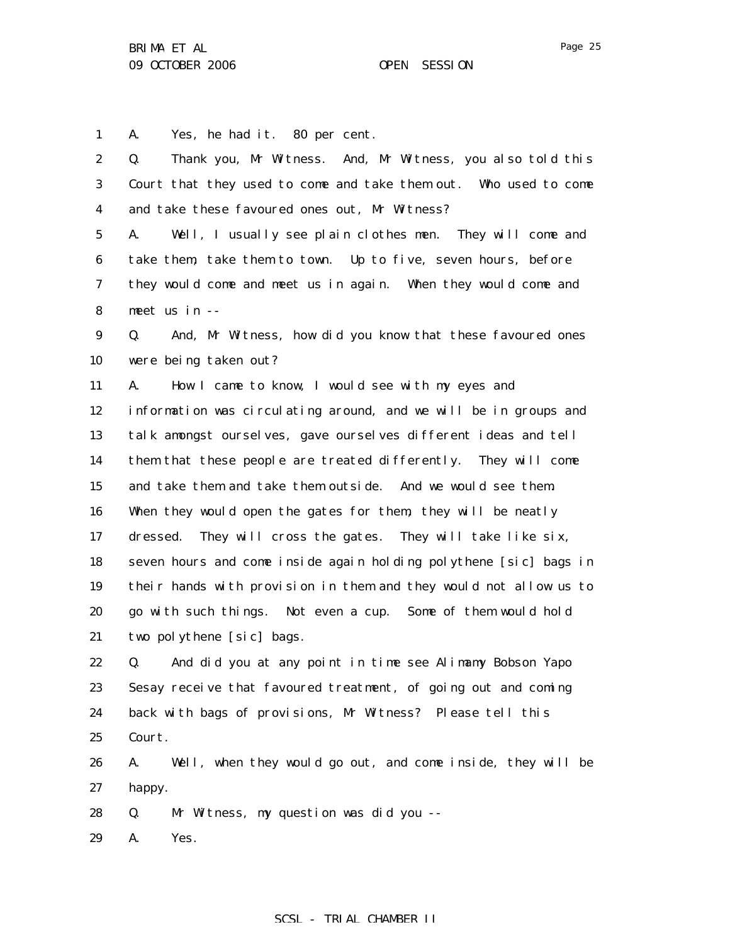1 A. Yes, he had it. 80 per cent.

| $\boldsymbol{2}$ | Thank you, Mr Witness. And, Mr Witness, you also told this<br>Q.  |
|------------------|-------------------------------------------------------------------|
| 3                | Court that they used to come and take them out. Who used to come  |
| 4                | and take these favoured ones out, Mr Witness?                     |
| $\mathbf 5$      | Well, I usually see plain clothes men. They will come and<br>A.   |
| 6                | take them, take them to town. Up to five, seven hours, before     |
| 7                | they would come and meet us in again. When they would come and    |
| 8                | meet us in --                                                     |
| $\boldsymbol{9}$ | And, Mr Witness, how did you know that these favoured ones<br>Q.  |
| 10               | were being taken out?                                             |
| 11               | How I came to know, I would see with my eyes and<br>A.            |
| 12               | information was circulating around, and we will be in groups and  |
| 13               | talk amongst ourselves, gave ourselves different ideas and tell   |
| 14               | them that these people are treated differently. They will come    |
| 15               | and take them and take them outside. And we would see them.       |
| 16               | When they would open the gates for them, they will be neatly      |
| 17               | dressed. They will cross the gates. They will take like six,      |
| 18               | seven hours and come inside again holding polythene [sic] bags in |
| 19               | their hands with provision in them and they would not allow us to |
| 20               | go with such things. Not even a cup. Some of them would hold      |
| 21               | two polythene [sic] bags.                                         |
| 22               | And did you at any point in time see Alimamy Bobson Yapo<br>Q.    |
| 23               | Sesay receive that favoured treatment, of going out and coming    |
| 24               | back with bags of provisions, Mr Witness? Please tell this        |
| 25               | Court.                                                            |
| 26               | Well, when they would go out, and come inside, they will be<br>A. |
| 27               | happy.                                                            |
| 28               | Mr Witness, my question was did you --<br>Q.                      |
| 29               | Yes.<br>A.                                                        |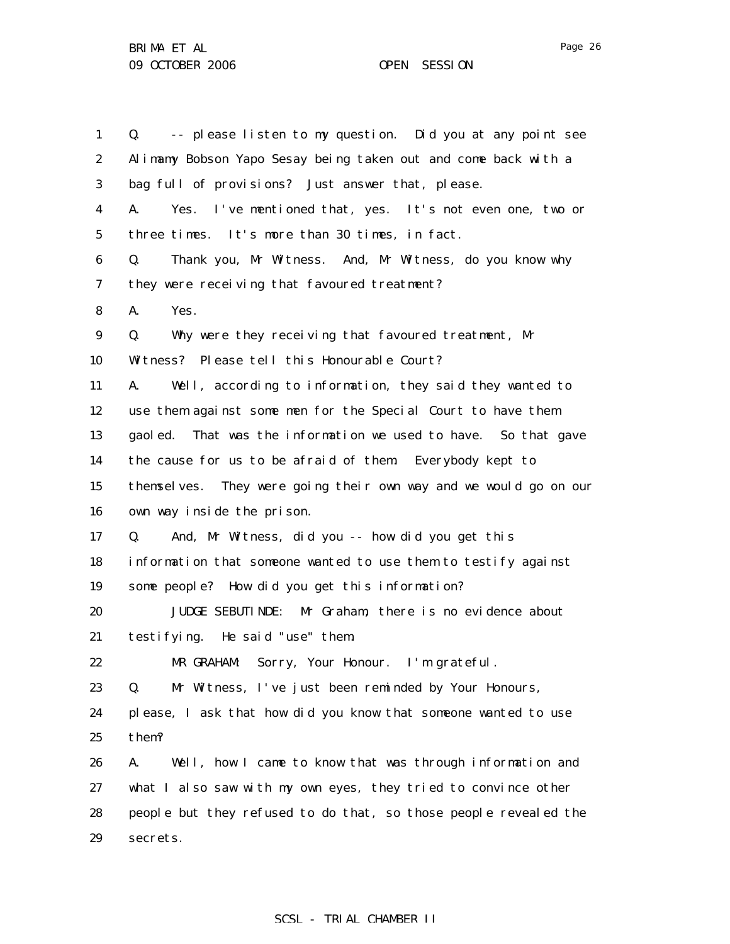| $\mathbf{1}$     | -- please listen to my question. Did you at any point see<br>Q.  |
|------------------|------------------------------------------------------------------|
| $\boldsymbol{2}$ | Alimany Bobson Yapo Sesay being taken out and come back with a   |
| 3                | bag full of provisions? Just answer that, please.                |
| 4                | A.<br>Yes. I've mentioned that, yes. It's not even one, two or   |
| $\mathbf 5$      | three times. It's more than 30 times, in fact.                   |
| 6                | Thank you, Mr Witness. And, Mr Witness, do you know why<br>Q.    |
| 7                | they were receiving that favoured treatment?                     |
| 8                | A.<br>Yes.                                                       |
| $\boldsymbol{9}$ | Why were they receiving that favoured treatment, Mr<br>Q.        |
| 10               | Witness? Please tell this Honourable Court?                      |
| 11               | Well, according to information, they said they wanted to<br>A.   |
| 12               | use them against some men for the Special Court to have them     |
| 13               | gaoled. That was the information we used to have. So that gave   |
| 14               | the cause for us to be afraid of them Everybody kept to          |
| 15               | themselves. They were going their own way and we would go on our |
| 16               | own way inside the prison.                                       |
| 17               | And, Mr Witness, did you -- how did you get this<br>Q.           |
| 18               | information that someone wanted to use them to testify against   |
| 19               | some people? How did you get this information?                   |
| 20               | JUDGE SEBUTINDE: Mr Graham, there is no evidence about           |
| 21               | testifying. He said "use" them.                                  |
| 22               | Sorry, Your Honour. I'm grateful.<br>MR GRAHAM:                  |
| 23               | Mr Witness, I've just been reminded by Your Honours,<br>Q.       |
| 24               | please, I ask that how did you know that someone wanted to use   |
| 25               | them?                                                            |
| 26               | A.<br>Well, how I came to know that was through information and  |
| 27               | what I also saw with my own eyes, they tried to convince other   |
| 28               | people but they refused to do that, so those people revealed the |
| 29               | secrets.                                                         |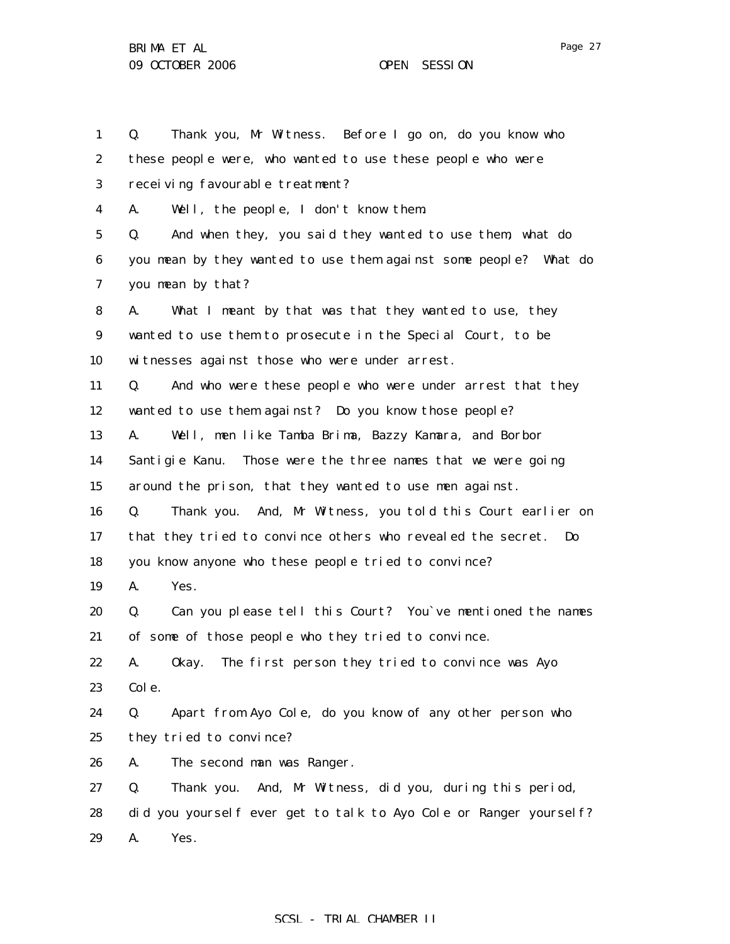1 2 3 4 5 6 7 8 9 10 11 12 13 14 15 16 17 18 19 20 21 22 23 24 25 26 27 28 29 Q. Thank you, Mr Witness. Before I go on, do you know who these people were, who wanted to use these people who were receiving favourable treatment? A. Well, the people, I don't know them. Q. And when they, you said they wanted to use them, what do you mean by they wanted to use them against some people? What do you mean by that? A. What I meant by that was that they wanted to use, they wanted to use them to prosecute in the Special Court, to be witnesses against those who were under arrest. Q. And who were these people who were under arrest that they wanted to use them against? Do you know those people? A. Well, men like Tamba Brima, Bazzy Kamara, and Borbor Santigie Kanu. Those were the three names that we were going around the prison, that they wanted to use men against. Q. Thank you. And, Mr Witness, you told this Court earlier on that they tried to convince others who revealed the secret. Do you know anyone who these people tried to convince? A. Yes. Q. Can you please tell this Court? You`ve mentioned the names of some of those people who they tried to convince. A. Okay. The first person they tried to convince was Ayo Cole. Q. Apart from Ayo Cole, do you know of any other person who they tried to convince? A. The second man was Ranger. Q. Thank you. And, Mr Witness, did you, during this period, did you yourself ever get to talk to Ayo Cole or Ranger yourself? A. Yes.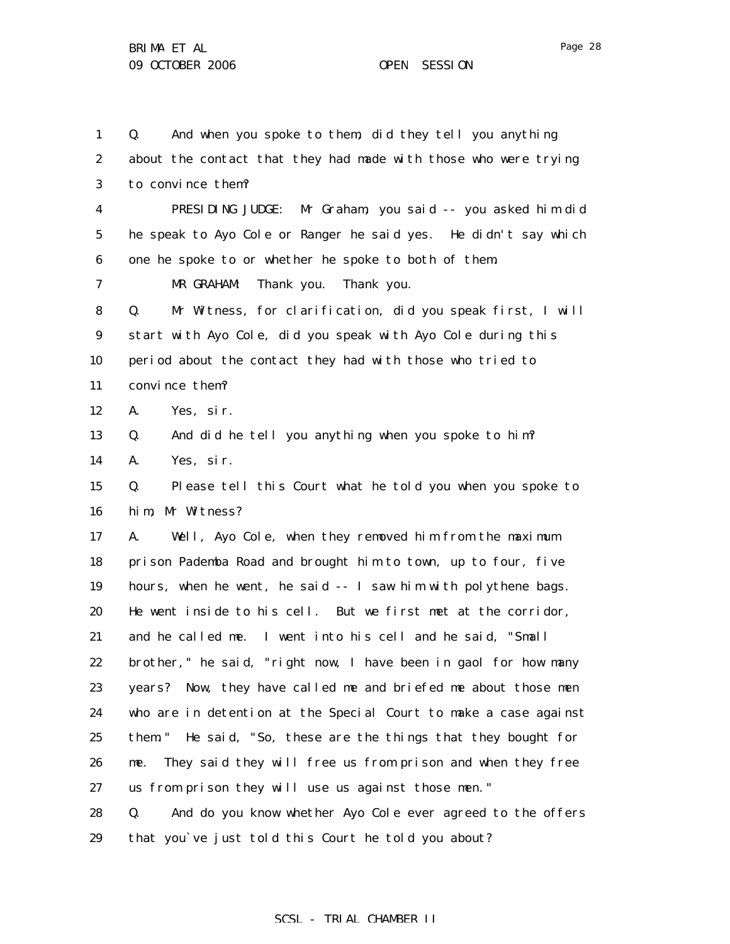29

1 2 3 4 5 6 7 8 9 10 11 12 13 14 15 16 17 18 19 20 21 22 23 24 25 26 27 28 Q. And when you spoke to them, did they tell you anything about the contact that they had made with those who were trying to convince them? PRESIDING JUDGE: Mr Graham, you said -- you asked him did he speak to Ayo Cole or Ranger he said yes. He didn't say which one he spoke to or whether he spoke to both of them. MR GRAHAM: Thank you. Thank you. Q. Mr Witness, for clarification, did you speak first, I will start with Ayo Cole, did you speak with Ayo Cole during this period about the contact they had with those who tried to convince them? A. Yes, sir. Q. And did he tell you anything when you spoke to him? A. Yes, sir. Q. Please tell this Court what he told you when you spoke to him, Mr Witness? A. Well, Ayo Cole, when they removed him from the maximum prison Pademba Road and brought him to town, up to four, five hours, when he went, he said -- I saw him with polythene bags. He went inside to his cell. But we first met at the corridor, and he called me. I went into his cell and he said, "Small brother," he said, "right now, I have been in gaol for how many years? Now, they have called me and briefed me about those men who are in detention at the Special Court to make a case against them." He said, "So, these are the things that they bought for me. They said they will free us from prison and when they free us from prison they will use us against those men." Q. And do you know whether Ayo Cole ever agreed to the offers

SCSL - TRIAL CHAMBER II

that you`ve just told this Court he told you about?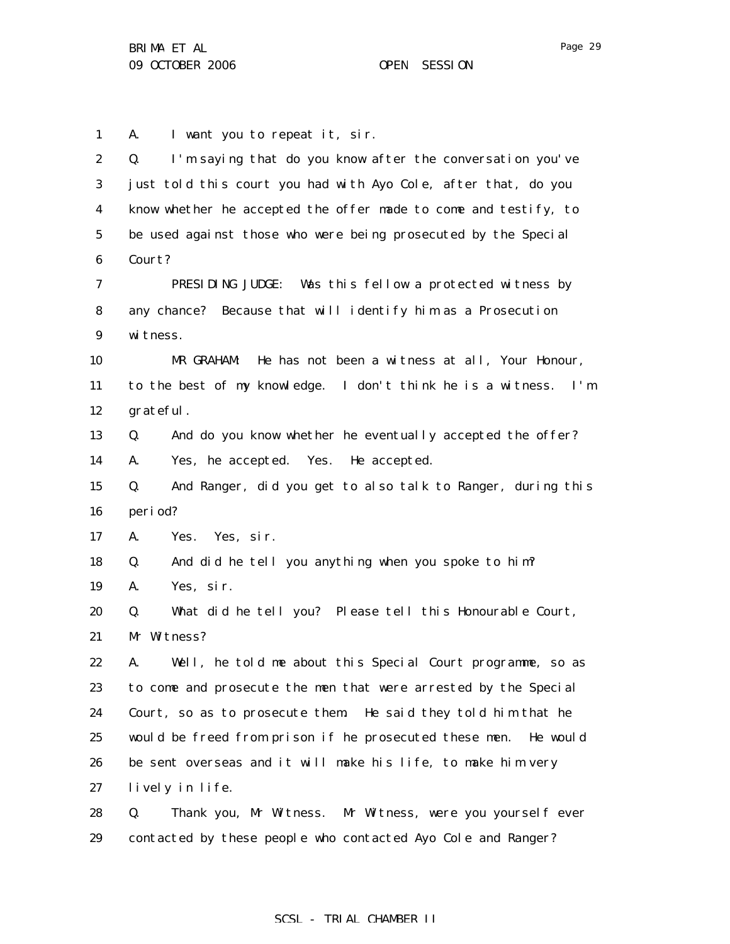29

1 A. I want you to repeat it, sir.

| $\boldsymbol{2}$ | I'm saying that do you know after the conversation you've<br>Q.   |
|------------------|-------------------------------------------------------------------|
| 3                | just told this court you had with Ayo Cole, after that, do you    |
| $\boldsymbol{4}$ | know whether he accepted the offer made to come and testify, to   |
| $\mathbf 5$      | be used against those who were being prosecuted by the Special    |
| 6                | Court?                                                            |
| 7                | PRESIDING JUDGE: Was this fellow a protected witness by           |
| 8                | any chance? Because that will identify him as a Prosecution       |
| 9                | witness.                                                          |
| 10               | He has not been a witness at all, Your Honour,<br>MR GRAHAM:      |
| 11               | to the best of my knowledge. I don't think he is a witness. I'm   |
| 12               | grateful.                                                         |
| 13               | And do you know whether he eventually accepted the offer?<br>Q.   |
| 14               | Yes, he accepted. Yes. He accepted.<br>A.                         |
| 15               | Q.<br>And Ranger, did you get to also talk to Ranger, during this |
| 16               | period?                                                           |
| 17               | A.<br>Yes. Yes, sir.                                              |
| 18               | And did he tell you anything when you spoke to him?<br>Q.         |
| 19               | Yes, sir.<br>A.                                                   |
| 20               | What did he tell you? Please tell this Honourable Court,<br>Q.    |
| 21               | Mr Witness?                                                       |
| 22               | Well, he told me about this Special Court programme, so as<br>A.  |
| 23               | to come and prosecute the men that were arrested by the Special   |
| 24               | Court, so as to prosecute them. He said they told him that he     |
| 25               | would be freed from prison if he prosecuted these men. He would   |
| 26               | be sent overseas and it will make his life, to make him very      |
| 27               | lively in life.                                                   |
| 28               | Thank you, Mr Witness. Mr Witness, were you yourself ever<br>Q.   |
| 29               | contacted by these people who contacted Ayo Cole and Ranger?      |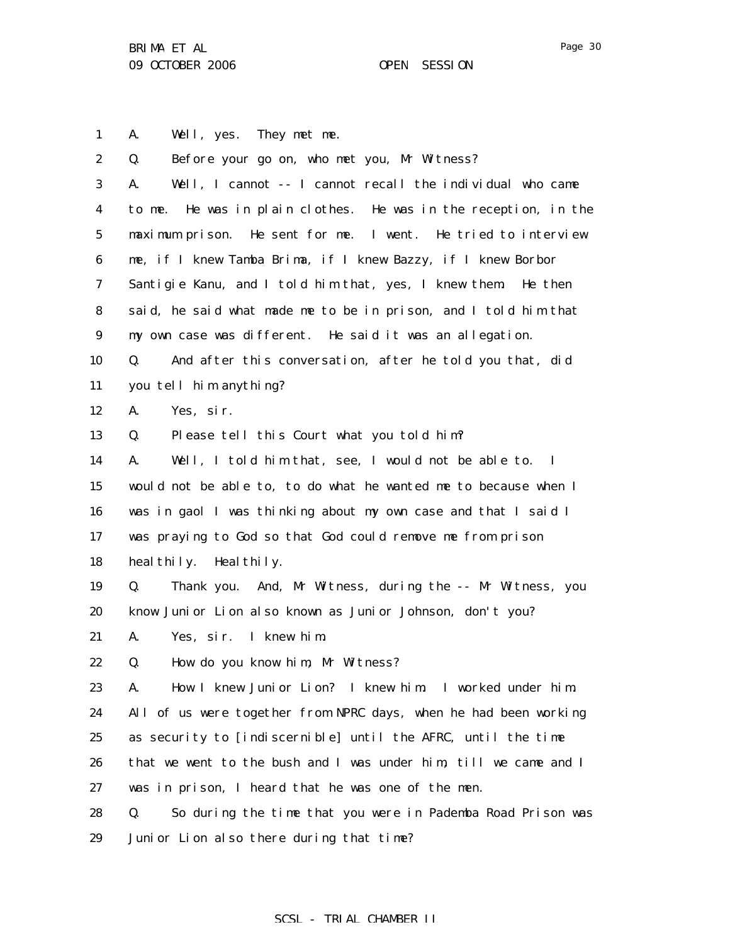Page 30

1 A. Well, yes. They met me.

| $\boldsymbol{2}$ | Before your go on, who met you, Mr Witness?<br>Q.                         |
|------------------|---------------------------------------------------------------------------|
| 3                | Well, I cannot -- I cannot recall the individual who came<br>A.           |
| 4                | to me. He was in plain clothes. He was in the reception, in the           |
| $\mathbf 5$      | maximum prison. He sent for me. I went. He tried to interview             |
| 6                | me, if I knew Tamba Brima, if I knew Bazzy, if I knew Borbor              |
| 7                | Santigie Kanu, and I told him that, yes, I knew them. He then             |
| 8                | said, he said what made me to be in prison, and I told him that           |
| $9\phantom{.0}$  | my own case was different. He said it was an allegation.                  |
| 10               | And after this conversation, after he told you that, did<br>Q.            |
| 11               | you tell him anything?                                                    |
| 12               | A.<br>Yes, sir.                                                           |
| 13               | Please tell this Court what you told him?<br>Q.                           |
| 14               | Well, I told him that, see, I would not be able to.<br>A.<br>$\mathbf{I}$ |
| 15               | would not be able to, to do what he wanted me to because when I           |
| 16               | was in gaol I was thinking about my own case and that I said I            |
| 17               | was praying to God so that God could remove me from prison                |
| 18               | heal thily. Heal thily.                                                   |
| 19               | Thank you. And, Mr Witness, during the -- Mr Witness, you<br>Q.           |
| 20               | know Junior Lion also known as Junior Johnson, don't you?                 |
| 21               | Yes, sir. I knew him.<br>A.                                               |
| 22               | How do you know him, Mr Witness?<br>Q.                                    |
| 23               | How I knew Junior Lion? I knew him. I worked under him.<br>A.             |
| 24               | All of us were together from NPRC days, when he had been working          |
| 25               | as security to [indiscernible] until the AFRC, until the time             |
| 26               | that we went to the bush and I was under him, till we came and I          |
| 27               | was in prison, I heard that he was one of the men.                        |
| 28               | So during the time that you were in Pademba Road Prison was<br>Q.         |
| 29               | Junior Lion also there during that time?                                  |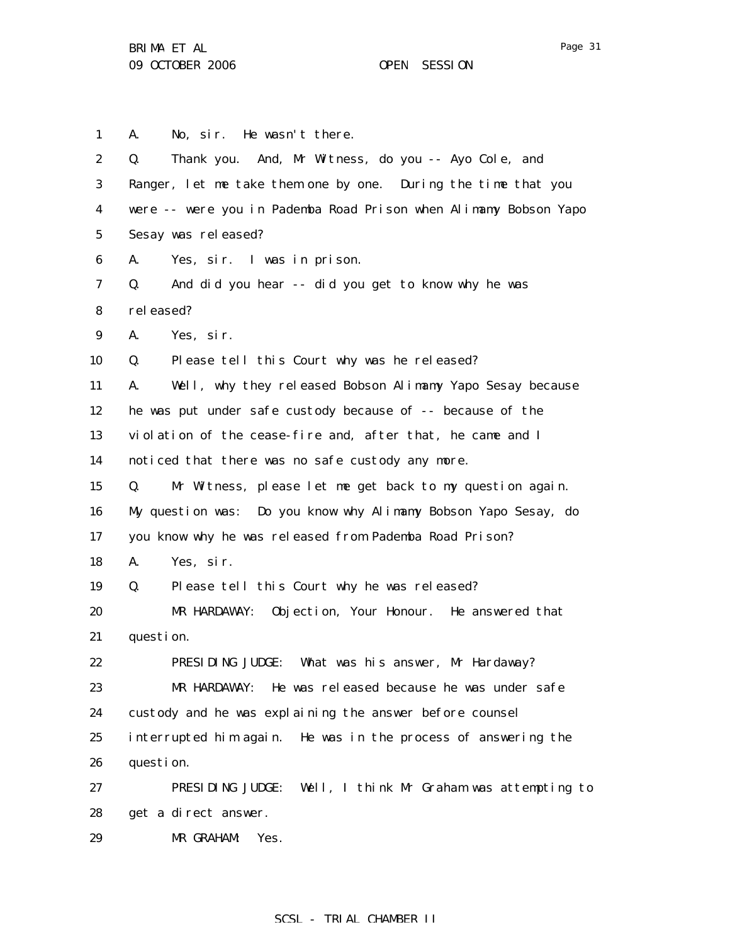| 1                | No, sir. He wasn't there.<br>A.                                  |  |
|------------------|------------------------------------------------------------------|--|
| $\boldsymbol{2}$ | Thank you. And, Mr Witness, do you -- Ayo Cole, and<br>Q.        |  |
| 3                | Ranger, let me take them one by one. During the time that you    |  |
| 4                | were -- were you in Pademba Road Prison when Alimamy Bobson Yapo |  |
| $\mathbf 5$      | Sesay was released?                                              |  |
| $\boldsymbol{6}$ | Yes, sir. I was in prison.<br>A.                                 |  |
| 7                | And did you hear -- did you get to know why he was<br>Q.         |  |
| 8                | rel eased?                                                       |  |
| $\boldsymbol{9}$ | A.<br>Yes, sir.                                                  |  |
| 10               | Please tell this Court why was he released?<br>Q.                |  |
| 11               | Well, why they released Bobson Alimamy Yapo Sesay because<br>A.  |  |
| 12               | he was put under safe custody because of -- because of the       |  |
| 13               | violation of the cease-fire and, after that, he came and I       |  |
| 14               | noticed that there was no safe custody any more.                 |  |
| 15               | Mr Witness, please let me get back to my question again.<br>Q.   |  |
| 16               | My question was: Do you know why Alimamy Bobson Yapo Sesay, do   |  |
| 17               | you know why he was released from Pademba Road Prison?           |  |
| 18               | Yes, sir.<br>A.                                                  |  |
| 19               | Please tell this Court why he was released?<br>Q.                |  |
| 20               | MR HARDAWAY: Objection, Your Honour. He answered that            |  |
| 21               | question.                                                        |  |
| 22               | PRESIDING JUDGE:<br>What was his answer, Mr Hardaway?            |  |
| 23               | He was released because he was under safe<br>MR HARDAWAY:        |  |
| 24               | custody and he was explaining the answer before counsel          |  |
| 25               | interrupted him again. He was in the process of answering the    |  |
| 26               | question.                                                        |  |
| 27               | Well, I think Mr Graham was attempting to<br>PRESIDING JUDGE:    |  |
| 28               | get a direct answer.                                             |  |
| 29               | MR GRAHAM:<br>Yes.                                               |  |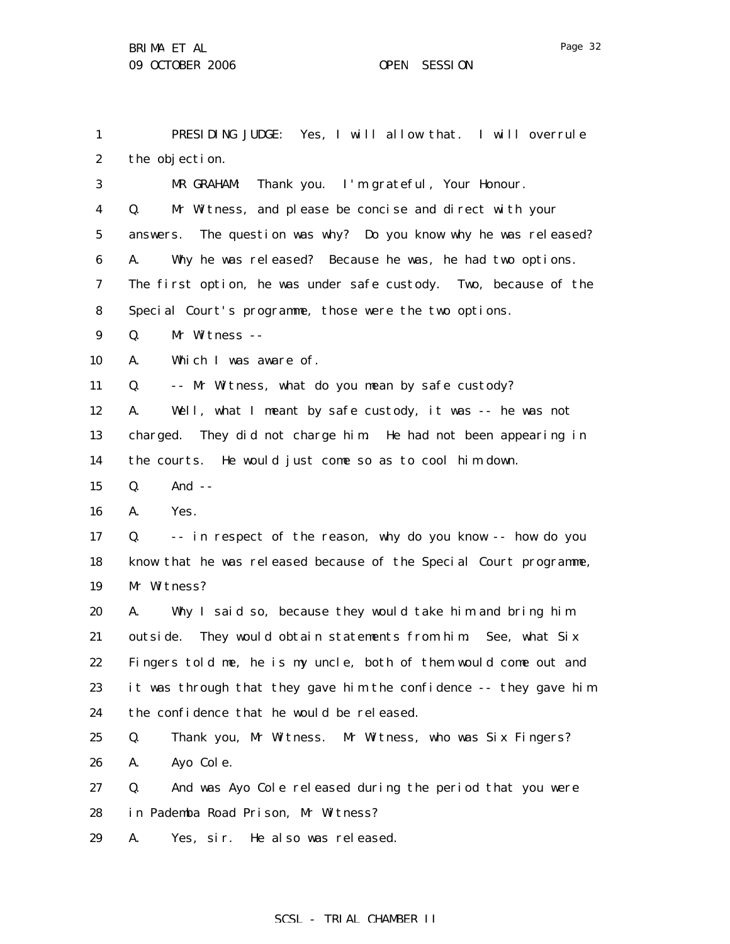1 2 3 4 5 6 7 8 9 10 11 12 13 14 15 16 17 18 19 20 21 22 23 24 25 26 27 28 29 PRESIDING JUDGE: Yes, I will allow that. I will overrule the objection. MR GRAHAM: Thank you. I'm grateful, Your Honour. Q. Mr Witness, and please be concise and direct with your answers. The question was why? Do you know why he was released? A. Why he was released? Because he was, he had two options. The first option, he was under safe custody. Two, because of the Special Court's programme, those were the two options. Q. Mr Witness -- A. Which I was aware of. Q. -- Mr Witness, what do you mean by safe custody? A. Well, what I meant by safe custody, it was -- he was not charged. They did not charge him. He had not been appearing in the courts. He would just come so as to cool him down. Q. And -- A. Yes. Q. -- in respect of the reason, why do you know -- how do you know that he was released because of the Special Court programme, Mr Witness? A. Why I said so, because they would take him and bring him outside. They would obtain statements from him. See, what Six Fingers told me, he is my uncle, both of them would come out and it was through that they gave him the confidence -- they gave him the confidence that he would be released. Q. Thank you, Mr Witness. Mr Witness, who was Six Fingers? A. Ayo Cole. Q. And was Ayo Cole released during the period that you were in Pademba Road Prison, Mr Witness? A. Yes, sir. He also was released.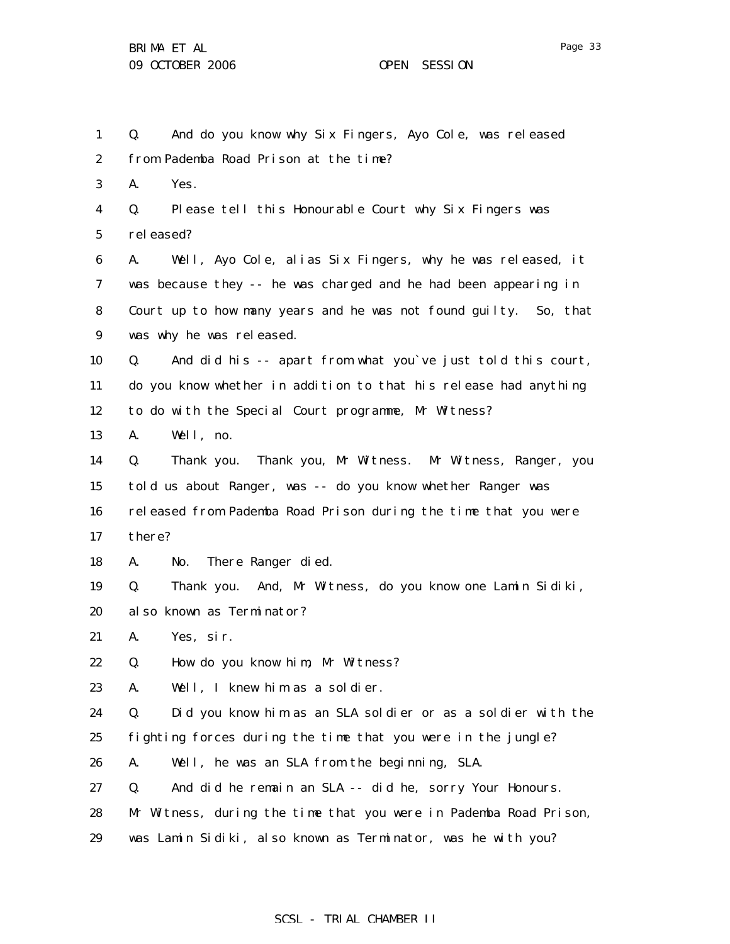1 2 3 4 5 6 7 8 9 10 11 12 13 14 15 16 17 18 19 20 21 22 23 24 25 26 27 28 29 Q. And do you know why Six Fingers, Ayo Cole, was released from Pademba Road Prison at the time? A. Yes. Q. Please tell this Honourable Court why Six Fingers was rel eased? A. Well, Ayo Cole, alias Six Fingers, why he was released, it was because they -- he was charged and he had been appearing in Court up to how many years and he was not found guilty. So, that was why he was released. Q. And did his -- apart from what you`ve just told this court, do you know whether in addition to that his release had anything to do with the Special Court programme, Mr Witness? A. Well, no. Q. Thank you. Thank you, Mr Witness. Mr Witness, Ranger, you told us about Ranger, was -- do you know whether Ranger was released from Pademba Road Prison during the time that you were there? A. No. There Ranger died. Q. Thank you. And, Mr Witness, do you know one Lamin Sidiki, also known as Terminator? A. Yes, sir. Q. How do you know him, Mr Witness? A. Well, I knew him as a soldier. Q. Did you know him as an SLA soldier or as a soldier with the fighting forces during the time that you were in the jungle? A. Well, he was an SLA from the beginning, SLA. Q. And did he remain an SLA -- did he, sorry Your Honours. Mr Witness, during the time that you were in Pademba Road Prison, was Lamin Sidiki, also known as Terminator, was he with you?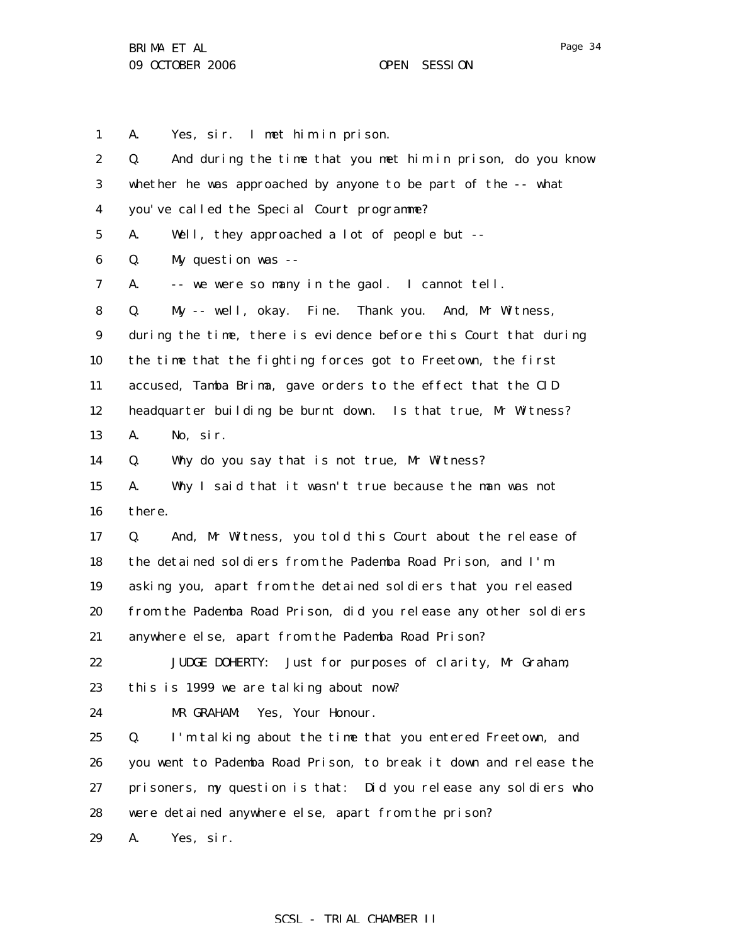Page 34

1 2 3 4 5 6 7 8 9 10 11 12 13 14 15 16 17 18 19 20 21 22 23 24 25 26 27 28 29 A. Yes, sir. I met him in prison. Q. And during the time that you met him in prison, do you know whether he was approached by anyone to be part of the -- what you've called the Special Court programme? A. Well, they approached a lot of people but -- Q. My question was -- A. -- we were so many in the gaol. I cannot tell. Q. My -- well, okay. Fine. Thank you. And, Mr Witness, during the time, there is evidence before this Court that during the time that the fighting forces got to Freetown, the first accused, Tamba Brima, gave orders to the effect that the CID headquarter building be burnt down. Is that true, Mr Witness? A. No, sir. Q. Why do you say that is not true, Mr Witness? A. Why I said that it wasn't true because the man was not there. Q. And, Mr Witness, you told this Court about the release of the detained soldiers from the Pademba Road Prison, and I'm asking you, apart from the detained soldiers that you released from the Pademba Road Prison, did you release any other soldiers anywhere else, apart from the Pademba Road Prison? JUDGE DOHERTY: Just for purposes of clarity, Mr Graham, this is 1999 we are talking about now? MR GRAHAM: Yes, Your Honour. Q. I'm talking about the time that you entered Freetown, and you went to Pademba Road Prison, to break it down and release the prisoners, my question is that: Did you release any soldiers who were detained anywhere else, apart from the prison? A. Yes, sir.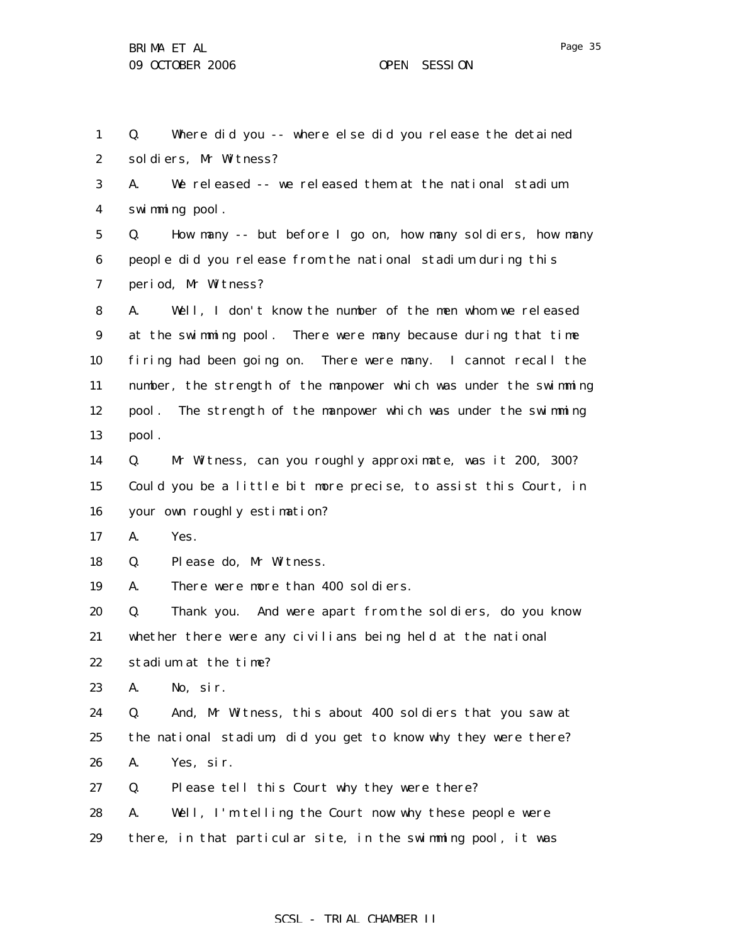1 2 Q. Where did you -- where else did you release the detained soldiers, Mr Witness?

3 4 A. We released -- we released them at the national stadium swimming pool.

5 6 7 Q. How many -- but before I go on, how many soldiers, how many people did you release from the national stadium during this period, Mr Witness?

8 9 10 11 12 13 A. Well, I don't know the number of the men whom we released at the swimming pool. There were many because during that time firing had been going on. There were many. I cannot recall the number, the strength of the manpower which was under the swimming pool. The strength of the manpower which was under the swimming pool.

14 15 16 Q. Mr Witness, can you roughly approximate, was it 200, 300? Could you be a little bit more precise, to assist this Court, in your own roughly estimation?

17 A. Yes.

18 Q. Please do, Mr Witness.

19 A. There were more than 400 soldiers.

20 21 22 Q. Thank you. And were apart from the soldiers, do you know whether there were any civilians being held at the national stadium at the time?

23 A. No, sir.

24 25 26 Q. And, Mr Witness, this about 400 soldiers that you saw at the national stadium, did you get to know why they were there? A. Yes, sir.

- 27 Q. Please tell this Court why they were there?
- 28 29 A. Well, I'm telling the Court now why these people were there, in that particular site, in the swimming pool, it was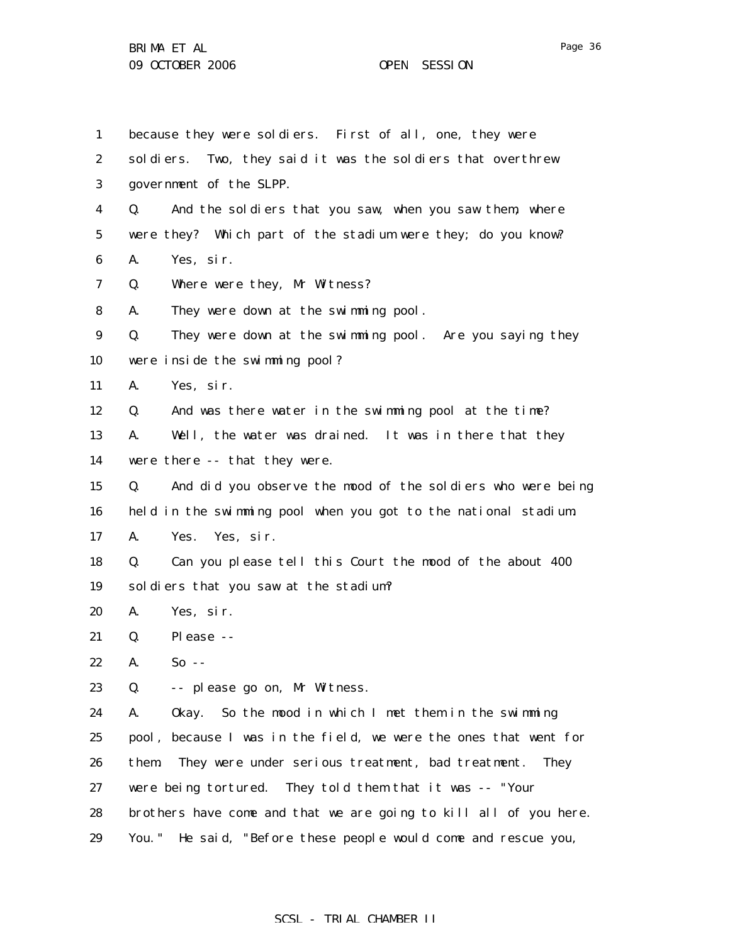BRIMA ET AL 09 OCTOBER 2006 OPEN SESSION

| .,<br>σ.<br>٦١ | n |
|----------------|---|
|----------------|---|

1 2 3 4 5 6 7 8 9 10 11 12 13 14 15 16 17 18 19 20 21 22 23 24 25 26 27 28 29 because they were soldiers. First of all, one, they were soldiers. Two, they said it was the soldiers that overthrew government of the SLPP. Q. And the soldiers that you saw, when you saw them, where were they? Which part of the stadium were they; do you know? A. Yes, sir. Q. Where were they, Mr Witness? A. They were down at the swimming pool. Q. They were down at the swimming pool. Are you saying they were inside the swimming pool? A. Yes, sir. Q. And was there water in the swimming pool at the time? A. Well, the water was drained. It was in there that they were there -- that they were. Q. And did you observe the mood of the soldiers who were being held in the swimming pool when you got to the national stadium. A. Yes. Yes, sir. Q. Can you please tell this Court the mood of the about 400 soldiers that you saw at the stadium? A. Yes, sir. Q. Please -- A. So -- Q. -- please go on, Mr Witness. A. Okay. So the mood in which I met them in the swimming pool, because I was in the field, we were the ones that went for them. They were under serious treatment, bad treatment. They were being tortured. They told them that it was -- "Your brothers have come and that we are going to kill all of you here. You." He said, "Before these people would come and rescue you,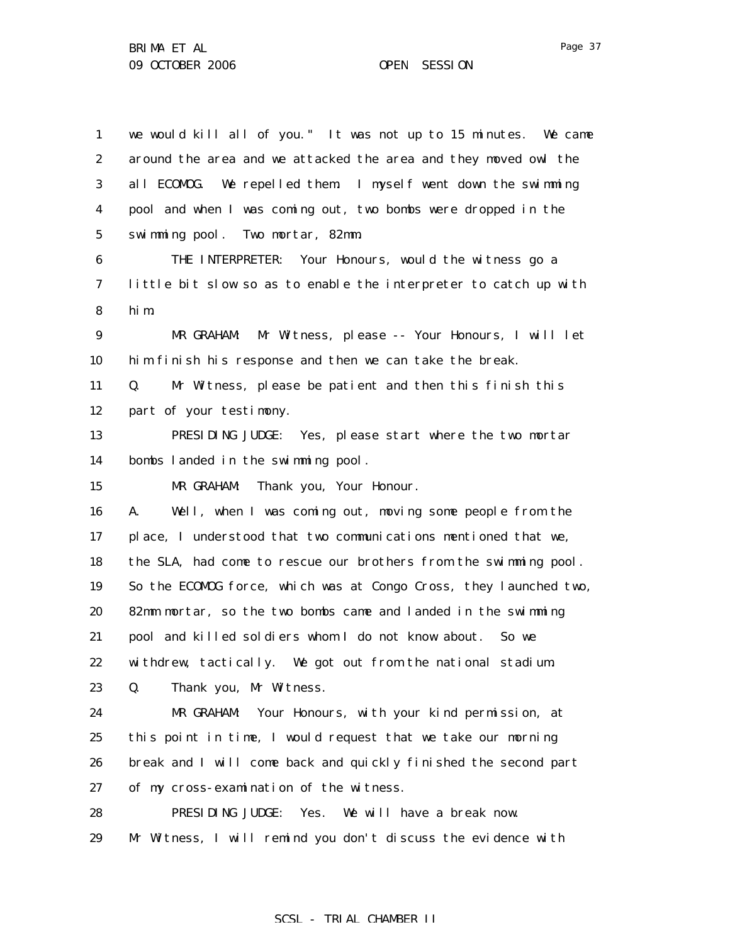1 2 3 4 5 6 7 8 9 10 11 12 13 14 15 16 17 18 19 20 21 22 23 24 25 26 27 28 29 we would kill all of you." It was not up to 15 minutes. We came around the area and we attacked the area and they moved owl the all ECOMOG. We repelled them. I myself went down the swimming pool and when I was coming out, two bombs were dropped in the swimming pool. Two mortar, 82mm. THE INTERPRETER: Your Honours, would the witness go a little bit slow so as to enable the interpreter to catch up with him. MR GRAHAM: Mr Witness, please -- Your Honours, I will let him finish his response and then we can take the break. Q. Mr Witness, please be patient and then this finish this part of your testimony. PRESIDING JUDGE: Yes, please start where the two mortar bombs landed in the swimming pool. MR GRAHAM: Thank you, Your Honour. A. Well, when I was coming out, moving some people from the place, I understood that two communications mentioned that we, the SLA, had come to rescue our brothers from the swimming pool. So the ECOMOG force, which was at Congo Cross, they launched two, 82mm mortar, so the two bombs came and landed in the swimming pool and killed soldiers whom I do not know about. So we withdrew, tactically. We got out from the national stadium. Q. Thank you, Mr Witness. MR GRAHAM: Your Honours, with your kind permission, at this point in time, I would request that we take our morning break and I will come back and quickly finished the second part of my cross-examination of the witness. PRESIDING JUDGE: Yes. We will have a break now. Mr Witness, I will remind you don't discuss the evidence with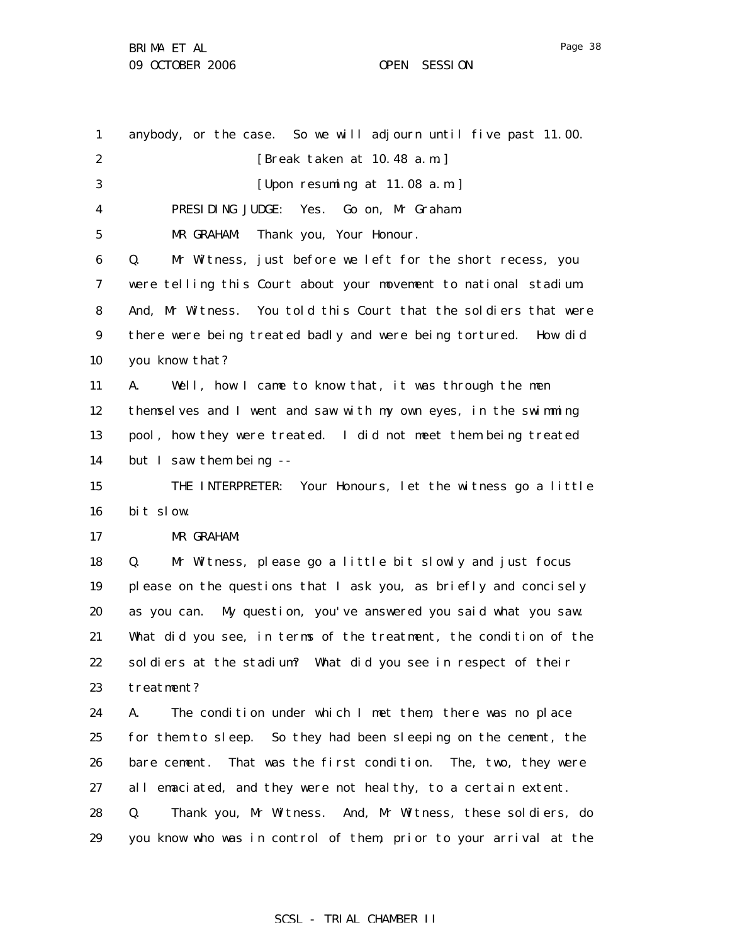1 2 3 4 5 6 7 8 9 10 11 12 13 14 15 16 17 18 19 20 21 22 23 24 25 26 27 28 29 anybody, or the case. So we will adjourn until five past 11.00. [Break taken at 10.48 a.m.] [Upon resuming at 11.08 a.m.] PRESIDING JUDGE: Yes. Go on, Mr Graham. MR GRAHAM: Thank you, Your Honour. Q. Mr Witness, just before we left for the short recess, you were telling this Court about your movement to national stadium. And, Mr Witness. You told this Court that the soldiers that were there were being treated badly and were being tortured. How did you know that? A. Well, how I came to know that, it was through the men themselves and I went and saw with my own eyes, in the swimming pool, how they were treated. I did not meet them being treated but I saw them being -- THE INTERPRETER: Your Honours, let the witness go a little bit slow. MR GRAHAM: Q. Mr Witness, please go a little bit slowly and just focus please on the questions that I ask you, as briefly and concisely as you can. My question, you've answered you said what you saw. What did you see, in terms of the treatment, the condition of the soldiers at the stadium? What did you see in respect of their treatment? A. The condition under which I met them, there was no place for them to sleep. So they had been sleeping on the cement, the bare cement. That was the first condition. The, two, they were all emaciated, and they were not healthy, to a certain extent. Q. Thank you, Mr Witness. And, Mr Witness, these soldiers, do you know who was in control of them, prior to your arrival at the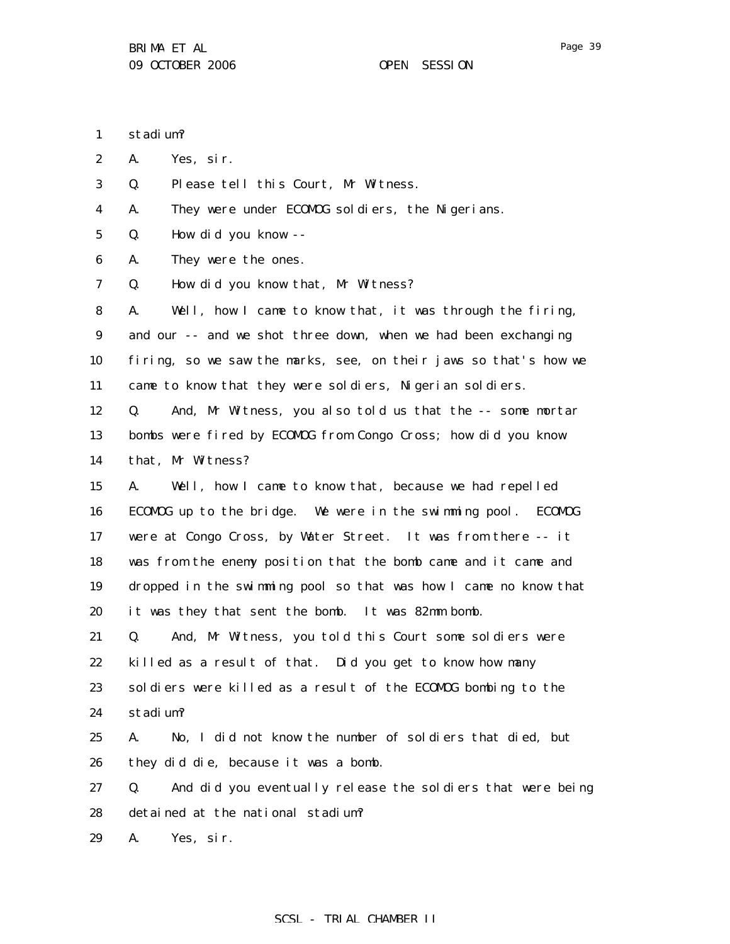1 stadium?

2 A. Yes, sir.

3 Q. Please tell this Court, Mr Witness.

4 A. They were under ECOMOG soldiers, the Nigerians.

5 Q. How did you know --

6 A. They were the ones.

7 Q. How did you know that, Mr Witness?

8 9 10 11 A. Well, how I came to know that, it was through the firing, and our -- and we shot three down, when we had been exchanging firing, so we saw the marks, see, on their jaws so that's how we came to know that they were soldiers, Nigerian soldiers.

12 13 14 Q. And, Mr Witness, you also told us that the -- some mortar bombs were fired by ECOMOG from Congo Cross; how did you know that, Mr Witness?

15 16 17 18 19 20 A. Well, how I came to know that, because we had repelled ECOMOG up to the bridge. We were in the swimming pool. ECOMOG were at Congo Cross, by Water Street. It was from there -- it was from the enemy position that the bomb came and it came and dropped in the swimming pool so that was how I came no know that it was they that sent the bomb. It was 82mm bomb.

21 22 23 24 Q. And, Mr Witness, you told this Court some soldiers were killed as a result of that. Did you get to know how many soldiers were killed as a result of the ECOMOG bombing to the stadium?

25 26 A. No, I did not know the number of soldiers that died, but they did die, because it was a bomb.

27 28 Q. And did you eventually release the soldiers that were being detained at the national stadium?

29 A. Yes, sir.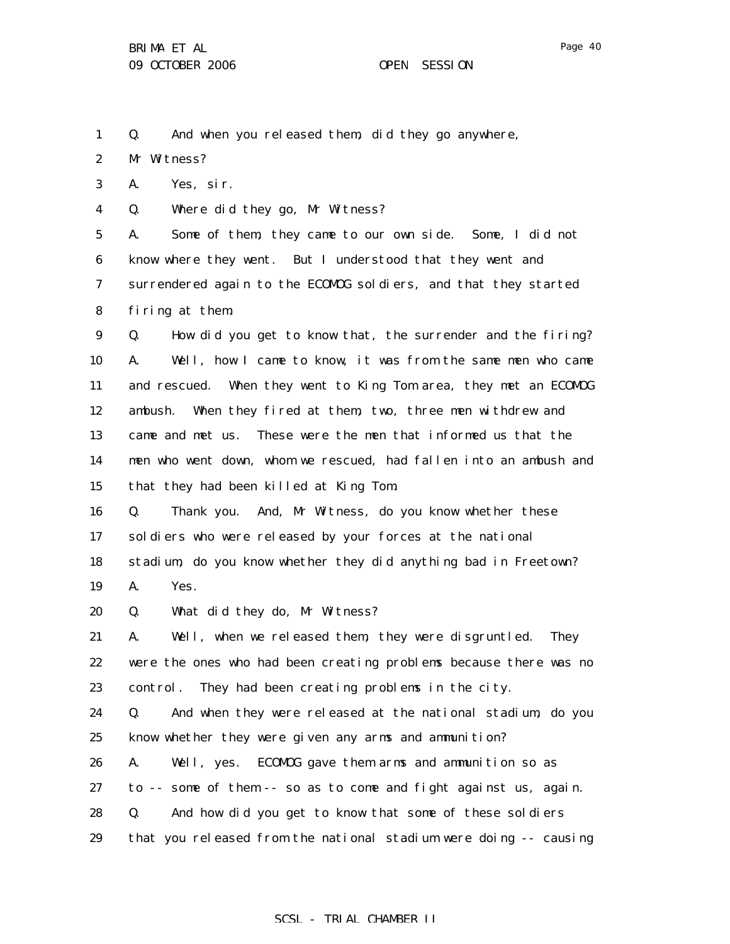1 Q. And when you released them, did they go anywhere,

2 Mr Witness?

3 A. Yes, sir.

4 Q. Where did they go, Mr Witness?

5 6 7 8 A. Some of them, they came to our own side. Some, I did not know where they went. But I understood that they went and surrendered again to the ECOMOG soldiers, and that they started firing at them.

9 10 11 12 13 14 15 Q. How did you get to know that, the surrender and the firing? A. Well, how I came to know, it was from the same men who came and rescued. When they went to King Tom area, they met an ECOMOG ambush. When they fired at them, two, three men withdrew and came and met us. These were the men that informed us that the men who went down, whom we rescued, had fallen into an ambush and that they had been killed at King Tom.

16 17 18 Q. Thank you. And, Mr Witness, do you know whether these soldiers who were released by your forces at the national stadium, do you know whether they did anything bad in Freetown?

19 A. Yes.

20 Q. What did they do, Mr Witness?

21 22 23 A. Well, when we released them, they were disgruntled. They were the ones who had been creating problems because there was no control. They had been creating problems in the city.

24 25 Q. And when they were released at the national stadium, do you know whether they were given any arms and ammunition?

26 A. Well, yes. ECOMOG gave them arms and ammunition so as

27 to -- some of them -- so as to come and fight against us, again.

- 28 Q. And how did you get to know that some of these soldiers
- 29 that you released from the national stadium were doing -- causing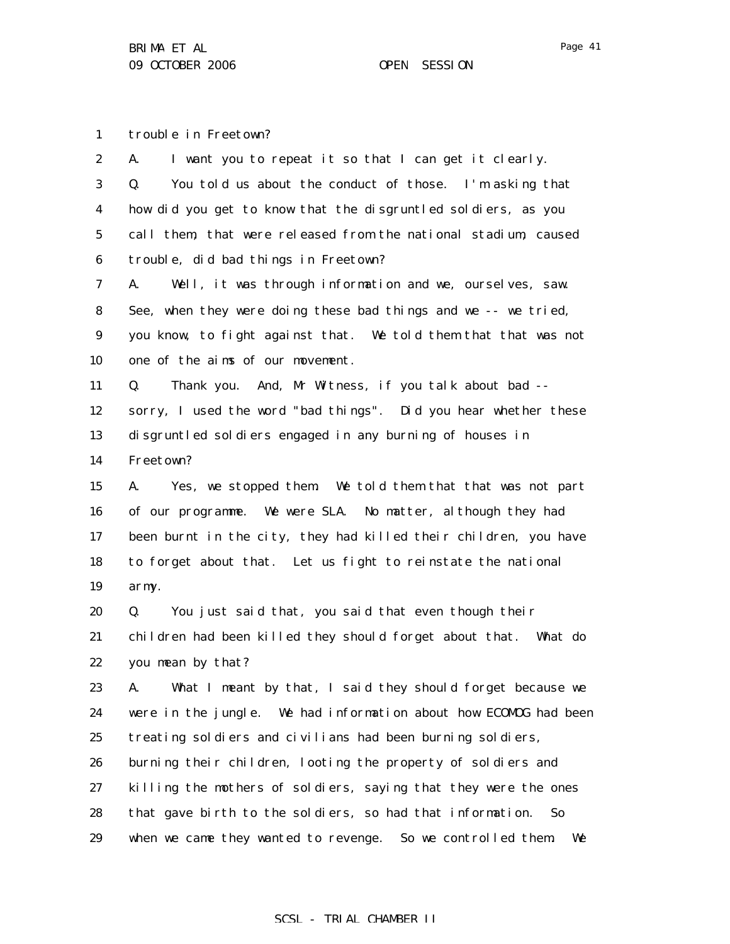1 trouble in Freetown?

| $\boldsymbol{2}$ | I want you to repeat it so that I can get it clearly.<br>A.       |
|------------------|-------------------------------------------------------------------|
| 3                | You told us about the conduct of those. I'm asking that<br>Q.     |
| 4                | how did you get to know that the disgruntled soldiers, as you     |
| $\bf{5}$         | call them, that were released from the national stadium, caused   |
| 6                | trouble, did bad things in Freetown?                              |
| 7                | A.<br>Well, it was through information and we, ourselves, saw.    |
| 8                | See, when they were doing these bad things and we -- we tried,    |
| $\boldsymbol{9}$ | you know, to fight against that. We told them that that was not   |
| 10               | one of the aims of our movement.                                  |
| 11               | Thank you. And, Mr Witness, if you talk about bad --<br>Q.        |
| 12               | sorry, I used the word "bad things". Did you hear whether these   |
| 13               | disgruntled soldiers engaged in any burning of houses in          |
| 14               | Freetown?                                                         |
| 15               | Yes, we stopped them. We told them that that was not part<br>A.   |
| 16               | of our programme. We were SLA. No matter, although they had       |
| 17               | been burnt in the city, they had killed their children, you have  |
| 18               | to forget about that. Let us fight to reinstate the national      |
| 19               | army.                                                             |
| 20               | You just said that, you said that even though their<br>Q.         |
| 21               | children had been killed they should forget about that. What do   |
| 22               | you mean by that?                                                 |
| 23               | What I meant by that, I said they should forget because we<br>А.  |
| 24               | were in the jungle. We had information about how ECOMOG had been  |
| 25               | treating soldiers and civilians had been burning soldiers,        |
| 26               | burning their children, looting the property of soldiers and      |
| 27               | killing the mothers of soldiers, saying that they were the ones   |
| 28               | that gave birth to the soldiers, so had that information.<br>So.  |
| 29               | when we came they wanted to revenge. So we controlled them.<br>We |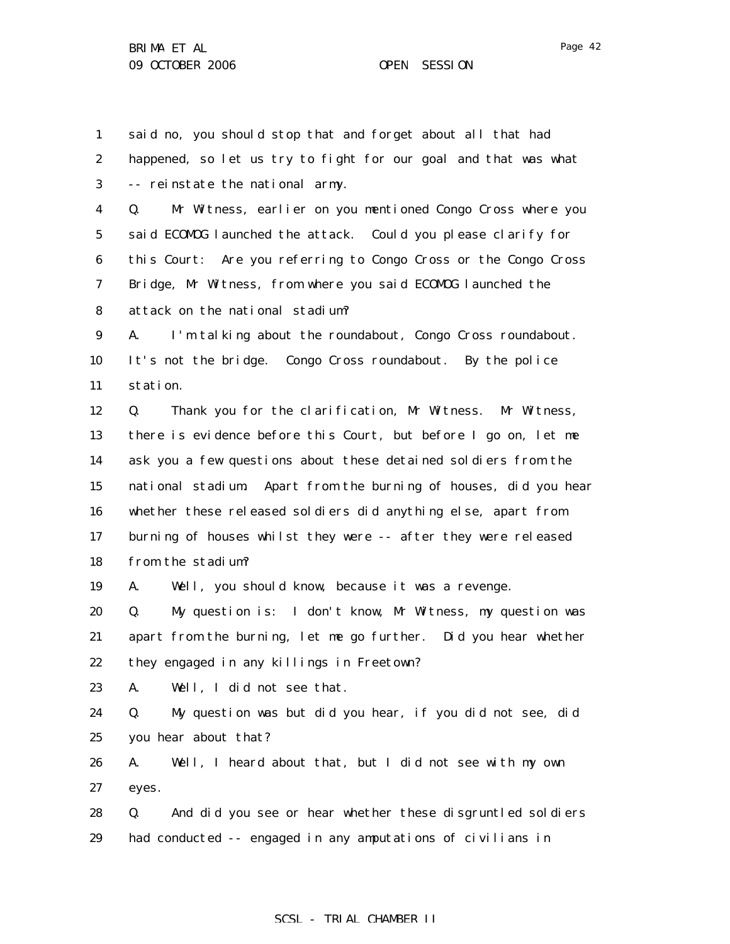1 2 3 4 5 6 7 8 9 10 11 12 13 14 15 16 17 18 19 20 21 22 23 24 25 26 27 28 29 said no, you should stop that and forget about all that had happened, so let us try to fight for our goal and that was what -- reinstate the national army. Q. Mr Witness, earlier on you mentioned Congo Cross where you said ECOMOG launched the attack. Could you please clarify for this Court: Are you referring to Congo Cross or the Congo Cross Bridge, Mr Witness, from where you said ECOMOG launched the attack on the national stadium? A. I'm talking about the roundabout, Congo Cross roundabout. It's not the bridge. Congo Cross roundabout. By the police station. Q. Thank you for the clarification, Mr Witness. Mr Witness, there is evidence before this Court, but before I go on, let me ask you a few questions about these detained soldiers from the national stadium. Apart from the burning of houses, did you hear whether these released soldiers did anything else, apart from burning of houses whilst they were -- after they were released from the stadium? A. Well, you should know, because it was a revenge. Q. My question is: I don't know, Mr Witness, my question was apart from the burning, let me go further. Did you hear whether they engaged in any killings in Freetown? A. Well, I did not see that. Q. My question was but did you hear, if you did not see, did you hear about that? A. Well, I heard about that, but I did not see with my own eyes. Q. And did you see or hear whether these disgruntled soldiers had conducted -- engaged in any amputations of civilians in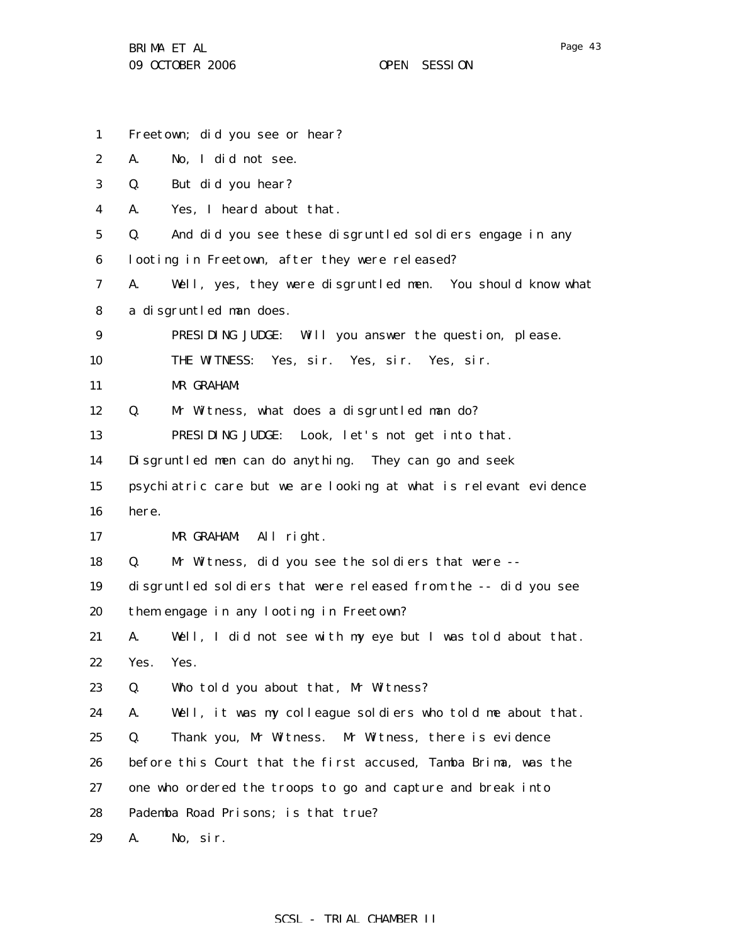1 2 3 4 5 6 7 8 9 10 11 12 13 14 15 16 17 18 19 20 21 22 23 24 25 26 27 28 29 Freetown; did you see or hear? A. No, I did not see. Q. But did you hear? A. Yes, I heard about that. Q. And did you see these disgruntled soldiers engage in any looting in Freetown, after they were released? A. Well, yes, they were disgruntled men. You should know what a disgruntled man does. PRESIDING JUDGE: Will you answer the question, please. THE WITNESS: Yes, sir. Yes, sir. Yes, sir. MR GRAHAM: Q. Mr Witness, what does a disgruntled man do? PRESIDING JUDGE: Look, let's not get into that. Disgruntled men can do anything. They can go and seek psychiatric care but we are looking at what is relevant evidence here. MR GRAHAM: All right. Q. Mr Witness, did you see the soldiers that were - disgruntled soldiers that were released from the -- did you see them engage in any looting in Freetown? A. Well, I did not see with my eye but I was told about that. Yes. Yes. Q. Who told you about that, Mr Witness? A. Well, it was my colleague soldiers who told me about that. Q. Thank you, Mr Witness. Mr Witness, there is evidence before this Court that the first accused, Tamba Brima, was the one who ordered the troops to go and capture and break into Pademba Road Prisons; is that true? A. No, sir.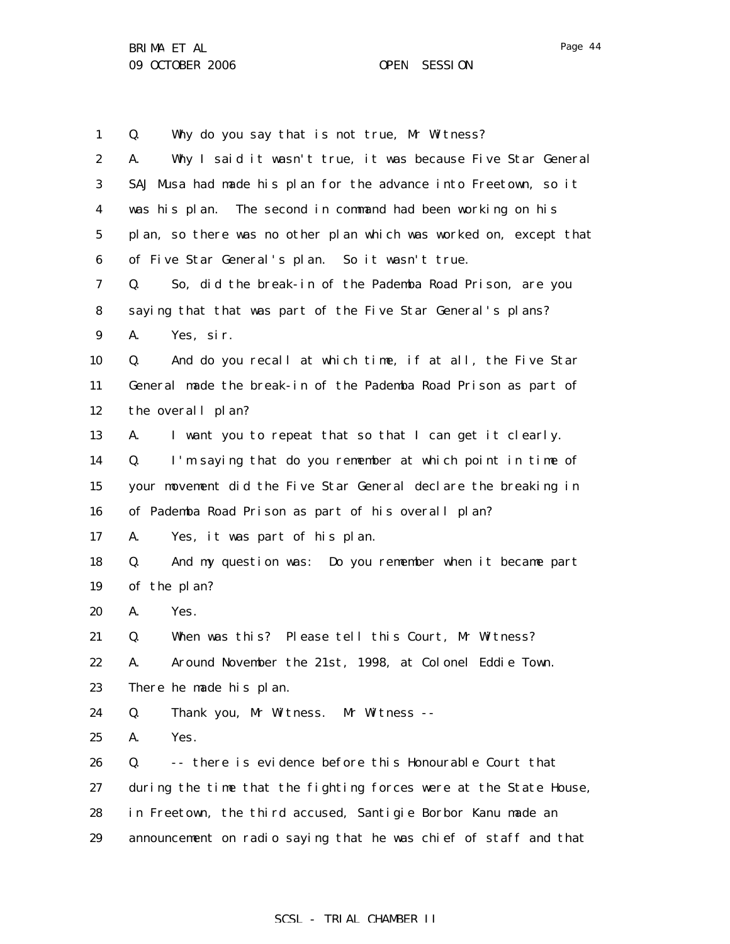1 2 3 4 5 6 7 8 9 10 11 12 13 14 15 16 17 18 19 20 21 22 23 24 25 26 27 28 29 Q. Why do you say that is not true, Mr Witness? A. Why I said it wasn't true, it was because Five Star General SAJ Musa had made his plan for the advance into Freetown, so it was his plan. The second in command had been working on his plan, so there was no other plan which was worked on, except that of Five Star General's plan. So it wasn't true. Q. So, did the break-in of the Pademba Road Prison, are you saying that that was part of the Five Star General's plans? A. Yes, sir. Q. And do you recall at which time, if at all, the Five Star General made the break-in of the Pademba Road Prison as part of the overall plan? A. I want you to repeat that so that I can get it clearly. Q. I'm saying that do you remember at which point in time of your movement did the Five Star General declare the breaking in of Pademba Road Prison as part of his overall plan? A. Yes, it was part of his plan. Q. And my question was: Do you remember when it became part of the plan? A. Yes. Q. When was this? Please tell this Court, Mr Witness? A. Around November the 21st, 1998, at Colonel Eddie Town. There he made his plan. Q. Thank you, Mr Witness. Mr Witness -- A. Yes. Q. -- there is evidence before this Honourable Court that during the time that the fighting forces were at the State House, in Freetown, the third accused, Santigie Borbor Kanu made an announcement on radio saying that he was chief of staff and that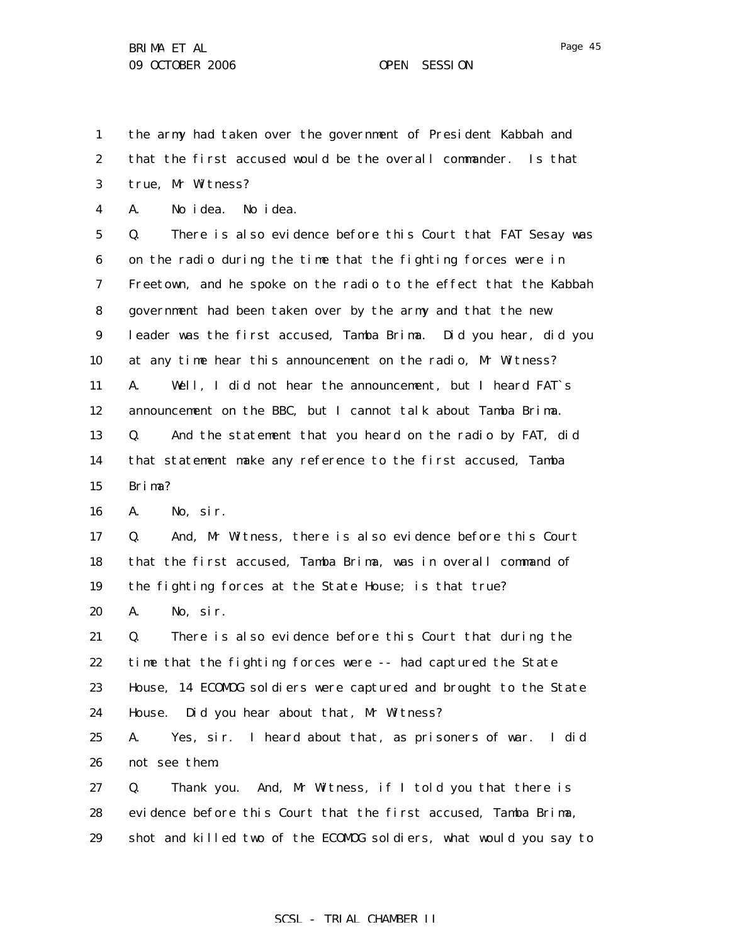1 the army had taken over the government of President Kabbah and

2 that the first accused would be the overall commander. Is that

3 true, Mr Witness?

4 A. No idea. No idea.

5 6 7 8 9 10 11 12 13 14 15 Q. There is also evidence before this Court that FAT Sesay was on the radio during the time that the fighting forces were in Freetown, and he spoke on the radio to the effect that the Kabbah government had been taken over by the army and that the new leader was the first accused, Tamba Brima. Did you hear, did you at any time hear this announcement on the radio, Mr Witness? A. Well, I did not hear the announcement, but I heard FAT`s announcement on the BBC, but I cannot talk about Tamba Brima. Q. And the statement that you heard on the radio by FAT, did that statement make any reference to the first accused, Tamba Brima?

16 A. No, sir.

17 18 19 Q. And, Mr Witness, there is also evidence before this Court that the first accused, Tamba Brima, was in overall command of the fighting forces at the State House; is that true?

20 A. No, sir.

21 22 23 24 Q. There is also evidence before this Court that during the time that the fighting forces were -- had captured the State House, 14 ECOMOG soldiers were captured and brought to the State House. Did you hear about that, Mr Witness?

25 26 A. Yes, sir. I heard about that, as prisoners of war. I did not see them.

27 28 29 Q. Thank you. And, Mr Witness, if I told you that there is evidence before this Court that the first accused, Tamba Brima, shot and killed two of the ECOMOG soldiers, what would you say to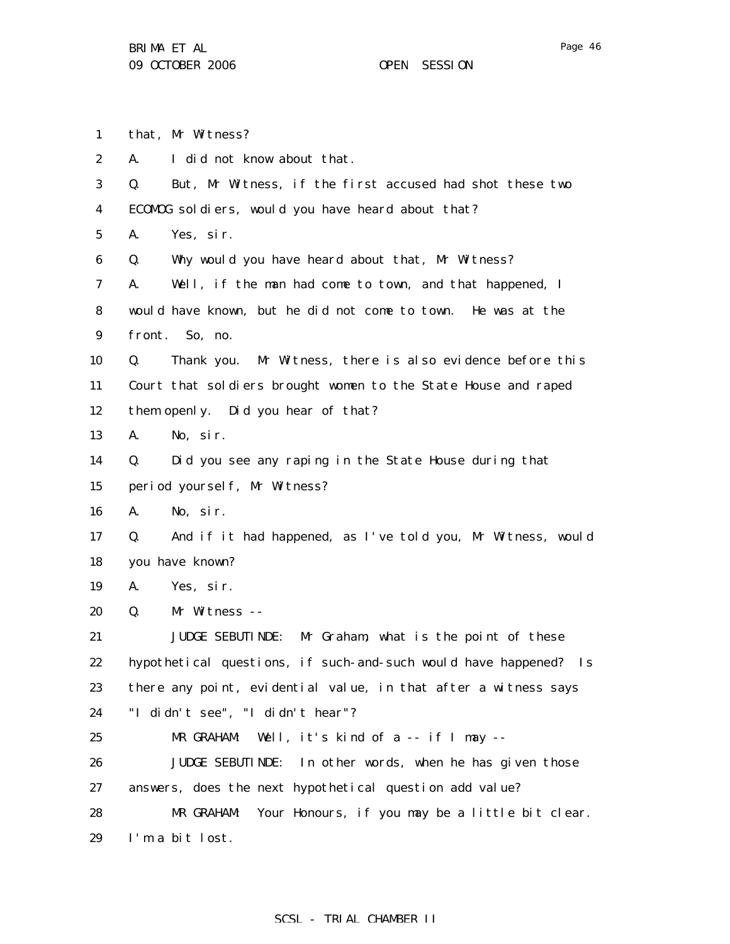1 2 3 4 5 6 7 8 9 10 11 12 13 14 15 16 17 18 19 20 21 22 23 24 25 26 27 28 29 that, Mr Witness? A. I did not know about that. Q. But, Mr Witness, if the first accused had shot these two ECOMOG soldiers, would you have heard about that? A. Yes, sir. Q. Why would you have heard about that, Mr Witness? A. Well, if the man had come to town, and that happened, I would have known, but he did not come to town. He was at the front. So, no. Q. Thank you. Mr Witness, there is also evidence before this Court that soldiers brought women to the State House and raped them openly. Did you hear of that? A. No, sir. Q. Did you see any raping in the State House during that period yourself, Mr Witness? A. No, sir. Q. And if it had happened, as I've told you, Mr Witness, would you have known? A. Yes, sir. Q. Mr Witness -- JUDGE SEBUTINDE: Mr Graham, what is the point of these hypothetical questions, if such-and-such would have happened? Is there any point, evidential value, in that after a witness says "I didn't see", "I didn't hear"? MR GRAHAM: Well, it's kind of a -- if I may -- JUDGE SEBUTINDE: In other words, when he has given those answers, does the next hypothetical question add value? MR GRAHAM: Your Honours, if you may be a little bit clear. I'm a bit lost.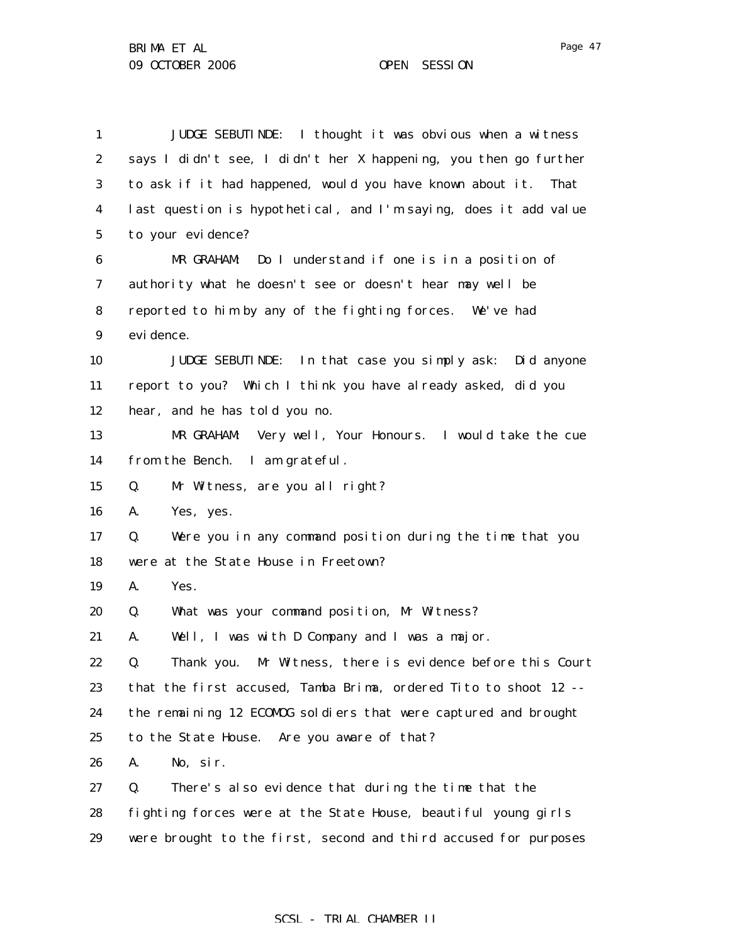| 1                | JUDGE SEBUTINDE: I thought it was obvious when a witness          |
|------------------|-------------------------------------------------------------------|
| $\boldsymbol{2}$ | says I didn't see, I didn't her X happening, you then go further  |
| 3                | to ask if it had happened, would you have known about it.<br>That |
| 4                | last question is hypothetical, and I'm saying, does it add value  |
| $5\phantom{.0}$  | to your evidence?                                                 |
| 6                | MR GRAHAM: Do I understand if one is in a position of             |
| 7                | authority what he doesn't see or doesn't hear may well be         |
| 8                | reported to him by any of the fighting forces. We've had          |
| $\boldsymbol{9}$ | evi dence.                                                        |
| 10               | JUDGE SEBUTINDE: In that case you simply ask: Did anyone          |
| 11               | report to you? Which I think you have already asked, did you      |
| 12               | hear, and he has told you no.                                     |
| 13               | Very well, Your Honours. I would take the cue<br>MR GRAHAM:       |
| 14               | from the Bench. I am grateful.                                    |
| 15               | Mr Witness, are you all right?<br>Q.                              |
| 16               | Yes, yes.<br>A.                                                   |
| 17               | Were you in any command position during the time that you<br>Q.   |
| 18               | were at the State House in Freetown?                              |
| 19               | Yes.<br>A.                                                        |
| 20               | What was your command position, Mr Witness?<br>Q.                 |
| 21               | Well, I was with D Company and I was a major.<br>А.               |
| 22               | Thank you. Mr Witness, there is evidence before this Court<br>Q.  |
| 23               | that the first accused, Tamba Brima, ordered Tito to shoot 12 --  |
| 24               | the remaining 12 ECOMOG soldiers that were captured and brought   |
| 25               | to the State House. Are you aware of that?                        |
| 26               | A.<br>No, sir.                                                    |
| 27               | There's also evidence that during the time that the<br>Q.         |
| 28               | fighting forces were at the State House, beautiful young girls    |
| 29               | were brought to the first, second and third accused for purposes  |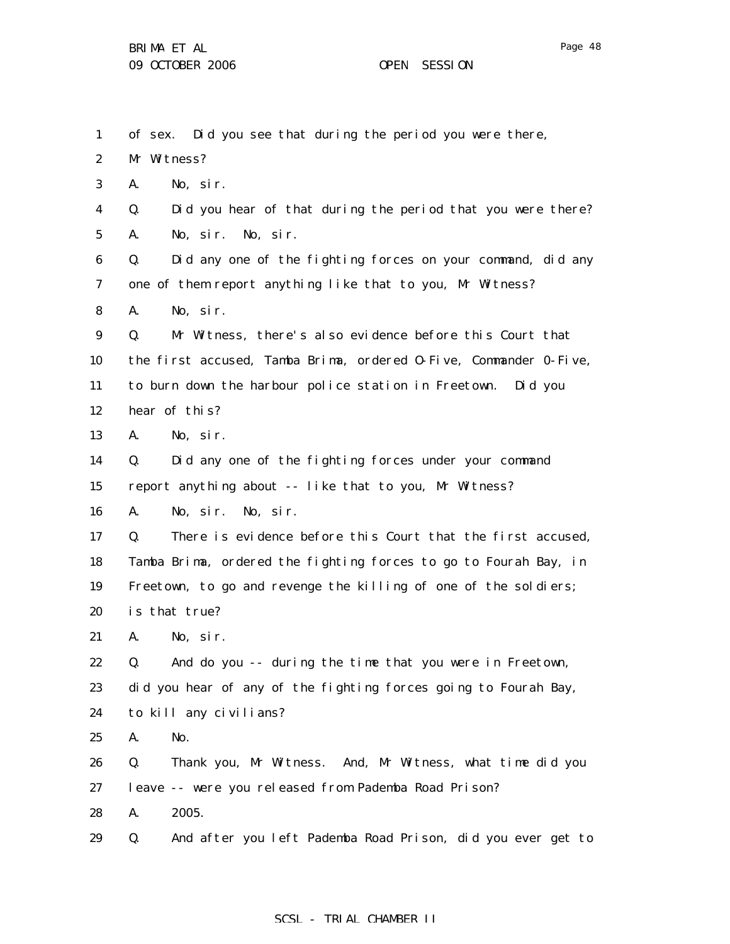| $\mathbf{1}$     | of sex. Did you see that during the period you were there,        |
|------------------|-------------------------------------------------------------------|
| $\boldsymbol{2}$ | Mr Witness?                                                       |
| 3                | A.<br>No, sir.                                                    |
| $\boldsymbol{4}$ | Did you hear of that during the period that you were there?<br>Q. |
| $\mathbf 5$      | A.<br>No, sir. No, sir.                                           |
| 6                | Did any one of the fighting forces on your command, did any<br>Q. |
| 7                | one of them report anything like that to you, Mr Witness?         |
| 8                | A.<br>No, sir.                                                    |
| 9                | Mr Witness, there's also evidence before this Court that<br>Q.    |
| 10               | the first accused, Tamba Brima, ordered 0-Five, Commander 0-Five, |
| 11               | to burn down the harbour police station in Freetown. Did you      |
| 12               | hear of this?                                                     |
| 13               | A.<br>No, sir.                                                    |
| 14               | Did any one of the fighting forces under your command<br>Q.       |
| 15               | report anything about -- like that to you, Mr Witness?            |
| 16               | No, sir. No, sir.<br>A.                                           |
| 17               | There is evidence before this Court that the first accused,<br>Q. |
| 18               | Tamba Brima, ordered the fighting forces to go to Fourah Bay, in  |
| 19               | Freetown, to go and revenge the killing of one of the soldiers;   |
| 20               | is that true?                                                     |
| 21               | A.<br>No, sir.                                                    |
| 22               | And do you -- during the time that you were in Freetown,<br>Q.    |
| 23               | did you hear of any of the fighting forces going to Fourah Bay,   |
| 24               | to kill any civilians?                                            |
| 25               | A.<br>No.                                                         |
| 26               | Thank you, Mr Witness. And, Mr Witness, what time did you<br>Q.   |
| 27               | leave -- were you released from Pademba Road Prison?              |
| 28               | 2005.<br>A.                                                       |
| 29               | And after you left Pademba Road Prison, did you ever get to<br>Q. |

# SCSL - TRIAL CHAMBER II

Page 48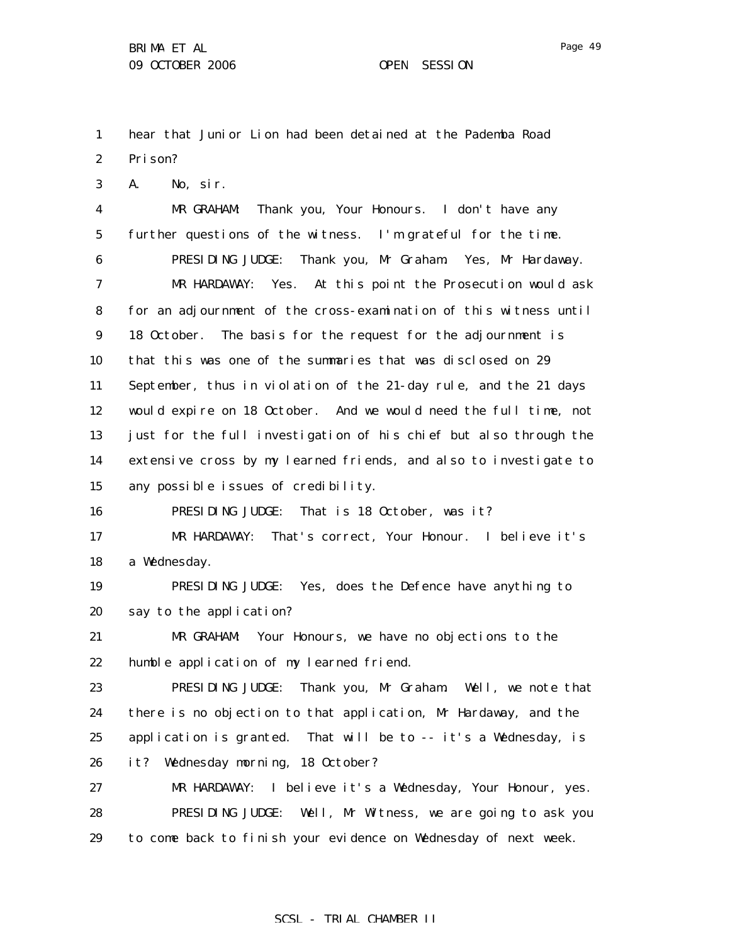A. No, sir.

3

Page 49

1 2 hear that Junior Lion had been detained at the Pademba Road Prison?

4 5 6 7 8 9 10 11 12 13 14 15 16 MR GRAHAM: Thank you, Your Honours. I don't have any further questions of the witness. I'm grateful for the time. PRESIDING JUDGE: Thank you, Mr Graham. Yes, Mr Hardaway. MR HARDAWAY: Yes. At this point the Prosecution would ask for an adjournment of the cross-examination of this witness until 18 October. The basis for the request for the adjournment is that this was one of the summaries that was disclosed on 29 September, thus in violation of the 21-day rule, and the 21 days would expire on 18 October. And we would need the full time, not just for the full investigation of his chief but also through the extensive cross by my learned friends, and also to investigate to any possible issues of credibility. PRESIDING JUDGE: That is 18 October, was it?

17 18 MR HARDAWAY: That's correct, Your Honour. I believe it's a Wednesday.

19 20 PRESIDING JUDGE: Yes, does the Defence have anything to say to the application?

21 22 MR GRAHAM: Your Honours, we have no objections to the humble application of my learned friend.

23 24 25 26 PRESIDING JUDGE: Thank you, Mr Graham. Well, we note that there is no objection to that application, Mr Hardaway, and the application is granted. That will be to -- it's a Wednesday, is it? Wednesday morning, 18 October?

27 28 29 MR HARDAWAY: I believe it's a Wednesday, Your Honour, yes. PRESIDING JUDGE: Well, Mr Witness, we are going to ask you to come back to finish your evidence on Wednesday of next week.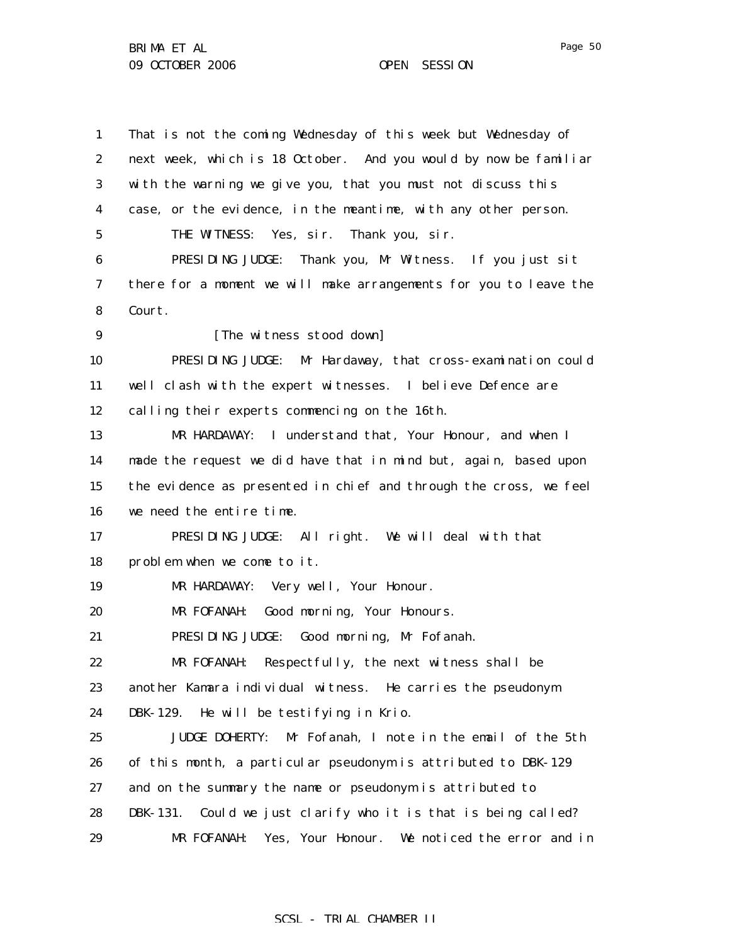1 2 3 4 5 6 7 8 9 10 11 12 13 14 15 16 17 18 19 20 21 22 23 24 25 26 27 28 29 That is not the coming Wednesday of this week but Wednesday of next week, which is 18 October. And you would by now be familiar with the warning we give you, that you must not discuss this case, or the evidence, in the meantime, with any other person. THE WITNESS: Yes, sir. Thank you, sir. PRESIDING JUDGE: Thank you, Mr Witness. If you just sit there for a moment we will make arrangements for you to leave the Court. [The witness stood down] PRESIDING JUDGE: Mr Hardaway, that cross-examination could well clash with the expert witnesses. I believe Defence are calling their experts commencing on the 16th. MR HARDAWAY: I understand that, Your Honour, and when I made the request we did have that in mind but, again, based upon the evidence as presented in chief and through the cross, we feel we need the entire time. PRESIDING JUDGE: All right. We will deal with that problem when we come to it. MR HARDAWAY: Very well, Your Honour. MR FOFANAH: Good morning, Your Honours. PRESIDING JUDGE: Good morning, Mr Fofanah. MR FOFANAH: Respectfully, the next witness shall be another Kamara individual witness. He carries the pseudonym DBK-129. He will be testifying in Krio. JUDGE DOHERTY: Mr Fofanah, I note in the email of the 5th of this month, a particular pseudonym is attributed to DBK-129 and on the summary the name or pseudonym is attributed to DBK-131. Could we just clarify who it is that is being called? MR FOFANAH: Yes, Your Honour. We noticed the error and in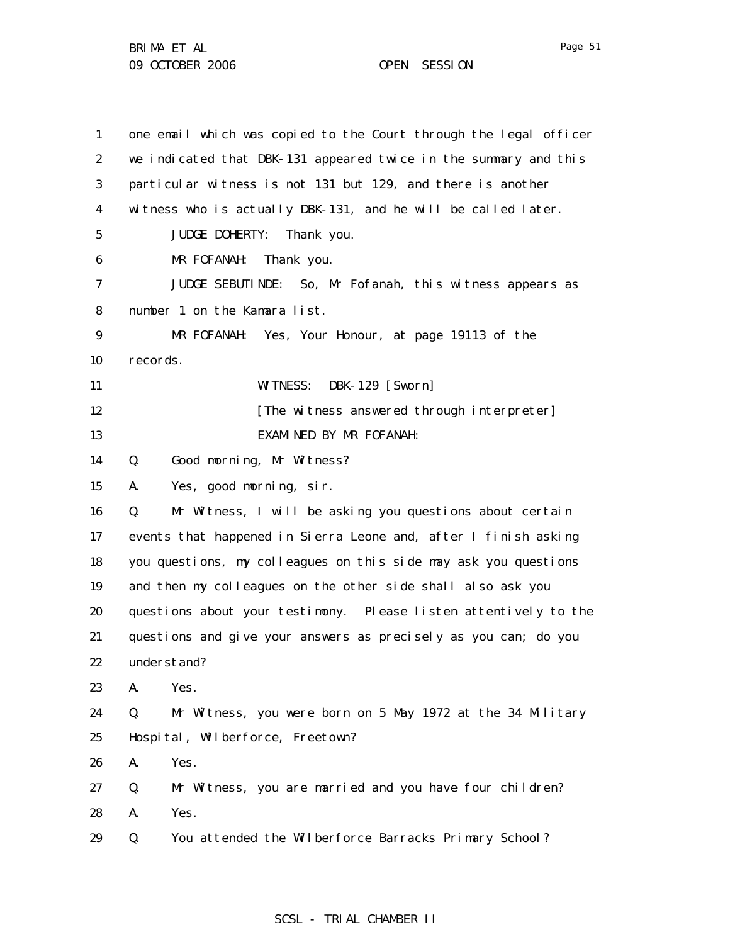BRIMA ET AL 09 OCTOBER 2006 OPEN SESSION

| $\mathbf{1}$     | one email which was copied to the Court through the legal officer |
|------------------|-------------------------------------------------------------------|
| $\boldsymbol{2}$ | we indicated that DBK-131 appeared twice in the summary and this  |
| 3                | particular witness is not 131 but 129, and there is another       |
| 4                | witness who is actually DBK-131, and he will be called later.     |
| 5                | <b>JUDGE DOHERTY:</b><br>Thank you.                               |
| 6                | MR FOFANAH:<br>Thank you.                                         |
| 7                | JUDGE SEBUTINDE: So, Mr Fofanah, this witness appears as          |
| 8                | number 1 on the Kamara list.                                      |
| 9                | MR FOFANAH: Yes, Your Honour, at page 19113 of the                |
| 10               | records.                                                          |
| 11               | <b>DBK-129</b> [Sworn]<br><b>WITNESS:</b>                         |
| 12               | [The witness answered through interpreter]                        |
| 13               | <b>EXAMINED BY MR FOFANAH:</b>                                    |
| 14               | Good morning, Mr Witness?<br>Q.                                   |
| 15               | Yes, good morning, sir.<br>A.                                     |
| 16               | Mr Witness, I will be asking you questions about certain<br>Q.    |
| 17               | events that happened in Sierra Leone and, after I finish asking   |
| 18               | you questions, my colleagues on this side may ask you questions   |
| 19               | and then my colleagues on the other side shall also ask you       |
| 20               | questions about your testimony. Please listen attentively to the  |
| 21               | questions and give your answers as precisely as you can; do you   |
| 22               | understand?                                                       |
| 23               | A.<br>Yes.                                                        |
| 24               | Mr Witness, you were born on 5 May 1972 at the 34 Military<br>Q.  |
| 25               | Hospital, Wilberforce, Freetown?                                  |
| 26               | Yes.<br>A.                                                        |
| 27               | Mr Witness, you are married and you have four children?<br>Q.     |
| 28               | Yes.<br>A.                                                        |
| 29               | You attended the Wilberforce Barracks Primary School?<br>Q.       |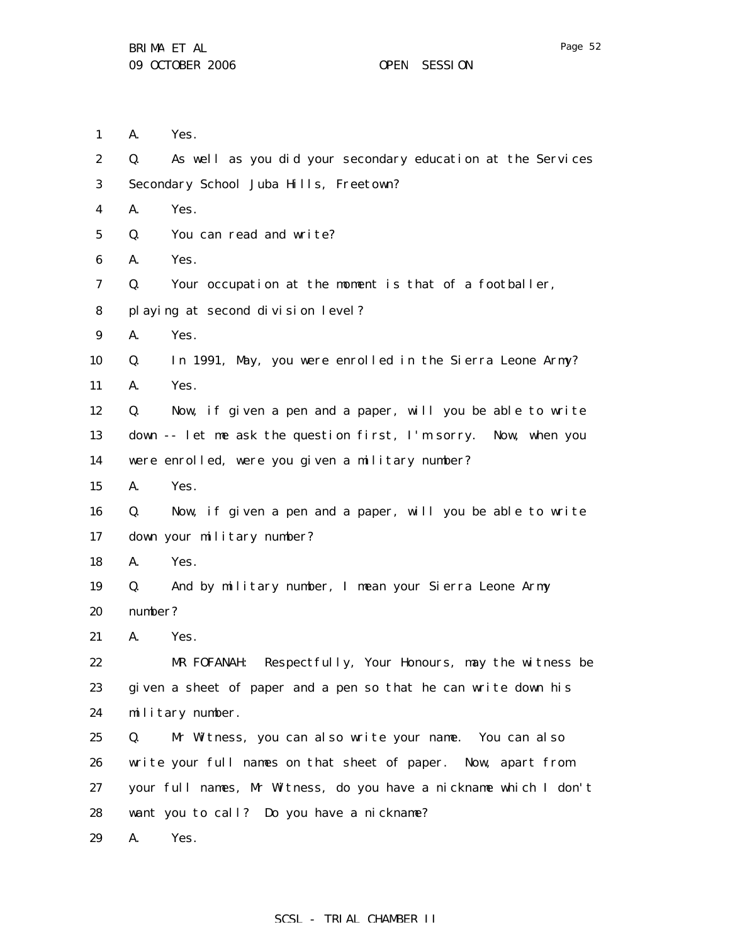1 2 3 4 5 6 7 8 9 10 11 12 13 14 15 16 17 18 19 20 21 22 23 24 25 26 27 28 29 A. Yes. Q. As well as you did your secondary education at the Services Secondary School Juba Hills, Freetown? A. Yes. Q. You can read and write? A. Yes. Q. Your occupation at the moment is that of a footballer, playing at second division level? A. Yes. Q. In 1991, May, you were enrolled in the Sierra Leone Army? A. Yes. Q. Now, if given a pen and a paper, will you be able to write down -- let me ask the question first, I'm sorry. Now, when you were enrolled, were you given a military number? A. Yes. Q. Now, if given a pen and a paper, will you be able to write down your military number? A. Yes. Q. And by military number, I mean your Sierra Leone Army number? A. Yes. MR FOFANAH: Respectfully, Your Honours, may the witness be given a sheet of paper and a pen so that he can write down his military number. Q. Mr Witness, you can also write your name. You can also write your full names on that sheet of paper. Now, apart from your full names, Mr Witness, do you have a nickname which I don't want you to call? Do you have a nickname? A. Yes.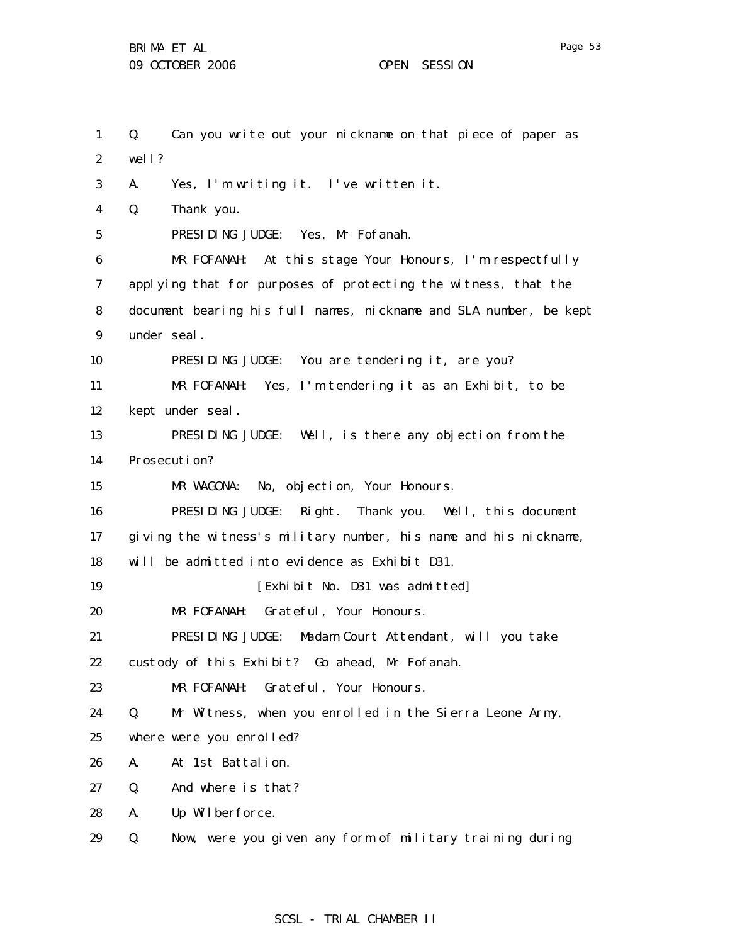1 2 3 4 5 6 7 8 9 10 11 12 13 14 15 16 17 18 19 20 21 22 23 24 25 26 27 28 29 Q. Can you write out your nickname on that piece of paper as well? A. Yes, I'm writing it. I've written it. Q. Thank you. PRESIDING JUDGE: Yes, Mr Fofanah. MR FOFANAH: At this stage Your Honours, I'm respectfully applying that for purposes of protecting the witness, that the document bearing his full names, nickname and SLA number, be kept under seal. PRESIDING JUDGE: You are tendering it, are you? MR FOFANAH: Yes, I'm tendering it as an Exhibit, to be kept under seal. PRESIDING JUDGE: Well, is there any objection from the Prosecution? MR WAGONA: No, objection, Your Honours. PRESIDING JUDGE: Right. Thank you. Well, this document giving the witness's military number, his name and his nickname, will be admitted into evidence as Exhibit D31. [Exhibit No. D31 was admitted] MR FOFANAH: Grateful, Your Honours. PRESIDING JUDGE: Madam Court Attendant, will you take custody of this Exhibit? Go ahead, Mr Fofanah. MR FOFANAH: Grateful, Your Honours. Q. Mr Witness, when you enrolled in the Sierra Leone Army, where were you enrolled? A. At 1st Battalion. Q. And where is that? A. Up Wilberforce. Q. Now, were you given any form of military training during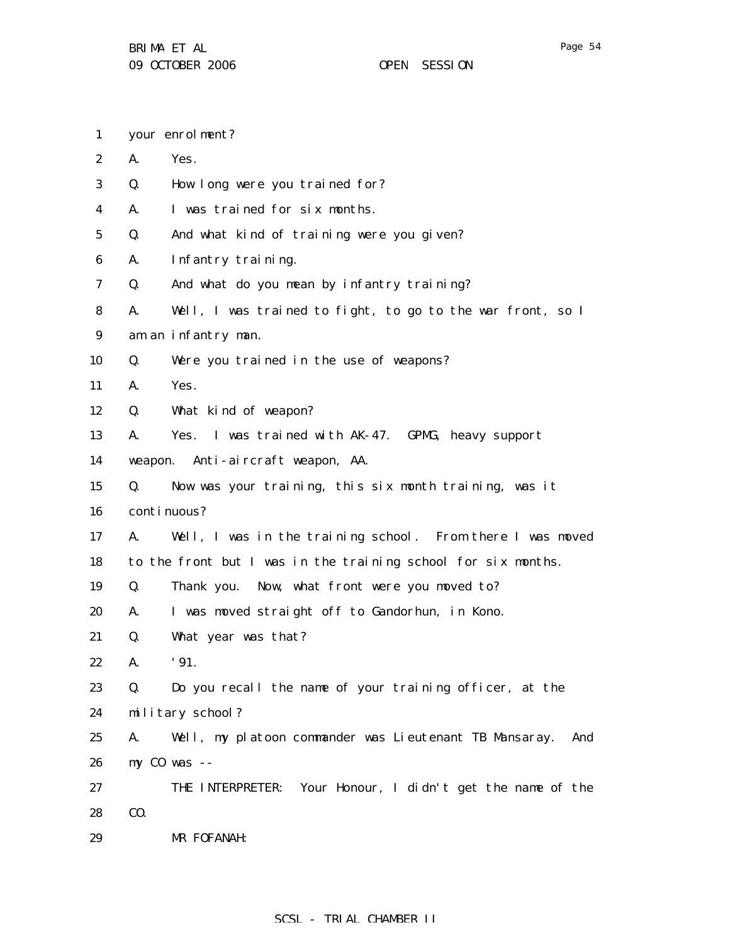- 1 your enrolment?
- 2 A. Yes.
- 3 Q. How long were you trained for?
- 4 A. I was trained for six months.
- 5 Q. And what kind of training were you given?
- 6 A. Infantry training.
- 7 Q. And what do you mean by infantry training?
- 8 A. Well, I was trained to fight, to go to the war front, so I
- 9 am an infantry man.
- 10 Q. Were you trained in the use of weapons?
- 11 A. Yes.
- 12 Q. What kind of weapon?
- 13 A. Yes. I was trained with AK-47. GPMG, heavy support
- 14 weapon. Anti-aircraft weapon, AA.
- 15 Q. Now was your training, this six month training, was it
- 16 continuous?
- 17 18 A. Well, I was in the training school. From there I was moved to the front but I was in the training school for six months.
- 19 Q. Thank you. Now, what front were you moved to?
- 20 A. I was moved straight off to Gandorhun, in Kono.
- 21 Q. What year was that?
- 22 A. '91.
- 23 Q. Do you recall the name of your training officer, at the
- 24 military school?
- 25 26 A. Well, my platoon commander was Lieutenant TB Mansaray. And my CO was --
- 27 28 THE INTERPRETER: Your Honour, I didn't get the name of the CO.
- 29 MR FOFANAH: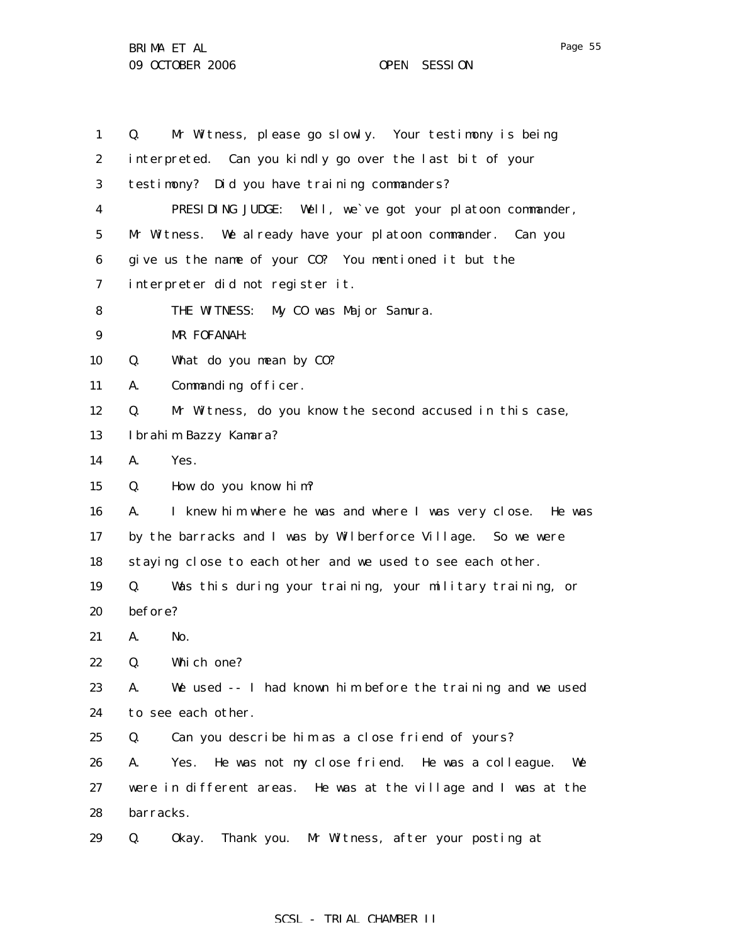1 2 3 4 5 6 7 8 9 10 11 12 13 14 15 16 17 18 19 20 21 22 23 24 25 26 27 28 29 Q. Mr Witness, please go slowly. Your testimony is being interpreted. Can you kindly go over the last bit of your testimony? Did you have training commanders? PRESIDING JUDGE: Well, we`ve got your platoon commander, Mr Witness. We already have your platoon commander. Can you give us the name of your CO? You mentioned it but the interpreter did not register it. THE WITNESS: My CO was Major Samura. MR FOFANAH: Q. What do you mean by CO? A. Commanding officer. Q. Mr Witness, do you know the second accused in this case, Ibrahim Bazzy Kamara? A. Yes. Q. How do you know him? A. I knew him where he was and where I was very close. He was by the barracks and I was by Wilberforce Village. So we were staying close to each other and we used to see each other. Q. Was this during your training, your military training, or before? A. No. Q. Which one? A. We used -- I had known him before the training and we used to see each other. Q. Can you describe him as a close friend of yours? A. Yes. He was not my close friend. He was a colleague. We were in different areas. He was at the village and I was at the barracks. Q. Okay. Thank you. Mr Witness, after your posting at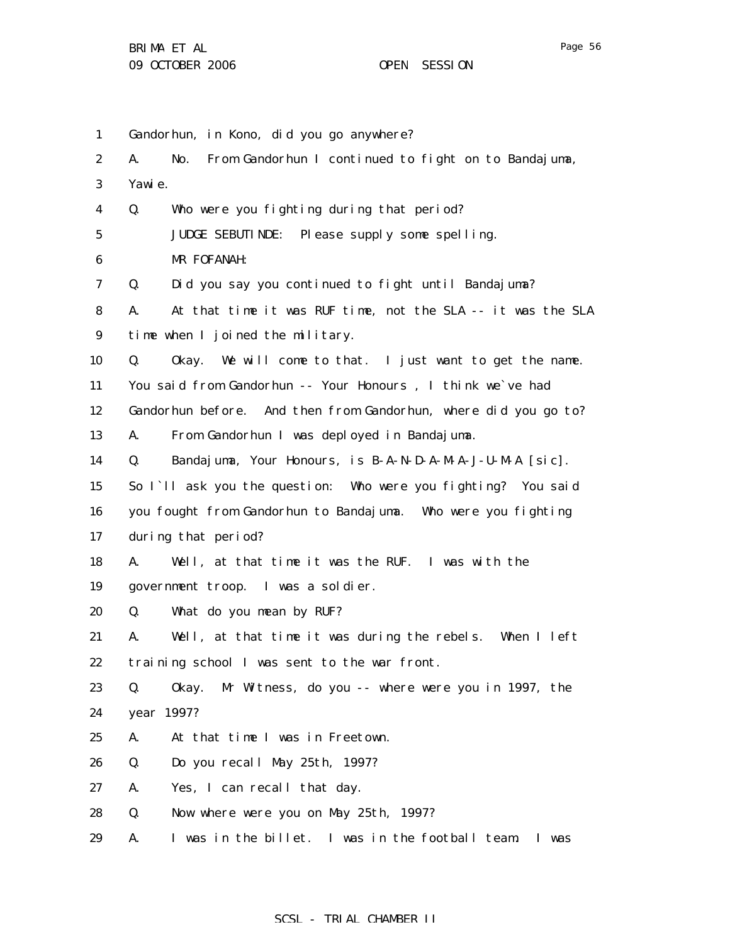1 2 3 4 5 6 7 8 9 10 11 12 13 14 15 16 17 18 19 20 21 22 23 24 25 26 27 28 29 Gandorhun, in Kono, did you go anywhere? A. No. From Gandorhun I continued to fight on to Bandajuma, Yawie. Q. Who were you fighting during that period? JUDGE SEBUTINDE: Please supply some spelling. MR FOFANAH: Q. Did you say you continued to fight until Bandajuma? A. At that time it was RUF time, not the SLA -- it was the SLA time when I joined the military. Q. Okay. We will come to that. I just want to get the name. You said from Gandorhun -- Your Honours , I think we`ve had Gandorhun before. And then from Gandorhun, where did you go to? A. From Gandorhun I was deployed in Bandajuma. Q. Bandajuma, Your Honours, is B-A-N-D-A-M-A-J-U-M-A [sic]. So I`ll ask you the question: Who were you fighting? You said you fought from Gandorhun to Bandajuma. Who were you fighting during that period? A. Well, at that time it was the RUF. I was with the government troop. I was a soldier. Q. What do you mean by RUF? A. Well, at that time it was during the rebels. When I left training school I was sent to the war front. Q. Okay. Mr Witness, do you -- where were you in 1997, the year 1997? A. At that time I was in Freetown. Q. Do you recall May 25th, 1997? A. Yes, I can recall that day. Q. Now where were you on May 25th, 1997? A. I was in the billet. I was in the football team. I was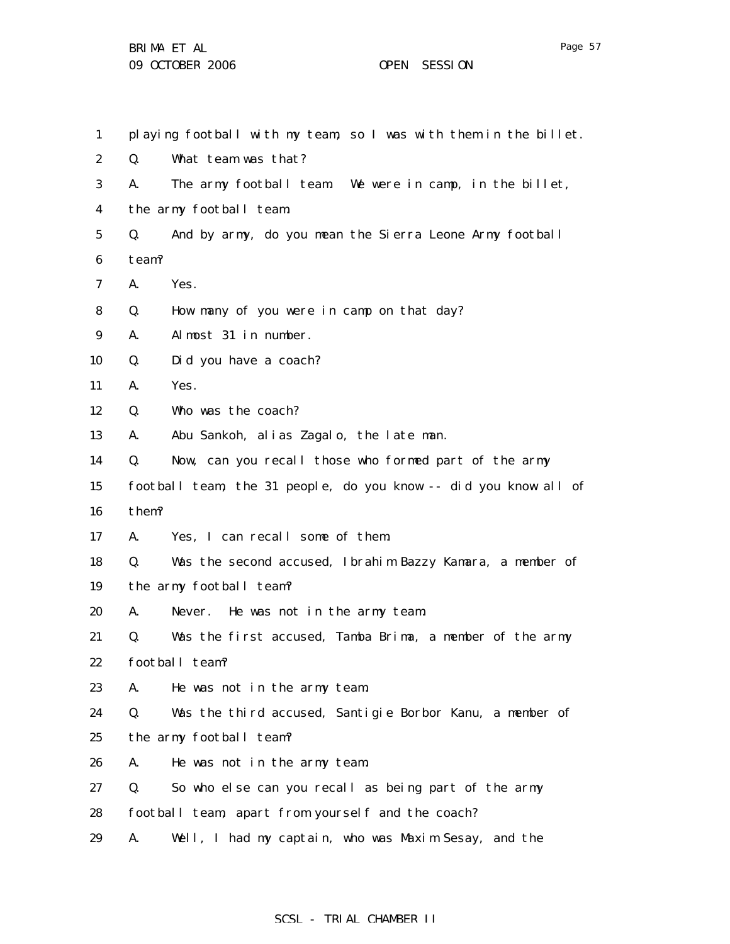| 1                |       | playing football with my team, so I was with them in the billet. |
|------------------|-------|------------------------------------------------------------------|
| $\boldsymbol{2}$ | Q.    | What team was that?                                              |
| 3                | A.    | The army football team. We were in camp, in the billet,          |
| $\boldsymbol{4}$ |       | the army football team.                                          |
| $5\phantom{.0}$  | Q.    | And by army, do you mean the Sierra Leone Army football          |
| $\boldsymbol{6}$ | team? |                                                                  |
| 7                | A.    | Yes.                                                             |
| 8                | Q.    | How many of you were in camp on that day?                        |
| 9                | A.    | Almost 31 in number.                                             |
| 10               | Q.    | Did you have a coach?                                            |
| 11               | A.    | Yes.                                                             |
| 12               | Q.    | Who was the coach?                                               |
| 13               | A.    | Abu Sankoh, alias Zagalo, the late man.                          |
| 14               | Q.    | Now, can you recall those who formed part of the army            |
| 15               |       | football team, the 31 people, do you know -- did you know all of |
| 16               | them? |                                                                  |
| 17               | A.    | Yes, I can recall some of them.                                  |
| 18               | Q.    | Was the second accused, Ibrahim Bazzy Kamara, a member of        |
| 19               |       | the army football team?                                          |
| 20               | A.    | Never. He was not in the army team.                              |
| 21               | Q.    | Was the first accused, Tamba Brima, a member of the army         |
| 22               |       | football team?                                                   |
| 23               | A.    | He was not in the army team.                                     |
| 24               | Q.    | Was the third accused, Santigie Borbor Kanu, a member of         |
| 25               |       | the army football team?                                          |
| 26               | A.    | He was not in the army team.                                     |
| 27               | Q.    | So who else can you recall as being part of the army             |
| 28               |       | football team, apart from yourself and the coach?                |
| 29               | A.    | Well, I had my captain, who was Maxim Sesay, and the             |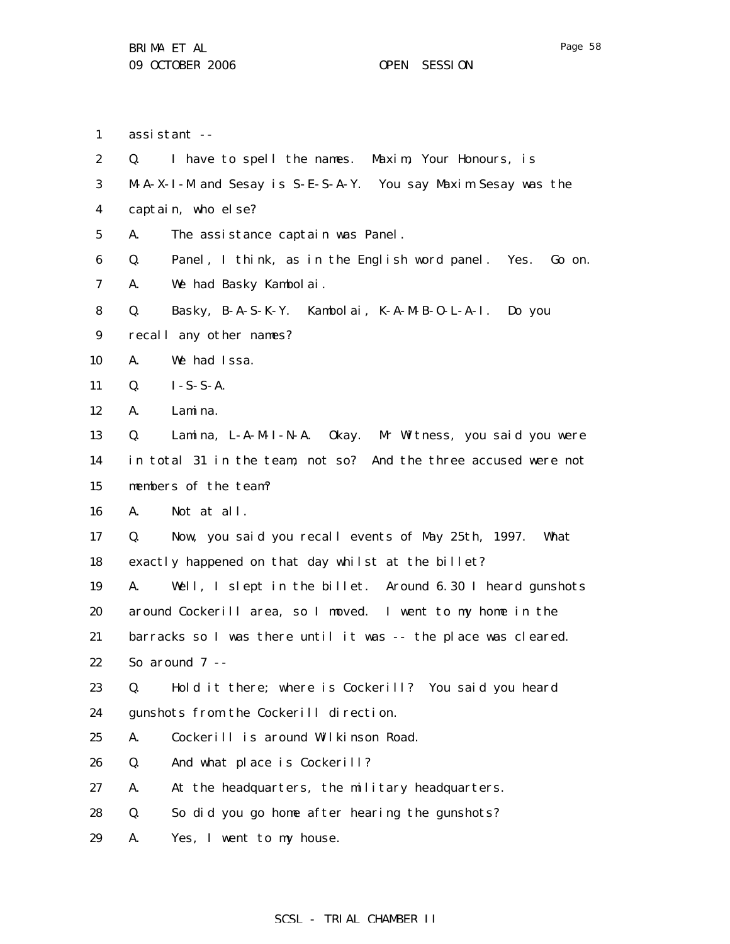assistant --

1

2 3 4 5 6 7 8 9 10 11 12 13 14 15 16 17 18 19 20 21 22 23 24 25 26 27 28 29 Q. I have to spell the names. Maxim, Your Honours, is M-A-X-I-M and Sesay is S-E-S-A-Y. You say Maxim Sesay was the captain, who else? A. The assistance captain was Panel. Q. Panel, I think, as in the English word panel. Yes. Go on. A. We had Basky Kambolai. Q. Basky, B-A-S-K-Y. Kambolai, K-A-M-B-O-L-A-I. Do you recall any other names? A. We had Issa. Q. I-S-S-A. A. Lamina. Q. Lamina, L-A-M-I-N-A. Okay. Mr Witness, you said you were in total 31 in the team, not so? And the three accused were not members of the team? A. Not at all. Q. Now, you said you recall events of May 25th, 1997. What exactly happened on that day whilst at the billet? A. Well, I slept in the billet. Around 6.30 I heard gunshots around Cockerill area, so I moved. I went to my home in the barracks so I was there until it was -- the place was cleared. So around 7 -- Q. Hold it there; where is Cockerill? You said you heard gunshots from the Cockerill direction. A. Cockerill is around Wilkinson Road. Q. And what place is Cockerill? A. At the headquarters, the military headquarters. Q. So did you go home after hearing the gunshots? A. Yes, I went to my house.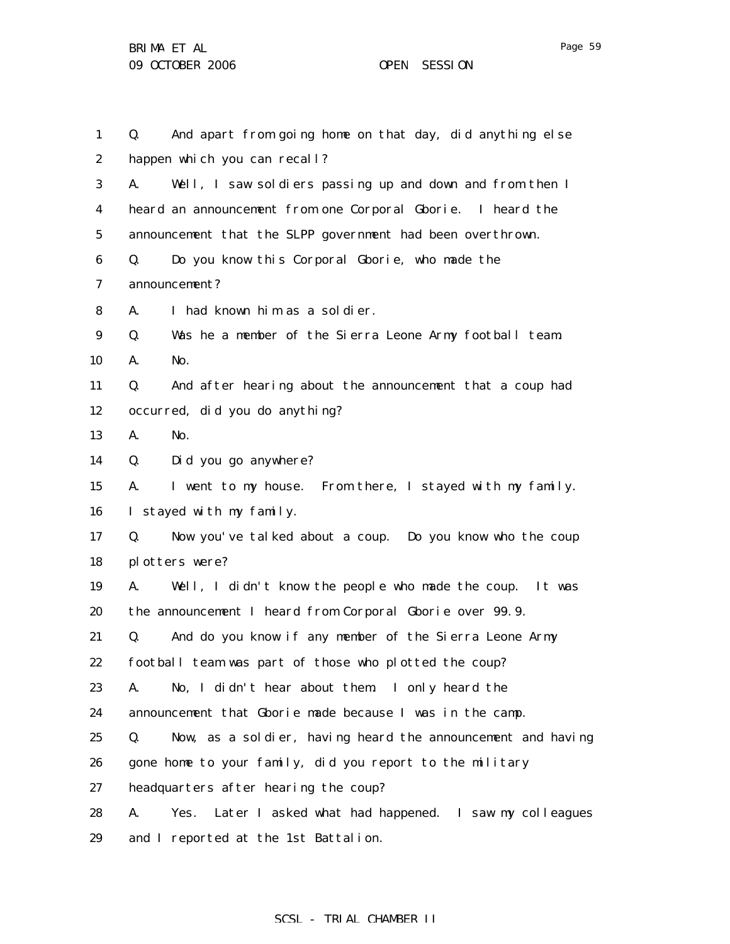1 2 3 4 5 6 7 8 9 10 11 12 13 14 15 16 17 18 19 20 21 22 23 24 25 26 27 28 Q. And apart from going home on that day, did anything else happen which you can recall? A. Well, I saw soldiers passing up and down and from then I heard an announcement from one Corporal Gborie. I heard the announcement that the SLPP government had been overthrown. Q. Do you know this Corporal Gborie, who made the announcement? A. I had known him as a soldier. Q. Was he a member of the Sierra Leone Army football team. A. No. Q. And after hearing about the announcement that a coup had occurred, did you do anything? A. No. Q. Did you go anywhere? A. I went to my house. From there, I stayed with my family. I stayed with my family. Q. Now you've talked about a coup. Do you know who the coup plotters were? A. Well, I didn't know the people who made the coup. It was the announcement I heard from Corporal Gborie over 99.9. Q. And do you know if any member of the Sierra Leone Army football team was part of those who plotted the coup? A. No, I didn't hear about them. I only heard the announcement that Gborie made because I was in the camp. Q. Now, as a soldier, having heard the announcement and having gone home to your family, did you report to the military headquarters after hearing the coup? A. Yes. Later I asked what had happened. I saw my colleagues

29 and I reported at the 1st Battalion.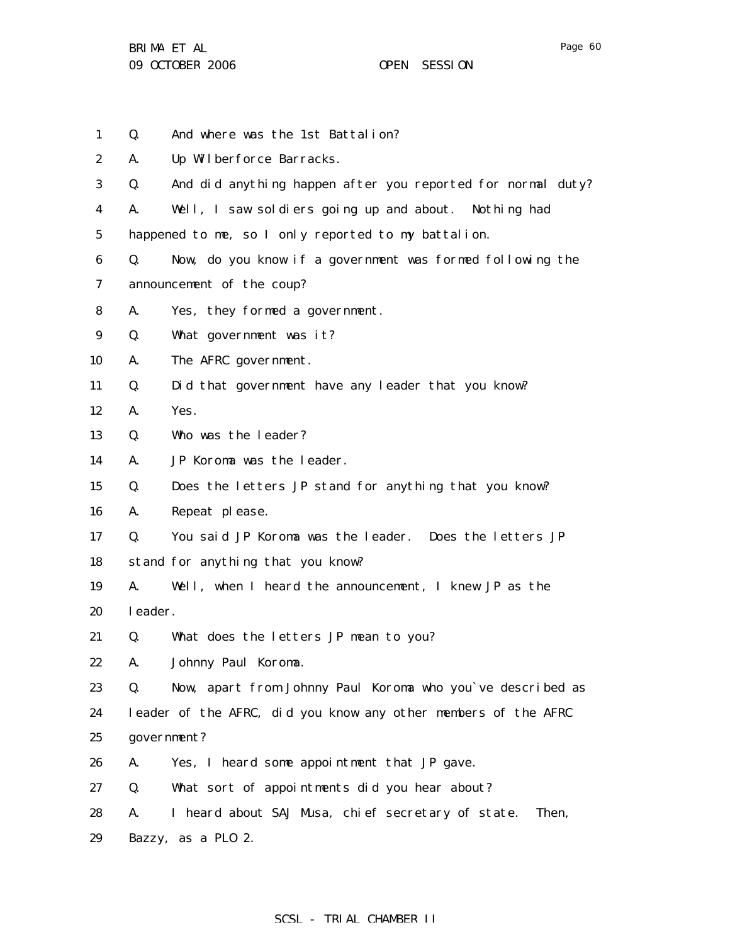BRIMA ET AL 09 OCTOBER 2006 OPEN SESSION

| 1                | Q.      | And where was the 1st Battalion?                               |
|------------------|---------|----------------------------------------------------------------|
| $\boldsymbol{2}$ | A.      | Up Wilberforce Barracks.                                       |
| 3                | Q.      | And did anything happen after you reported for normal duty?    |
| 4                | A.      | Well, I saw soldiers going up and about. Nothing had           |
| $\mathbf{5}$     |         | happened to me, so I only reported to my battalion.            |
| 6                | Q.      | Now, do you know if a government was formed following the      |
| 7                |         | announcement of the coup?                                      |
| 8                | A.      | Yes, they formed a government.                                 |
| 9                | Q.      | What government was it?                                        |
| 10               | A.      | The AFRC government.                                           |
| 11               | Q.      | Did that government have any leader that you know?             |
| 12               | A.      | Yes.                                                           |
| 13               | Q.      | Who was the leader?                                            |
| 14               | A.      | JP Koroma was the leader.                                      |
| 15               | Q.      | Does the letters JP stand for anything that you know?          |
| 16               | A.      | Repeat please.                                                 |
| 17               | Q.      | You said JP Koroma was the leader. Does the letters JP         |
| 18               |         | stand for anything that you know?                              |
| 19               | A.      | Well, when I heard the announcement, I knew JP as the          |
| 20               | leader. |                                                                |
| 21               | Q.      | What does the letters JP mean to you?                          |
| 22               | A.      | Johnny Paul Koroma.                                            |
| 23               | Q.      | Now, apart from Johnny Paul Koroma who you've described as     |
| 24               |         | leader of the AFRC, did you know any other members of the AFRC |
| 25               |         | government?                                                    |
| 26               | A.      | Yes, I heard some appointment that JP gave.                    |
| 27               | Q.      | What sort of appointments did you hear about?                  |
| 28               | A.      | I heard about SAJ Musa, chief secretary of state.<br>Then,     |
| 29               |         | Bazzy, as a PLO 2.                                             |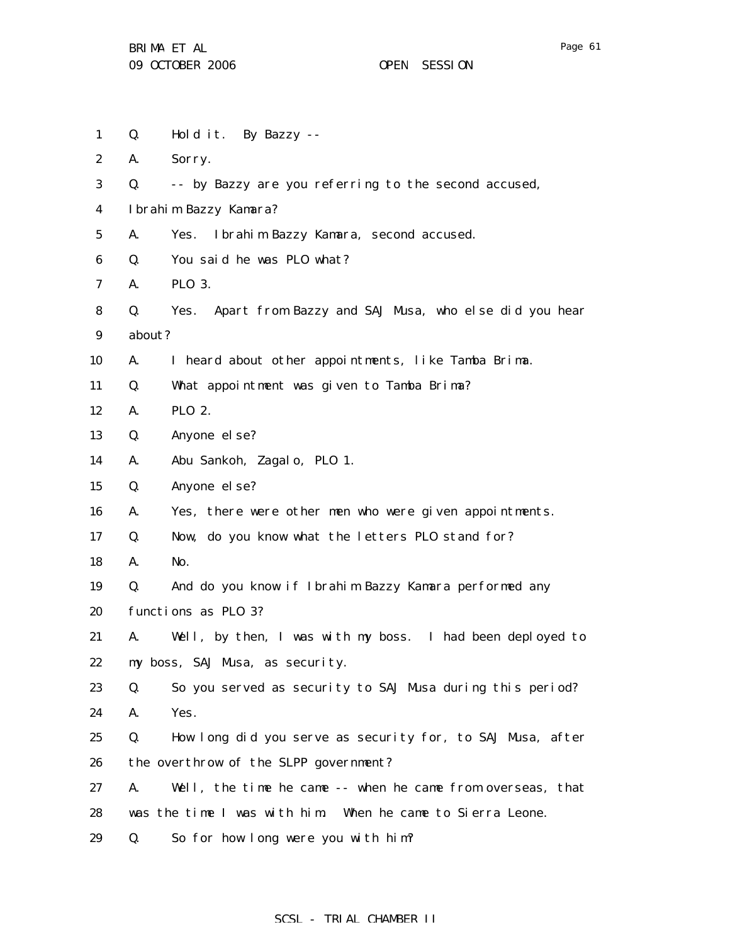| $\mathbf{1}$     | Q.     | Hold it. By Bazzy --                                       |
|------------------|--------|------------------------------------------------------------|
| $\boldsymbol{2}$ | A.     | Sorry.                                                     |
| 3                | Q.     | -- by Bazzy are you referring to the second accused,       |
| 4                |        | Ibrahim Bazzy Kamara?                                      |
| $\mathbf{5}$     | A.     | Ibrahim Bazzy Kamara, second accused.<br>Yes.              |
| 6                | Q.     | You said he was PLO what?                                  |
| 7                | A.     | PL0 3.                                                     |
| 8                | Q.     | Yes. Apart from Bazzy and SAJ Musa, who else did you hear  |
| 9                | about? |                                                            |
| 10               | A.     | I heard about other appointments, like Tamba Brima.        |
| 11               | Q.     | What appointment was given to Tamba Brima?                 |
| 12               | A.     | PL0 2.                                                     |
| 13               | Q.     | Anyone el se?                                              |
| 14               | A.     | Abu Sankoh, Zagalo, PLO 1.                                 |
| 15               | Q.     | Anyone el se?                                              |
| 16               | A.     | Yes, there were other men who were given appointments.     |
| 17               | Q.     | Now, do you know what the letters PLO stand for?           |
| 18               | A.     | No.                                                        |
| 19               | Q.     | And do you know if Ibrahim Bazzy Kamara performed any      |
| 20               |        | functions as PLO 3?                                        |
| 21               | A.     | Well, by then, I was with my boss. I had been deployed to  |
| 22               |        | my boss, SAJ Musa, as security.                            |
| 23               | Q.     | So you served as security to SAJ Musa during this period?  |
| 24               | A.     | Yes.                                                       |
| 25               | Q.     | How long did you serve as security for, to SAJ Musa, after |
| 26               |        | the overthrow of the SLPP government?                      |
| 27               | A.     | Well, the time he came -- when he came from overseas, that |
| 28               |        | was the time I was with him. When he came to Sierra Leone. |
| 29               | Q.     | So for how long were you with him?                         |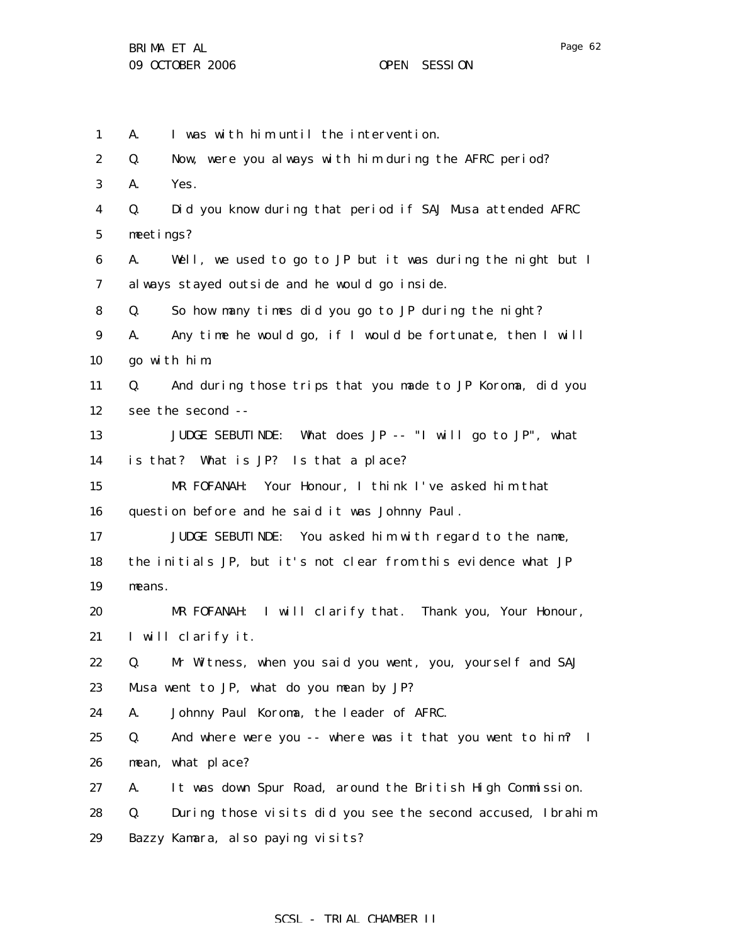1

2

3

4

5

6

7

8

9

10

11

12

13

14

15

16

17

18

19

20

21

22

23

24

25

26

27

28

A. I was with him until the intervention. Q. Now, were you always with him during the AFRC period? A. Yes. Q. Did you know during that period if SAJ Musa attended AFRC meetings? A. Well, we used to go to JP but it was during the night but I always stayed outside and he would go inside. Q. So how many times did you go to JP during the night? A. Any time he would go, if I would be fortunate, then I will go with him. Q. And during those trips that you made to JP Koroma, did you see the second -- JUDGE SEBUTINDE: What does JP -- "I will go to JP", what is that? What is JP? Is that a place? MR FOFANAH: Your Honour, I think I've asked him that question before and he said it was Johnny Paul. JUDGE SEBUTINDE: You asked him with regard to the name, the initials JP, but it's not clear from this evidence what JP means. MR FOFANAH: I will clarify that. Thank you, Your Honour, I will clarify it. Q. Mr Witness, when you said you went, you, yourself and SAJ Musa went to JP, what do you mean by JP? A. Johnny Paul Koroma, the leader of AFRC. Q. And where were you -- where was it that you went to him? I mean, what place? A. It was down Spur Road, around the British High Commission. Q. During those visits did you see the second accused, Ibrahim

29 Bazzy Kamara, also paying visits?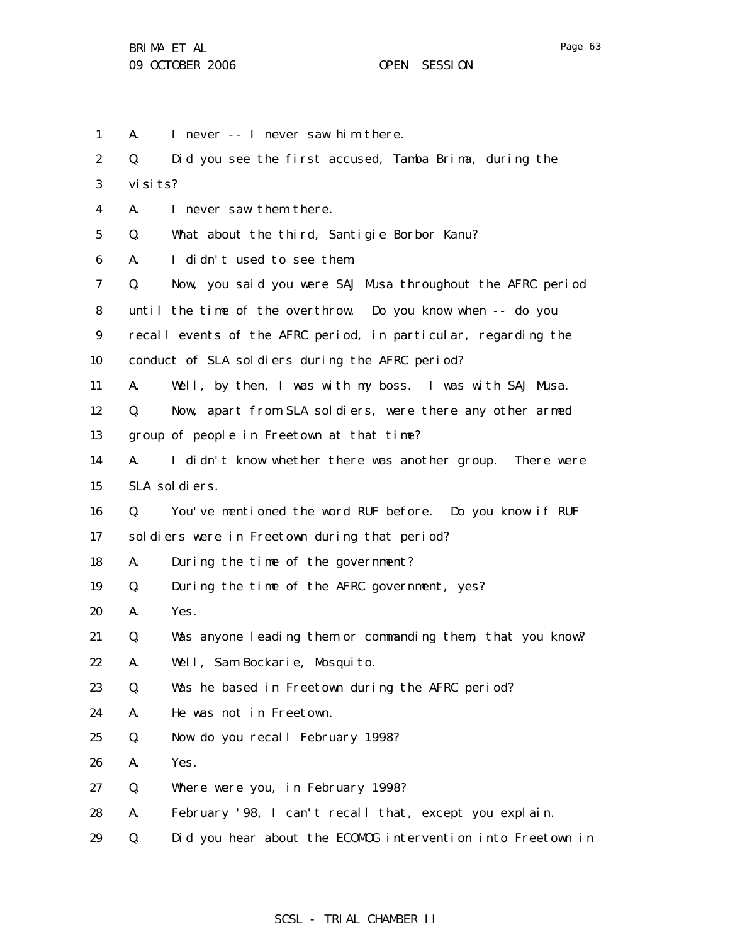1 2 3 4 5 6 7 8 9 10 11 12 13 14 15 16 17 18 19 20 21 22 23 24 25 26 27 28 29 A. I never -- I never saw him there. Q. Did you see the first accused, Tamba Brima, during the visits? A. I never saw them there. Q. What about the third, Santigie Borbor Kanu? A. I didn't used to see them. Q. Now, you said you were SAJ Musa throughout the AFRC period until the time of the overthrow. Do you know when -- do you recall events of the AFRC period, in particular, regarding the conduct of SLA soldiers during the AFRC period? A. Well, by then, I was with my boss. I was with SAJ Musa. Q. Now, apart from SLA soldiers, were there any other armed group of people in Freetown at that time? A. I didn't know whether there was another group. There were SLA soldiers. Q. You've mentioned the word RUF before. Do you know if RUF soldiers were in Freetown during that period? A. During the time of the government? Q. During the time of the AFRC government, yes? A. Yes. Q. Was anyone leading them or commanding them, that you know? A. Well, Sam Bockarie, Mosquito. Q. Was he based in Freetown during the AFRC period? A. He was not in Freetown. Q. Now do you recall February 1998? A. Yes. Q. Where were you, in February 1998? A. February '98, I can't recall that, except you explain. Q. Did you hear about the ECOMOG intervention into Freetown in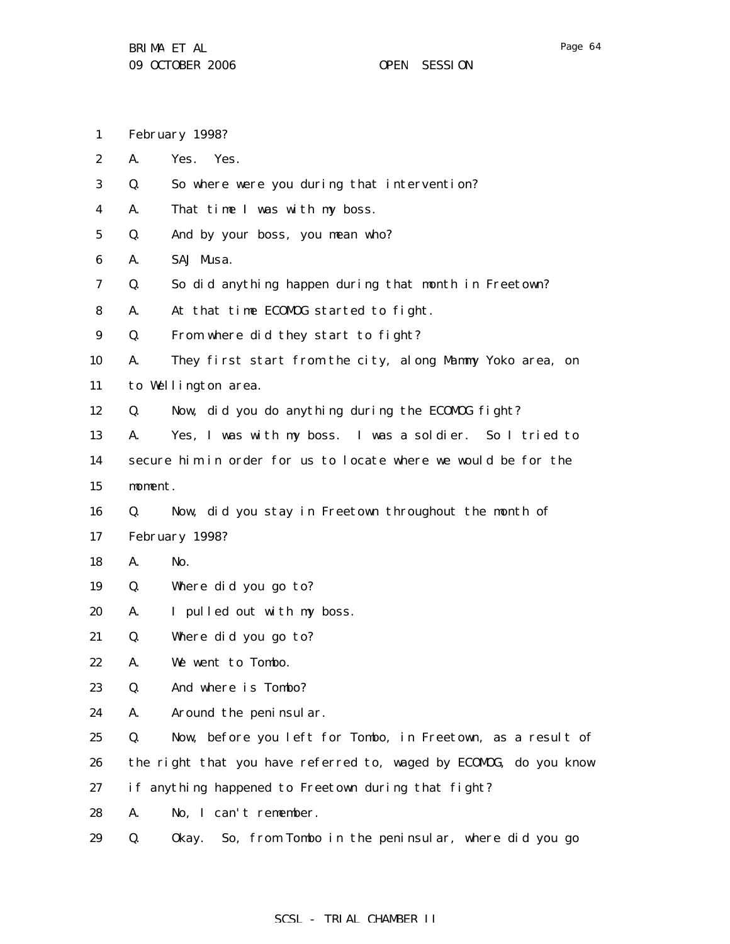- 1 February 1998?
- 2 A. Yes. Yes.
- 3 Q. So where were you during that intervention?
- 4 A. That time I was with my boss.
- 5 Q. And by your boss, you mean who?
- 6 A. SAJ Musa.
- 7 Q. So did anything happen during that month in Freetown?
- 8 A. At that time ECOMOG started to fight.
- 9 Q. From where did they start to fight?

10 11 A. They first start from the city, along Mammy Yoko area, on to Wellington area.

- 12 Q. Now, did you do anything during the ECOMOG fight?
- 13 14 15 A. Yes, I was with my boss. I was a soldier. So I tried to secure him in order for us to locate where we would be for the moment.
- 16 Q. Now, did you stay in Freetown throughout the month of
- 17 February 1998?
- 18 A. No.
- 19 Q. Where did you go to?
- 20 A. I pulled out with my boss.
- 21 Q. Where did you go to?
- 22 A. We went to Tombo.
- 23 Q. And where is Tombo?
- 24 A. Around the peninsular.
- 25 26 Q. Now, before you left for Tombo, in Freetown, as a result of the right that you have referred to, waged by ECOMOG, do you know
- 27 if anything happened to Freetown during that fight?
- 28 A. No, I can't remember.
- 29 Q. Okay. So, from Tombo in the peninsular, where did you go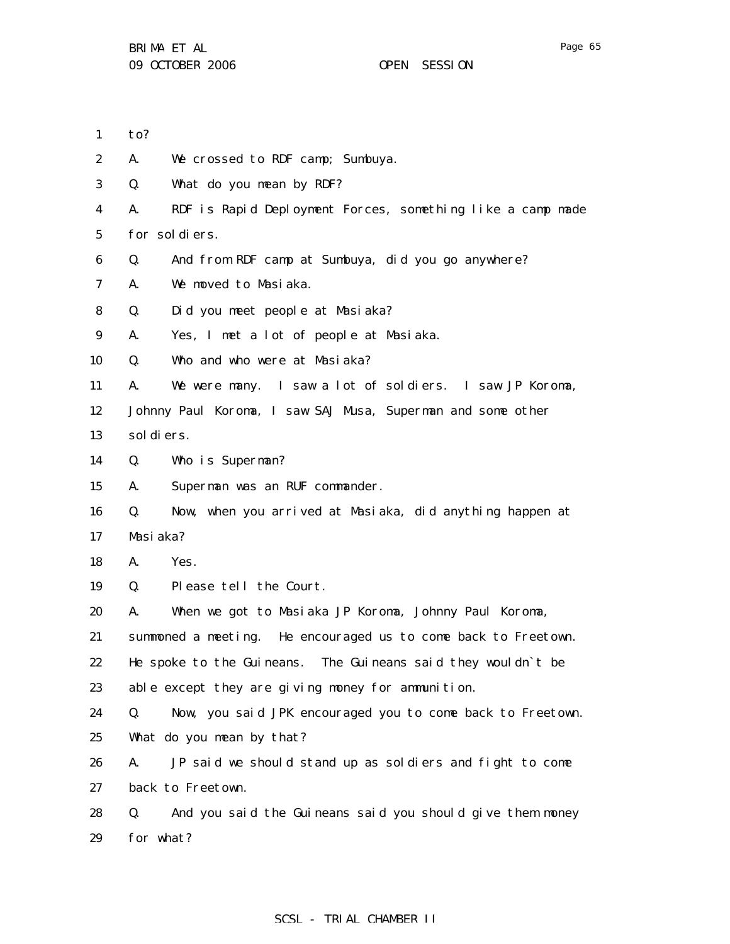- 1 to?
- 2 A. We crossed to RDF camp; Sumbuya.
- 3 Q. What do you mean by RDF?
- 4 5 A. RDF is Rapid Deployment Forces, something like a camp made for soldiers.
- 6 Q. And from RDF camp at Sumbuya, did you go anywhere?
- 7 A. We moved to Masiaka.
- 8 Q. Did you meet people at Masiaka?

9 A. Yes, I met a lot of people at Masiaka.

- 10 Q. Who and who were at Masiaka?
- 11 A. We were many. I saw a lot of soldiers. I saw JP Koroma,

12 Johnny Paul Koroma, I saw SAJ Musa, Superman and some other

13 soldiers.

- 14 Q. Who is Superman?
- 15 A. Superman was an RUF commander.
- 16 17 Q. Now, when you arrived at Masiaka, did anything happen at Masiaka?
- 18 A. Yes.
- 19 Q. Please tell the Court.
- 20 A. When we got to Masiaka JP Koroma, Johnny Paul Koroma,
- 21 summoned a meeting. He encouraged us to come back to Freetown.
- 22 He spoke to the Guineans. The Guineans said they wouldn`t be
- 23 able except they are giving money for ammunition.
- 24 25 Q. Now, you said JPK encouraged you to come back to Freetown. What do you mean by that?
- 26 27 A. JP said we should stand up as soldiers and fight to come back to Freetown.
- 28 29 Q. And you said the Guineans said you should give them money for what?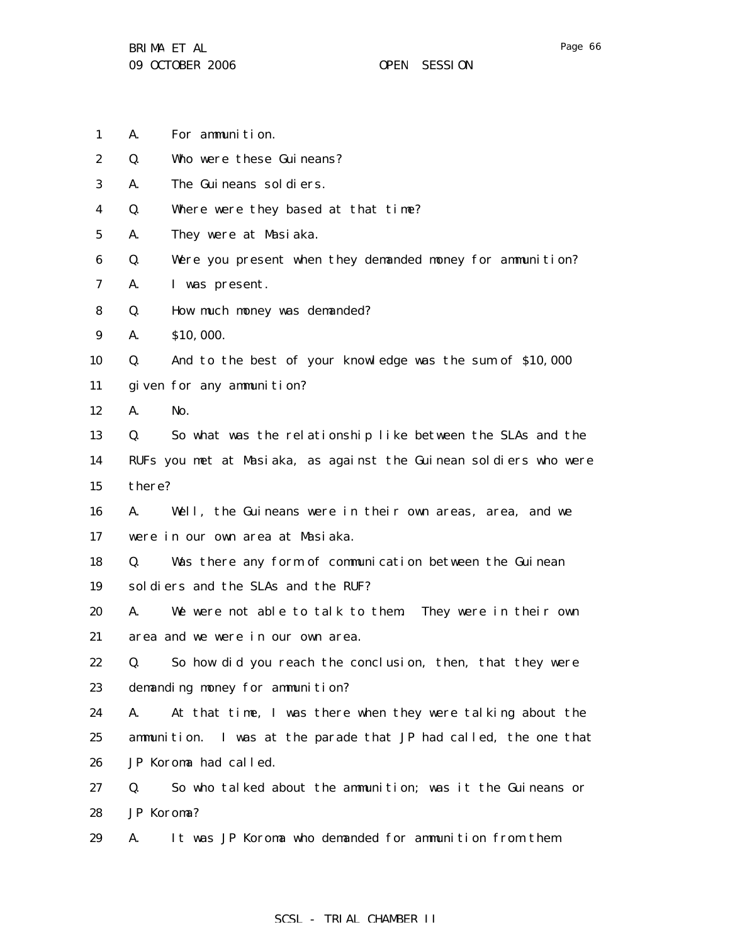- 1 A. For ammunition.
- 2 Q. Who were these Guineans?
- 3 A. The Guineans soldiers.
- 4 Q. Where were they based at that time?
- 5 A. They were at Masiaka.
- 6 Q. Were you present when they demanded money for ammunition?
- 7 A. I was present.
- 8 Q. How much money was demanded?
- 9 A. \$10,000.

10 Q. And to the best of your knowledge was the sum of \$10,000

- 11 given for any ammunition?
- 12 A. No.

13 14 15 Q. So what was the relationship like between the SLAs and the RUFs you met at Masiaka, as against the Guinean soldiers who were there?

16 17 A. Well, the Guineans were in their own areas, area, and we were in our own area at Masiaka.

18 19 Q. Was there any form of communication between the Guinean soldiers and the SLAs and the RUF?

20 21 A. We were not able to talk to them. They were in their own area and we were in our own area.

22 23 Q. So how did you reach the conclusion, then, that they were demanding money for ammunition?

24 25 26 A. At that time, I was there when they were talking about the ammunition. I was at the parade that JP had called, the one that JP Koroma had called.

27 28 Q. So who talked about the ammunition; was it the Guineans or JP Koroma?

29 A. It was JP Koroma who demanded for ammunition from them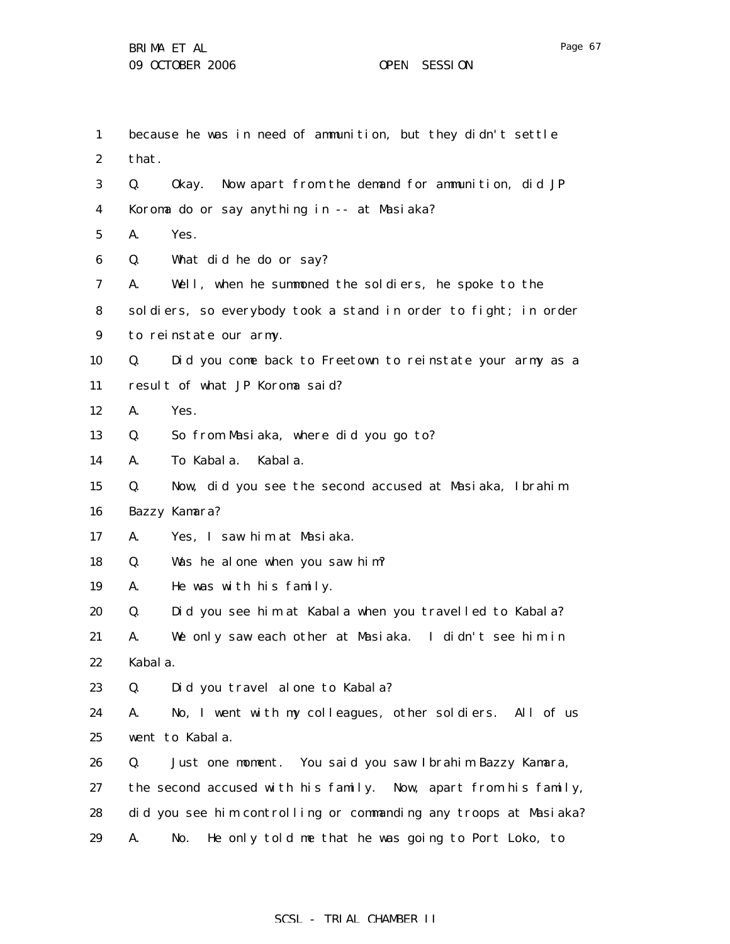| 1                | because he was in need of ammunition, but they didn't settle     |
|------------------|------------------------------------------------------------------|
| $\boldsymbol{2}$ | that.                                                            |
| 3                | Q.<br>Okay. Now apart from the demand for ammunition, did JP     |
| 4                | Koroma do or say anything in -- at Masiaka?                      |
| $5\overline{ }$  | A.<br>Yes.                                                       |
| 6                | Q.<br>What did he do or say?                                     |
| 7                | Well, when he summoned the soldiers, he spoke to the<br>A.       |
| 8                | soldiers, so everybody took a stand in order to fight; in order  |
| 9                | to reinstate our army.                                           |
| 10               | Q.<br>Did you come back to Freetown to reinstate your army as a  |
| 11               | result of what JP Koroma said?                                   |
| 12               | A.<br>Yes.                                                       |
| 13               | So from Masiaka, where did you go to?<br>Q.                      |
| 14               | To Kabala.<br>Kabal a.<br>A.                                     |
| 15               | Q.<br>Now, did you see the second accused at Masiaka, Ibrahim    |
| 16               | Bazzy Kamara?                                                    |
| 17               | Yes, I saw him at Masiaka.<br>A.                                 |
| 18               | Was he alone when you saw him?<br>Q.                             |
| 19               | A.<br>He was with his family.                                    |
| 20               | Did you see him at Kabala when you travelled to Kabala?<br>Q.    |
| 21               | We only saw each other at Masiaka. I didn't see him in<br>A.     |
| 22               | Kabal a.                                                         |
| 23               | Q.<br>Did you travel alone to Kabala?                            |
| 24               | No, I went with my colleagues, other soldiers. All of us<br>A.   |
| 25               | went to Kabala.                                                  |
| 26               | Just one moment. You said you saw Ibrahim Bazzy Kamara,<br>Q.    |
| 27               | the second accused with his family. Now, apart from his family,  |
| 28               | did you see him controlling or commanding any troops at Masiaka? |
| 29               | He only told me that he was going to Port Loko, to<br>No.<br>A.  |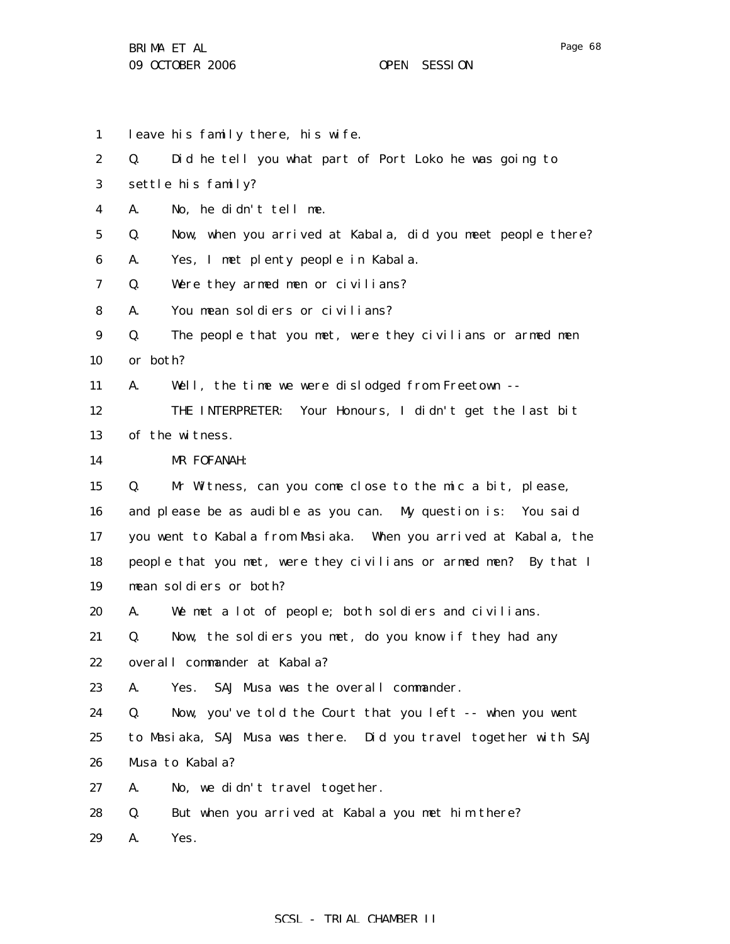- 1 leave his family there, his wife.
- 2 Q. Did he tell you what part of Port Loko he was going to
- 3 settle his family?
- 4 A. No, he didn't tell me.
- 5 Q. Now, when you arrived at Kabala, did you meet people there?
- 6 A. Yes, I met plenty people in Kabala.
- 7 Q. Were they armed men or civilians?
- 8 A. You mean soldiers or civilians?
- 9 10 Q. The people that you met, were they civilians or armed men or both?
- 11 A. Well, the time we were dislodged from Freetown --
- 12 13 THE INTERPRETER: Your Honours, I didn't get the last bit of the witness.
- 14 MR FOFANAH:
- 15 Q. Mr Witness, can you come close to the mic a bit, please,
- 16 17 18 19 and please be as audible as you can. My question is: You said you went to Kabala from Masiaka. When you arrived at Kabala, the people that you met, were they civilians or armed men? By that I mean soldiers or both?
- 20 A. We met a lot of people; both soldiers and civilians.
- 21 22 Q. Now, the soldiers you met, do you know if they had any overall commander at Kabala?
- 23 A. Yes. SAJ Musa was the overall commander.
- 24 25 26 Q. Now, you've told the Court that you left -- when you went to Masiaka, SAJ Musa was there. Did you travel together with SAJ Musa to Kabala?
- 27 A. No, we didn't travel together.
- 28 Q. But when you arrived at Kabala you met him there?
- 29 A. Yes.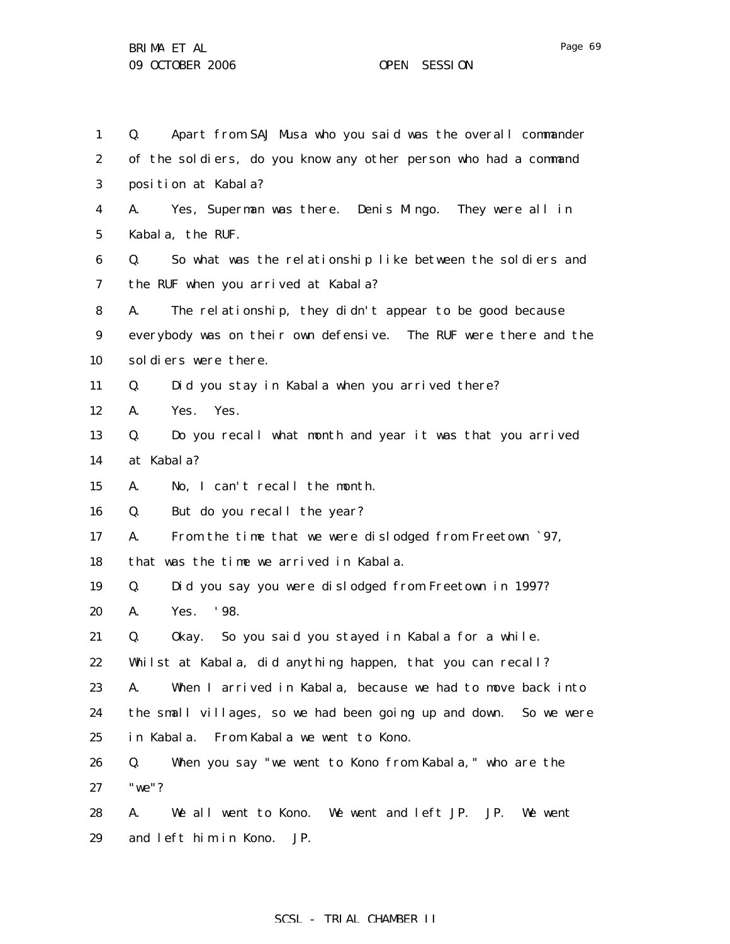1 2 3 4 5 6 7 8 9 10 11 12 13 14 15 16 17 18 19 20 21 22 23 24 25 26 27 28 Q. Apart from SAJ Musa who you said was the overall commander of the soldiers, do you know any other person who had a command position at Kabala? A. Yes, Superman was there. Denis Mingo. They were all in Kabala, the RUF. Q. So what was the relationship like between the soldiers and the RUF when you arrived at Kabala? A. The relationship, they didn't appear to be good because everybody was on their own defensive. The RUF were there and the soldiers were there. Q. Did you stay in Kabala when you arrived there? A. Yes. Yes. Q. Do you recall what month and year it was that you arrived at Kabala? A. No, I can't recall the month. Q. But do you recall the year? A. From the time that we were dislodged from Freetown `97, that was the time we arrived in Kabala. Q. Did you say you were dislodged from Freetown in 1997? A. Yes. '98. Q. Okay. So you said you stayed in Kabala for a while. Whilst at Kabala, did anything happen, that you can recall? A. When I arrived in Kabala, because we had to move back into the small villages, so we had been going up and down. So we were in Kabala. From Kabala we went to Kono. Q. When you say "we went to Kono from Kabala," who are the "we"? A. We all went to Kono. We went and left JP. JP. We went

29 and left him in Kono. JP.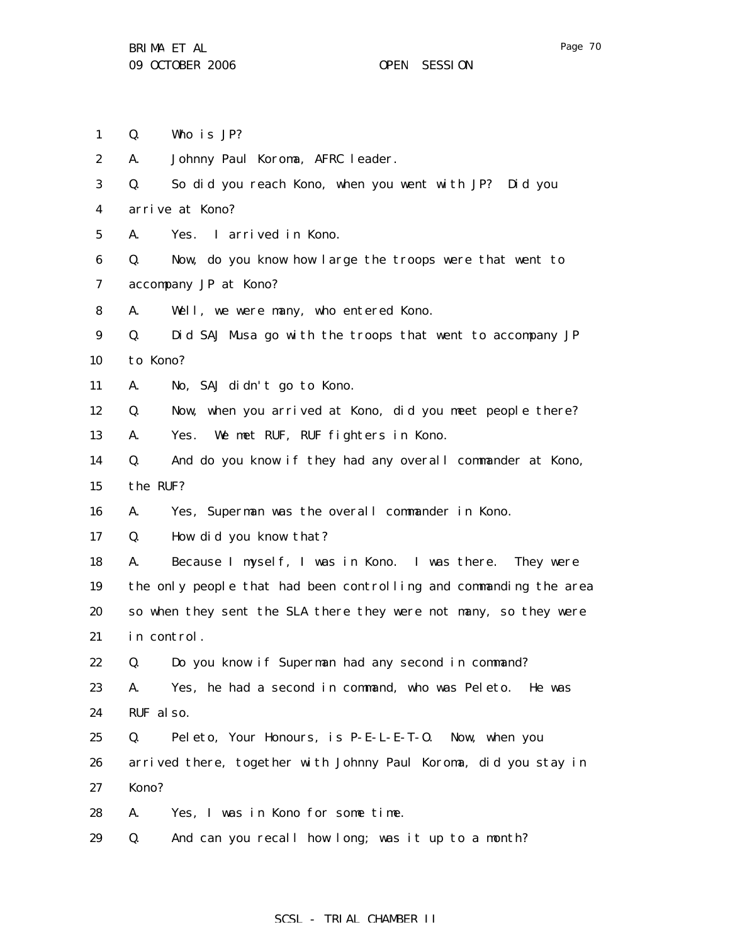- 1 Q. Who is JP?
- 2 A. Johnny Paul Koroma, AFRC leader.
- 3 4 Q. So did you reach Kono, when you went with JP? Did you arrive at Kono?
- 5 A. Yes. I arrived in Kono.

6 7 Q. Now, do you know how large the troops were that went to accompany JP at Kono?

8 A. Well, we were many, who entered Kono.

9 10 Q. Did SAJ Musa go with the troops that went to accompany JP to Kono?

11 A. No, SAJ didn't go to Kono.

12 Q. Now, when you arrived at Kono, did you meet people there?

13 A. Yes. We met RUF, RUF fighters in Kono.

14 15 Q. And do you know if they had any overall commander at Kono, the RUF?

16 A. Yes, Superman was the overall commander in Kono.

17 Q. How did you know that?

18 19 20 21 A. Because I myself, I was in Kono. I was there. They were the only people that had been controlling and commanding the area so when they sent the SLA there they were not many, so they were in control.

22 Q. Do you know if Superman had any second in command?

23 24 A. Yes, he had a second in command, who was Peleto. He was RUF also.

25 26 27 Q. Peleto, Your Honours, is P-E-L-E-T-O. Now, when you arrived there, together with Johnny Paul Koroma, did you stay in Kono?

- 28 A. Yes, I was in Kono for some time.
- 29 Q. And can you recall how long; was it up to a month?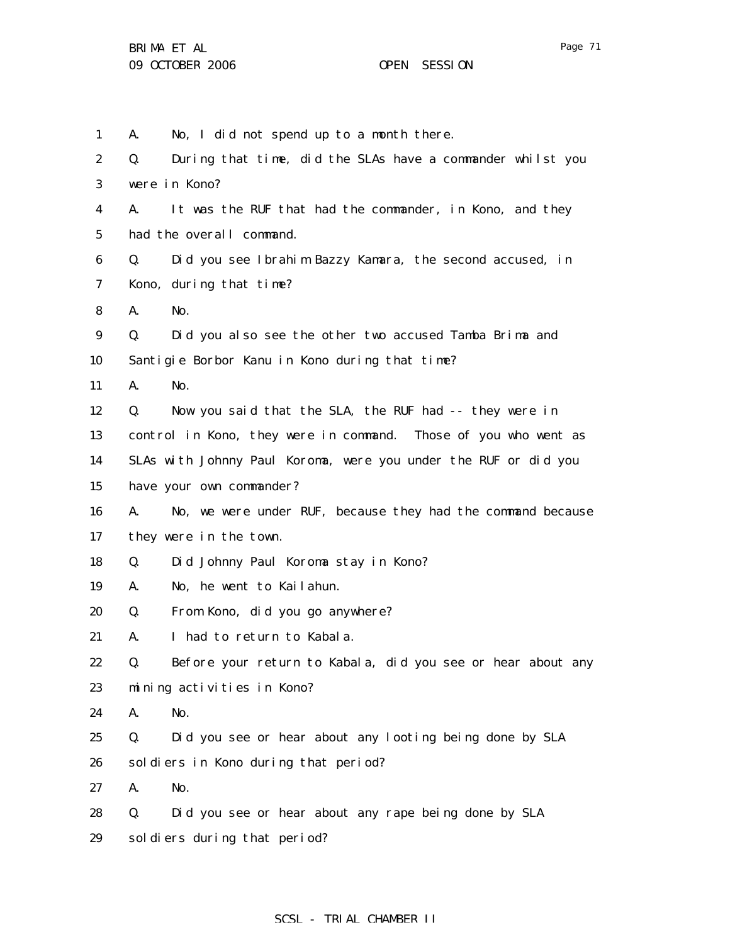1 2 3 4 5 6 7 8 9 10 11 12 13 14 15 16 17 18 19 20 21 22 23 24 25 26 27 28 A. No, I did not spend up to a month there. Q. During that time, did the SLAs have a commander whilst you were in Kono? A. It was the RUF that had the commander, in Kono, and they had the overall command. Q. Did you see Ibrahim Bazzy Kamara, the second accused, in Kono, during that time? A. No. Q. Did you also see the other two accused Tamba Brima and Santigie Borbor Kanu in Kono during that time? A. No. Q. Now you said that the SLA, the RUF had -- they were in control in Kono, they were in command. Those of you who went as SLAs with Johnny Paul Koroma, were you under the RUF or did you have your own commander? A. No, we were under RUF, because they had the command because they were in the town. Q. Did Johnny Paul Koroma stay in Kono? A. No, he went to Kailahun. Q. From Kono, did you go anywhere? A. I had to return to Kabala. Q. Before your return to Kabala, did you see or hear about any mining activities in Kono? A. No. Q. Did you see or hear about any looting being done by SLA soldiers in Kono during that period? A. No. Q. Did you see or hear about any rape being done by SLA

29 soldiers during that period?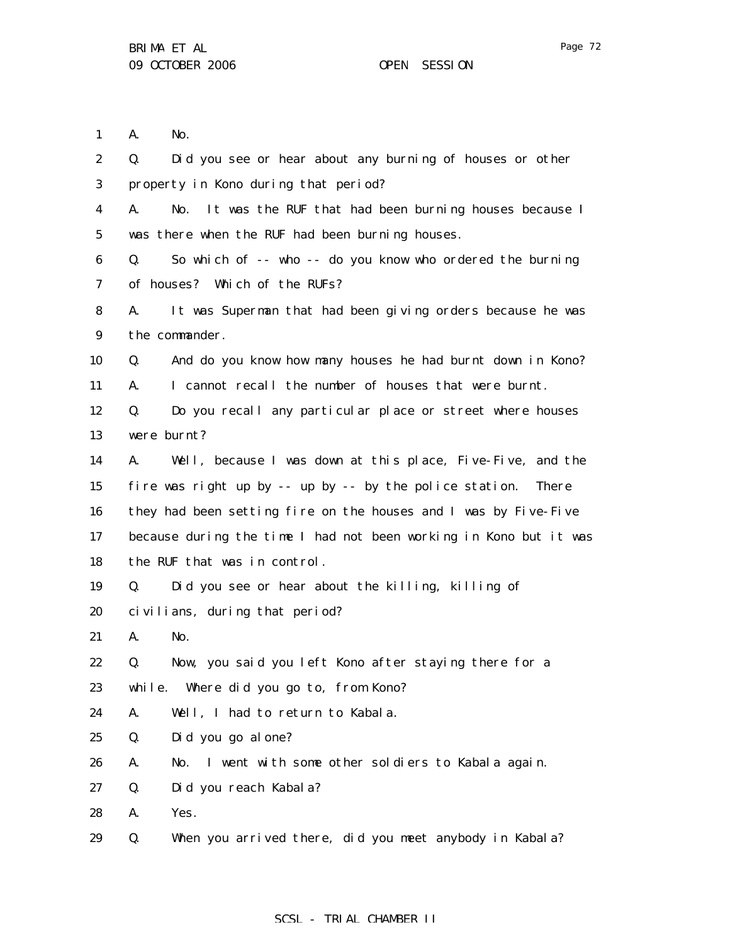1 2 3 4 5 6 7 8 9 10 11 12 13 14 15 16 17 18 19 20 21 22 23 24 25 26 27 A. No. Q. Did you see or hear about any burning of houses or other property in Kono during that period? A. No. It was the RUF that had been burning houses because I was there when the RUF had been burning houses. Q. So which of -- who -- do you know who ordered the burning of houses? Which of the RUFs? A. It was Superman that had been giving orders because he was the commander. Q. And do you know how many houses he had burnt down in Kono? A. I cannot recall the number of houses that were burnt. Q. Do you recall any particular place or street where houses were burnt? A. Well, because I was down at this place, Five-Five, and the fire was right up by -- up by -- by the police station. There they had been setting fire on the houses and I was by Five-Five because during the time I had not been working in Kono but it was the RUF that was in control. Q. Did you see or hear about the killing, killing of civilians, during that period? A. No. Q. Now, you said you left Kono after staying there for a while. Where did you go to, from Kono? A. Well, I had to return to Kabala. Q. Did you go alone? A. No. I went with some other soldiers to Kabala again. Q. Did you reach Kabala?

28 A. Yes.

29 Q. When you arrived there, did you meet anybody in Kabala?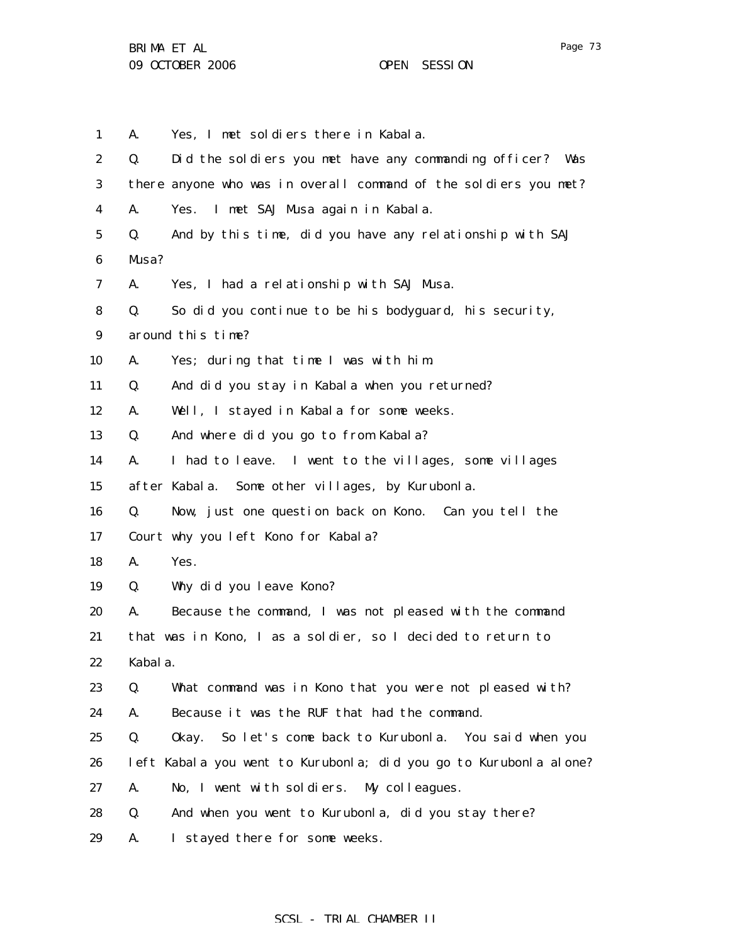1 2 3 4 5 6 7 8 9 10 11 12 13 14 15 16 17 18 19 20 21 22 23 24 25 26 27 28 29 A. Yes, I met soldiers there in Kabala. Q. Did the soldiers you met have any commanding officer? Was there anyone who was in overall command of the soldiers you met? A. Yes. I met SAJ Musa again in Kabala. Q. And by this time, did you have any relationship with SAJ Musa? A. Yes, I had a relationship with SAJ Musa. Q. So did you continue to be his bodyguard, his security, around this time? A. Yes; during that time I was with him. Q. And did you stay in Kabala when you returned? A. Well, I stayed in Kabala for some weeks. Q. And where did you go to from Kabala? A. I had to leave. I went to the villages, some villages after Kabala. Some other villages, by Kurubonla. Q. Now, just one question back on Kono. Can you tell the Court why you left Kono for Kabala? A. Yes. Q. Why did you leave Kono? A. Because the command, I was not pleased with the command that was in Kono, I as a soldier, so I decided to return to Kabala. Q. What command was in Kono that you were not pleased with? A. Because it was the RUF that had the command. Q. Okay. So let's come back to Kurubonla. You said when you left Kabala you went to Kurubonla; did you go to Kurubonla alone? A. No, I went with soldiers. My colleagues. Q. And when you went to Kurubonla, did you stay there? A. I stayed there for some weeks.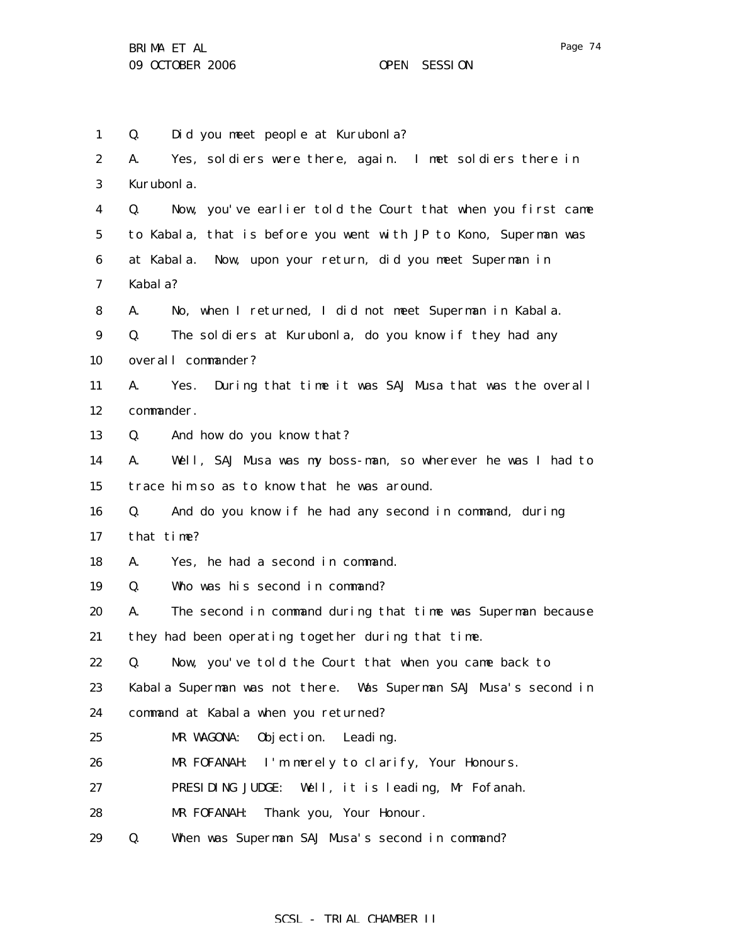1 2 3 4 5 6 7 8 9 10 11 12 13 14 15 16 17 18 19 20 21 22 23 24 25 26 27 28 29 Q. Did you meet people at Kurubonla? A. Yes, soldiers were there, again. I met soldiers there in Kurubonla. Q. Now, you've earlier told the Court that when you first came to Kabala, that is before you went with JP to Kono, Superman was at Kabala. Now, upon your return, did you meet Superman in Kabala? A. No, when I returned, I did not meet Superman in Kabala. Q. The soldiers at Kurubonla, do you know if they had any overall commander? A. Yes. During that time it was SAJ Musa that was the overall commander. Q. And how do you know that? A. Well, SAJ Musa was my boss-man, so wherever he was I had to trace him so as to know that he was around. Q. And do you know if he had any second in command, during that time? A. Yes, he had a second in command. Q. Who was his second in command? A. The second in command during that time was Superman because they had been operating together during that time. Q. Now, you've told the Court that when you came back to Kabala Superman was not there. Was Superman SAJ Musa's second in command at Kabala when you returned? MR WAGONA: Objection. Leading. MR FOFANAH: I'm merely to clarify, Your Honours. PRESIDING JUDGE: Well, it is leading, Mr Fofanah. MR FOFANAH: Thank you, Your Honour. Q. When was Superman SAJ Musa's second in command?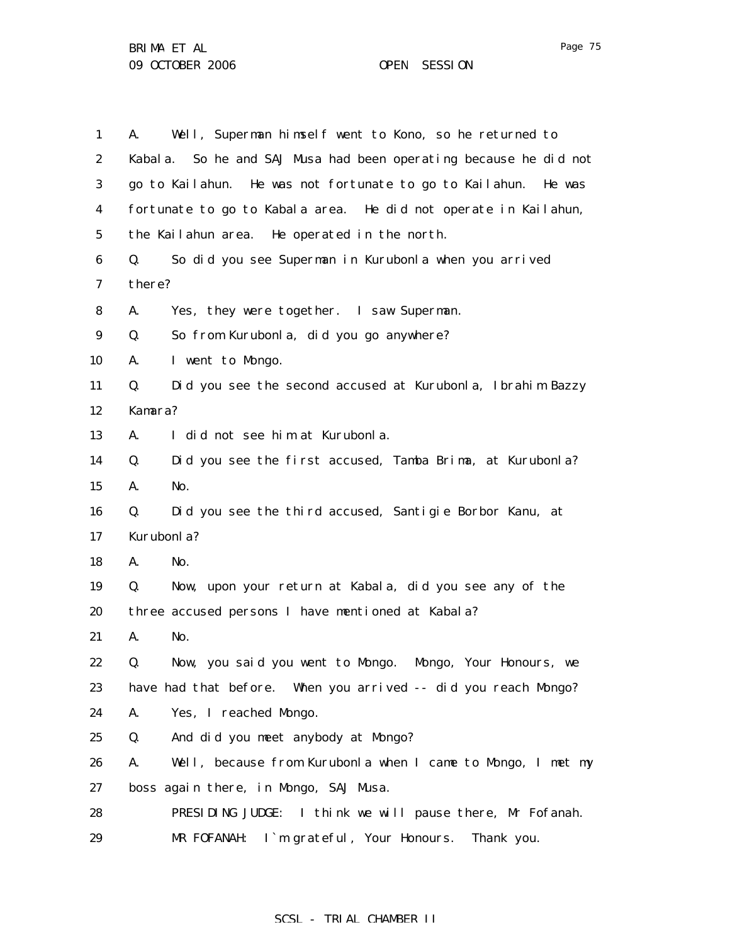| $\mathbf{1}$     | Well, Superman himself went to Kono, so he returned to<br>A.         |
|------------------|----------------------------------------------------------------------|
| $\boldsymbol{2}$ | So he and SAJ Musa had been operating because he did not<br>Kabal a. |
| 3                | go to Kailahun. He was not fortunate to go to Kailahun. He was       |
| 4                | fortunate to go to Kabala area. He did not operate in Kailahun,      |
| $5\phantom{.0}$  | the Kailahun area. He operated in the north.                         |
| 6                | So did you see Superman in Kurubonla when you arrived<br>Q.          |
| 7                | there?                                                               |
| 8                | A.<br>Yes, they were together. I saw Superman.                       |
| $\boldsymbol{9}$ | Q.<br>So from Kurubonla, did you go anywhere?                        |
| 10               | I went to Mongo.<br>A.                                               |
| 11               | Did you see the second accused at Kurubonla, Ibrahim Bazzy<br>Q.     |
| 12               | Kamara?                                                              |
| 13               | A.<br>I did not see him at Kurubonla.                                |
| 14               | Did you see the first accused, Tamba Brima, at Kurubonla?<br>Q.      |
| 15               | No.<br>A.                                                            |
| 16               | Did you see the third accused, Santigie Borbor Kanu, at<br>Q.        |
| 17               | Kurubonla?                                                           |
| 18               | A.<br>No.                                                            |
| 19               | Now, upon your return at Kabala, did you see any of the<br>Q.        |
| 20               | three accused persons I have mentioned at Kabala?                    |
| 21               | A.<br>No.                                                            |
| 22               | Now, you said you went to Mongo. Mongo, Your Honours, we<br>Q.       |
| 23               | have had that before. When you arrived -- did you reach Mongo?       |
| 24               | A.<br>Yes, I reached Mongo.                                          |
| 25               | And did you meet anybody at Mongo?<br>Q.                             |
| 26               | Well, because from Kurubonla when I came to Mongo, I met my<br>A.    |
| 27               | boss again there, in Mongo, SAJ Musa.                                |
| 28               | PRESIDING JUDGE:<br>I think we will pause there, Mr Fofanah.         |
| 29               | I'm grateful, Your Honours.<br>Thank you.<br>MR FOFANAH:             |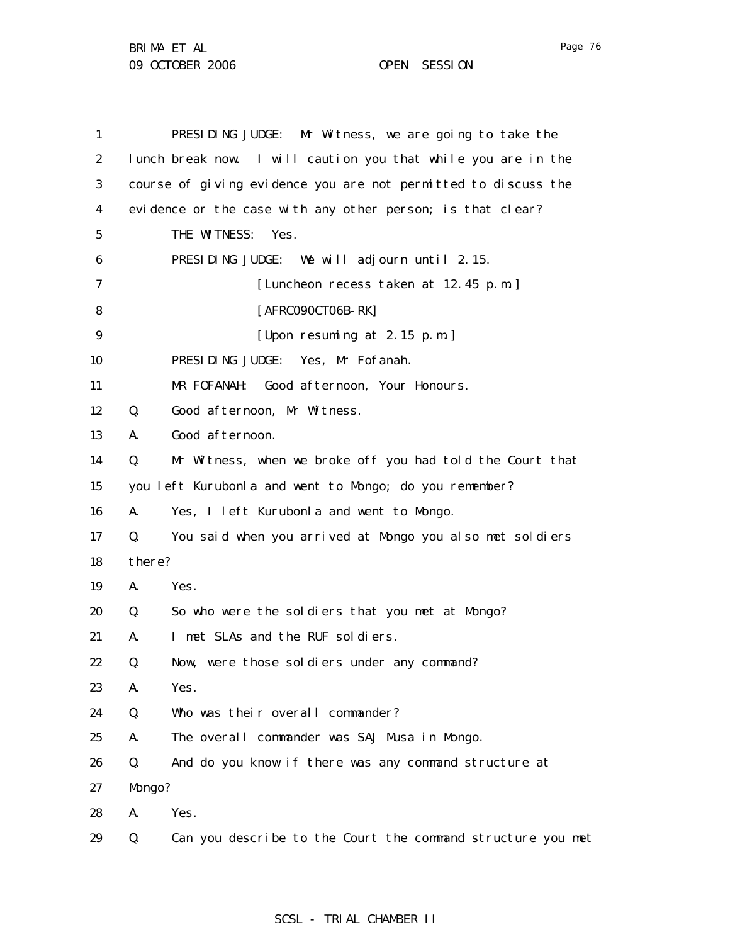| 1                |        | PRESIDING JUDGE: Mr Witness, we are going to take the          |
|------------------|--------|----------------------------------------------------------------|
| $\boldsymbol{2}$ |        | lunch break now. I will caution you that while you are in the  |
| 3                |        | course of giving evidence you are not permitted to discuss the |
| 4                |        | evidence or the case with any other person; is that clear?     |
| 5                |        | THE WITNESS:<br>Yes.                                           |
| 6                |        | PRESIDING JUDGE: We will adjourn until 2.15.                   |
| 7                |        | [Luncheon recess taken at 12.45 p.m.]                          |
| 8                |        | [AFRC090CT06B-RK]                                              |
| $\boldsymbol{9}$ |        | [Upon resuming at 2.15 p.m.]                                   |
| 10               |        | Yes, Mr Fofanah.<br>PRESIDING JUDGE:                           |
| 11               |        | Good afternoon, Your Honours.<br>MR FOFANAH:                   |
| 12               | Q.     | Good afternoon, Mr Witness.                                    |
| 13               | A.     | Good afternoon.                                                |
| 14               | Q.     | Mr Witness, when we broke off you had told the Court that      |
| 15               |        | you left Kurubonla and went to Mongo; do you remember?         |
| 16               | A.     | Yes, I left Kurubonla and went to Mongo.                       |
| 17               | Q.     | You said when you arrived at Mongo you also met soldiers       |
| 18               | there? |                                                                |
| 19               | A.     | Yes.                                                           |
| 20               | Q.     | So who were the soldiers that you met at Mongo?                |
| 21               | A.     | I met SLAs and the RUF soldiers.                               |
| 22               | Q.     | Now, were those soldiers under any command?                    |
| 23               | A.     | Yes.                                                           |
| 24               | Q.     | Who was their overall commander?                               |
| 25               | A.     | The overall commander was SAJ Musa in Mongo.                   |
| 26               | Q.     | And do you know if there was any command structure at          |
| 27               | Mongo? |                                                                |
| 28               | A.     | Yes.                                                           |
| 29               | Q.     | Can you describe to the Court the command structure you met    |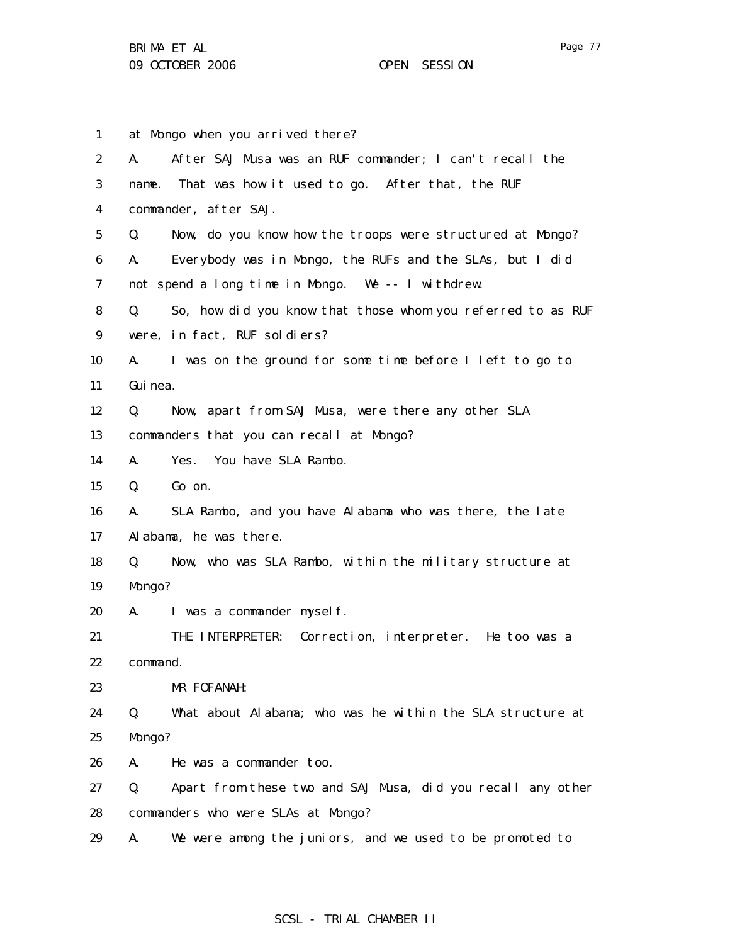1 2 3 4 5 6 7 8 9 10 11 12 13 14 15 16 17 18 19 20 21 22 23 24 25 26 27 28 29 at Mongo when you arrived there? A. After SAJ Musa was an RUF commander; I can't recall the name. That was how it used to go. After that, the RUF commander, after SAJ. Q. Now, do you know how the troops were structured at Mongo? A. Everybody was in Mongo, the RUFs and the SLAs, but I did not spend a long time in Mongo. We -- I withdrew. Q. So, how did you know that those whom you referred to as RUF were, in fact, RUF soldiers? A. I was on the ground for some time before I left to go to Guinea. Q. Now, apart from SAJ Musa, were there any other SLA commanders that you can recall at Mongo? A. Yes. You have SLA Rambo. Q. Go on. A. SLA Rambo, and you have Alabama who was there, the late Alabama, he was there. Q. Now, who was SLA Rambo, within the military structure at Mongo? A. I was a commander myself. THE INTERPRETER: Correction, interpreter. He too was a command. MR FOFANAH: Q. What about Alabama; who was he within the SLA structure at Mongo? A. He was a commander too. Q. Apart from these two and SAJ Musa, did you recall any other commanders who were SLAs at Mongo? A. We were among the juniors, and we used to be promoted to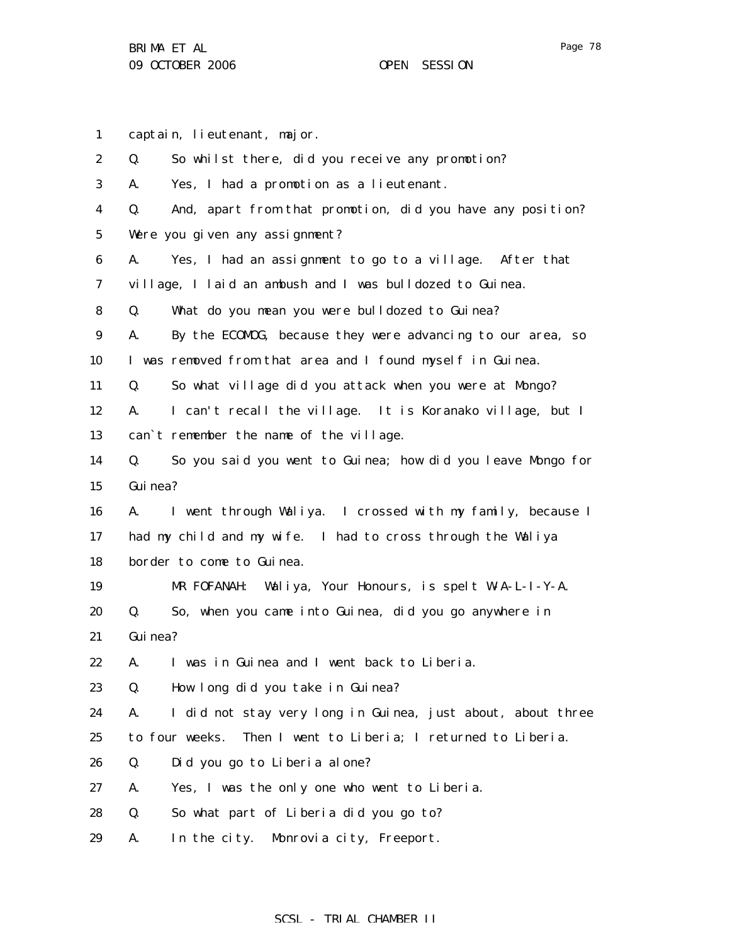1 captain, lieutenant, major.

| $\boldsymbol{2}$ | Q.       | So whilst there, did you receive any promotion?                  |
|------------------|----------|------------------------------------------------------------------|
| 3                | A.       | Yes, I had a promotion as a lieutenant.                          |
| 4                | Q.       | And, apart from that promotion, did you have any position?       |
| $\bf{5}$         |          | Were you given any assignment?                                   |
| 6                | A.       | Yes, I had an assignment to go to a village. After that          |
| 7                |          | village, I laid an ambush and I was bulldozed to Guinea.         |
| 8                | Q.       | What do you mean you were bulldozed to Guinea?                   |
| $\boldsymbol{9}$ | A.       | By the ECOMOG, because they were advancing to our area, so       |
| 10               |          | I was removed from that area and I found myself in Guinea.       |
| 11               | Q.       | So what village did you attack when you were at Mongo?           |
| 12               | A.       | I can't recall the village. It is Koranako village, but I        |
| 13               |          | can't remember the name of the village.                          |
| 14               | Q.       | So you said you went to Guinea; how did you leave Mongo for      |
| 15               | Gui nea? |                                                                  |
| 16               | A.       | I went through Waliya. I crossed with my family, because I       |
| 17               |          | had my child and my wife. I had to cross through the Waliya      |
| 18               |          | border to come to Guinea.                                        |
| 19               |          | MR FOFANAH: Waliya, Your Honours, is spelt W-A-L-I-Y-A.          |
| 20               | Q.       | So, when you came into Guinea, did you go anywhere in            |
| 21               | Gui nea? |                                                                  |
| 22               | A.       | I was in Guinea and I went back to Liberia.                      |
| 23               | Q.       | How long did you take in Guinea?                                 |
| 24               | A.       | I did not stay very long in Guinea, just about, about three      |
| 25               |          | to four weeks.<br>Then I went to Liberia; I returned to Liberia. |
| 26               | Q.       | Did you go to Liberia alone?                                     |
| 27               | A.       | Yes, I was the only one who went to Liberia.                     |
| 28               | Q.       | So what part of Liberia did you go to?                           |
| 29               | A.       | In the city. Monrovia city, Freeport.                            |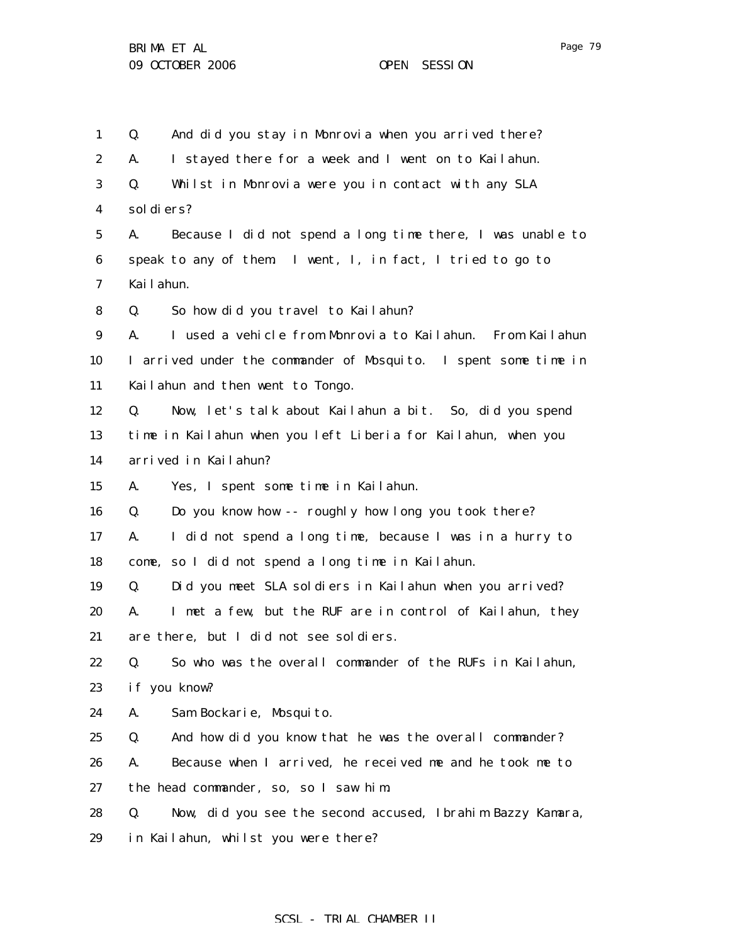1 2 3 4 5 6 7 8 9 10 11 12 13 14 15 16 17 18 19 20 21 22 23 24 25 26 27 28 29 Q. And did you stay in Monrovia when you arrived there? A. I stayed there for a week and I went on to Kailahun. Q. Whilst in Monrovia were you in contact with any SLA soldiers? A. Because I did not spend a long time there, I was unable to speak to any of them. I went, I, in fact, I tried to go to Kailahun. Q. So how did you travel to Kailahun? A. I used a vehicle from Monrovia to Kailahun. From Kailahun I arrived under the commander of Mosquito. I spent some time in Kailahun and then went to Tongo. Q. Now, let's talk about Kailahun a bit. So, did you spend time in Kailahun when you left Liberia for Kailahun, when you arrived in Kailahun? A. Yes, I spent some time in Kailahun. Q. Do you know how -- roughly how long you took there? A. I did not spend a long time, because I was in a hurry to come, so I did not spend a long time in Kailahun. Q. Did you meet SLA soldiers in Kailahun when you arrived? A. I met a few, but the RUF are in control of Kailahun, they are there, but I did not see soldiers. Q. So who was the overall commander of the RUFs in Kailahun, if you know? A. Sam Bockarie, Mosquito. Q. And how did you know that he was the overall commander? A. Because when I arrived, he received me and he took me to the head commander, so, so I saw him. Q. Now, did you see the second accused, Ibrahim Bazzy Kamara, in Kailahun, whilst you were there?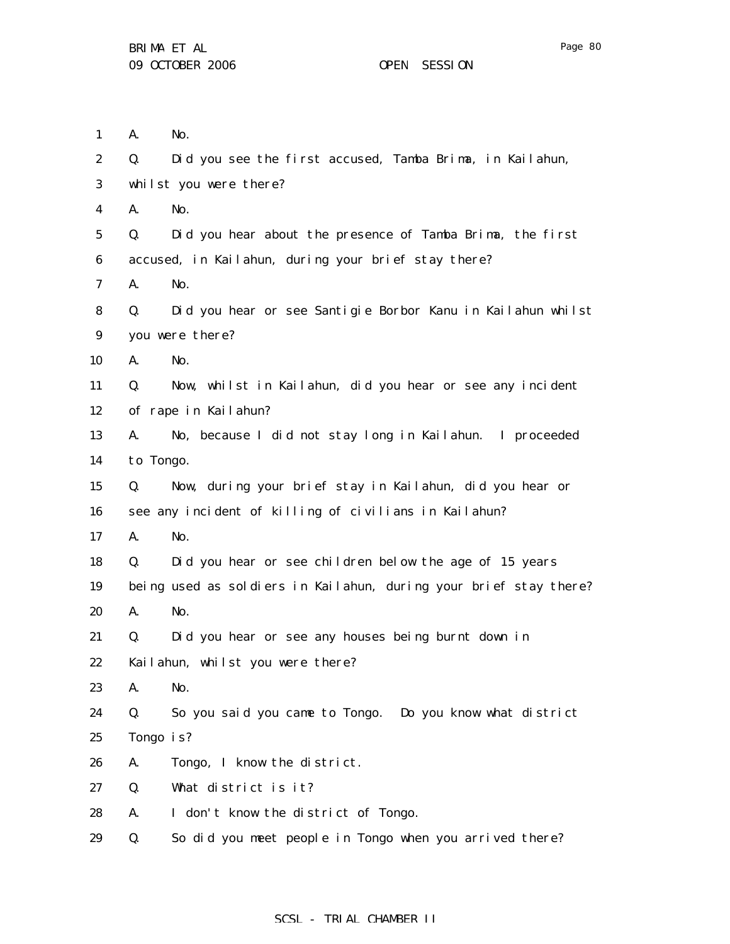| $\mathbf{1}$     | A.        | No.                                                               |
|------------------|-----------|-------------------------------------------------------------------|
| 2                | Q.        | Did you see the first accused, Tamba Brima, in Kailahun,          |
| 3                |           | whilst you were there?                                            |
| 4                | A.        | No.                                                               |
| $\mathbf 5$      | Q.        | Did you hear about the presence of Tamba Brima, the first         |
| $\boldsymbol{6}$ |           | accused, in Kailahun, during your brief stay there?               |
| 7                | A.        | No.                                                               |
| 8                | Q.        | Did you hear or see Santigie Borbor Kanu in Kailahun whilst       |
| 9                |           | you were there?                                                   |
| 10               | A.        | No.                                                               |
| 11               | Q.        | Now, whilst in Kailahun, did you hear or see any incident         |
| 12               |           | of rape in Kailahun?                                              |
| 13               | A.        | No, because I did not stay long in Kailahun. I proceeded          |
| 14               | to Tongo. |                                                                   |
| 15               | Q.        | Now, during your brief stay in Kailahun, did you hear or          |
| 16               |           | see any incident of killing of civilians in Kailahun?             |
| 17               | A.        | No.                                                               |
| 18               | Q.        | Did you hear or see children below the age of 15 years            |
| 19               |           | being used as soldiers in Kailahun, during your brief stay there? |
| 20               | A.        | No.                                                               |
| 21               | Q.        | Did you hear or see any houses being burnt down in                |
| 22               |           | Kailahun, whilst you were there?                                  |
| 23               | A.        | No.                                                               |
| 24               | Q.        | So you said you came to Tongo.<br>Do you know what district       |
| 25               |           | Tongo is?                                                         |
| 26               | A.        | Tongo, I know the district.                                       |
| 27               | Q.        | What district is it?                                              |
| 28               | A.        | I don't know the district of Tongo.                               |
| 29               | Q.        | So did you meet people in Tongo when you arrived there?           |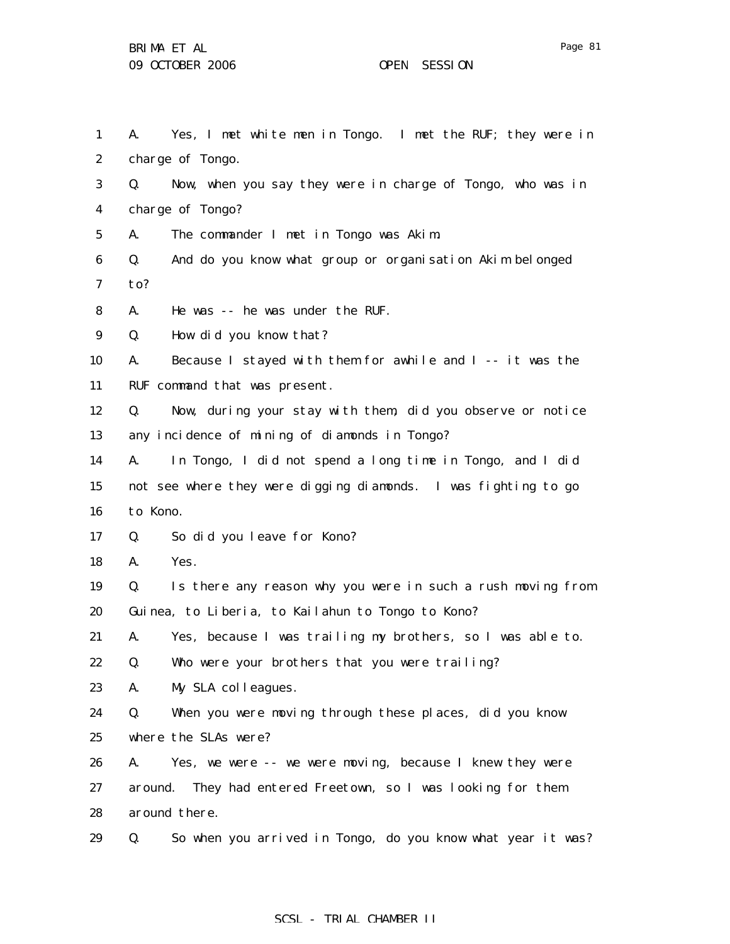1 2 3 4 5 6 7 8 9 10 11 12 13 14 15 16 17 18 19 20 21 22 23 24 25 26 27 28 A. Yes, I met white men in Tongo. I met the RUF; they were in charge of Tongo. Q. Now, when you say they were in charge of Tongo, who was in charge of Tongo? A. The commander I met in Tongo was Akim. Q. And do you know what group or organisation Akim belonged to? A. He was -- he was under the RUF. Q. How did you know that? A. Because I stayed with them for awhile and I -- it was the RUF command that was present. Q. Now, during your stay with them, did you observe or notice any incidence of mining of diamonds in Tongo? A. In Tongo, I did not spend a long time in Tongo, and I did not see where they were digging diamonds. I was fighting to go to Kono. Q. So did you leave for Kono? A. Yes. Q. Is there any reason why you were in such a rush moving from Guinea, to Liberia, to Kailahun to Tongo to Kono? A. Yes, because I was trailing my brothers, so I was able to. Q. Who were your brothers that you were trailing? A. My SLA colleagues. Q. When you were moving through these places, did you know where the SLAs were? A. Yes, we were -- we were moving, because I knew they were around. They had entered Freetown, so I was looking for them around there.

29 Q. So when you arrived in Tongo, do you know what year it was?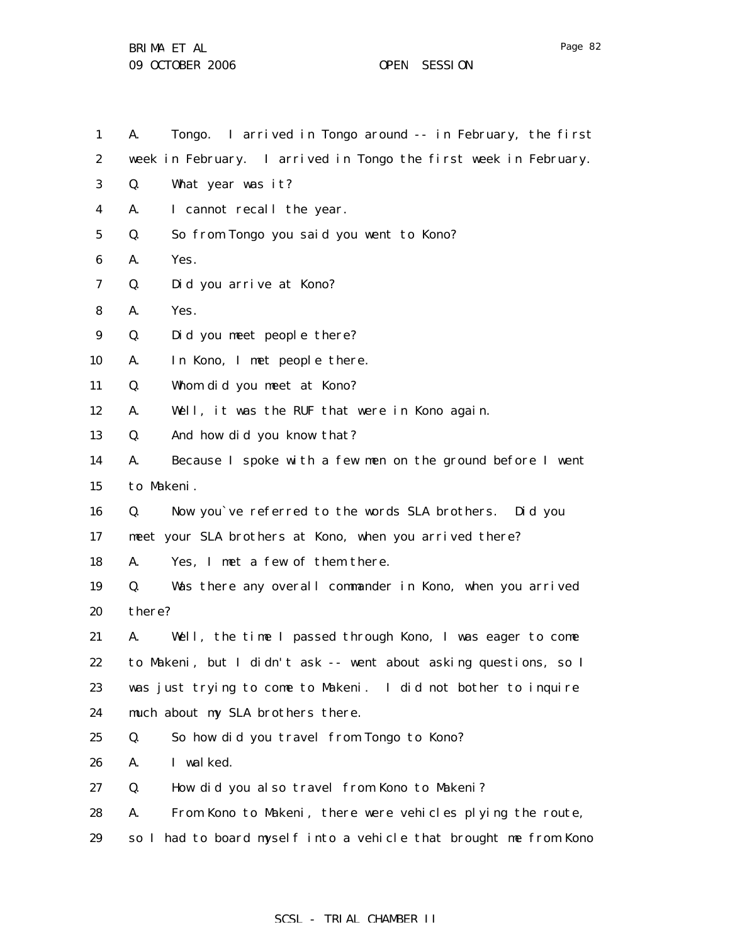| $\mathbf{1}$     | Tongo. I arrived in Tongo around -- in February, the first<br>A.  |
|------------------|-------------------------------------------------------------------|
| $\boldsymbol{2}$ | week in February. I arrived in Tongo the first week in February.  |
| 3                | What year was it?<br>Q.                                           |
| 4                | I cannot recall the year.<br>A.                                   |
| 5                | So from Tongo you said you went to Kono?<br>Q.                    |
| 6                | Yes.<br>A.                                                        |
| 7                | Did you arrive at Kono?<br>Q.                                     |
| 8                | Yes.<br>A.                                                        |
| 9                | Did you meet people there?<br>Q.                                  |
| 10               | In Kono, I met people there.<br>A.                                |
| 11               | Whom did you meet at Kono?<br>Q.                                  |
| 12               | Well, it was the RUF that were in Kono again.<br>A.               |
| 13               | And how did you know that?<br>Q.                                  |
| 14               | Because I spoke with a few men on the ground before I went<br>A.  |
| 15               | to Makeni.                                                        |
| 16               | Now you've referred to the words SLA brothers. Did you<br>Q.      |
| 17               | meet your SLA brothers at Kono, when you arrived there?           |
| 18               | Yes, I met a few of them there.<br>А.                             |
| 19               | Was there any overall commander in Kono, when you arrived<br>Q.   |
| 20               | there?                                                            |
| 21               | Well, the time I passed through Kono, I was eager to come<br>A.   |
| 22               | to Makeni, but I didn't ask -- went about asking questions, so I  |
| 23               | was just trying to come to Makeni. I did not bother to inquire    |
| 24               | much about my SLA brothers there.                                 |
| 25               | So how did you travel from Tongo to Kono?<br>Q.                   |
| 26               | I walked.<br>A.                                                   |
| 27               | How did you also travel from Kono to Makeni?<br>Q.                |
| 28               | From Kono to Makeni, there were vehicles plying the route,<br>А.  |
| 29               | so I had to board myself into a vehicle that brought me from Kono |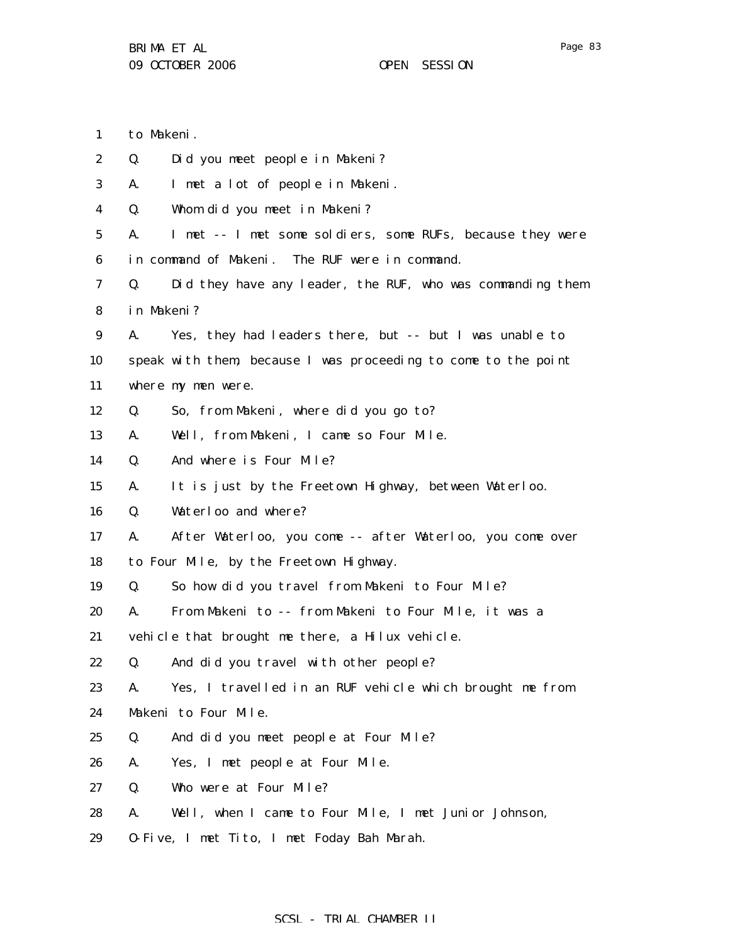1 to Makeni.

| $\boldsymbol{2}$ | Q.         | Did you meet people in Makeni?                                 |
|------------------|------------|----------------------------------------------------------------|
| 3                | A.         | I met a lot of people in Makeni.                               |
| 4                | Q.         | Whom did you meet in Makeni?                                   |
| 5                | A.         | I met -- I met some soldiers, some RUFs, because they were     |
| 6                |            | in command of Makeni. The RUF were in command.                 |
| 7                | Q.         | Did they have any leader, the RUF, who was commanding them     |
| 8                | in Makeni? |                                                                |
| 9                | A.         | Yes, they had leaders there, but -- but I was unable to        |
| 10               |            | speak with them, because I was proceeding to come to the point |
| 11               |            | where my men were.                                             |
| 12               | Q.         | So, from Makeni, where did you go to?                          |
| 13               | A.         | Well, from Makeni, I came so Four Mile.                        |
| 14               | Q.         | And where is Four Mile?                                        |
| 15               | A.         | It is just by the Freetown Highway, between Waterloo.          |
| 16               | Q.         | Waterloo and where?                                            |
| 17               | A.         | After Waterloo, you come -- after Waterloo, you come over      |
| 18               |            | to Four Mile, by the Freetown Highway.                         |
| 19               | Q.         | So how did you travel from Makeni to Four Mile?                |
| 20               | A.         | From Makeni to -- from Makeni to Four Mile, it was a           |
| 21               |            | vehicle that brought me there, a Hilux vehicle.                |
| 22               | Q.         | And did you travel with other people?                          |
| 23               | A.         | Yes, I travelled in an RUF vehicle which brought me from       |
| 24               |            | Makeni to Four Mile.                                           |
| 25               | Q.         | And did you meet people at Four Mile?                          |
| 26               | A.         | Yes, I met people at Four Mile.                                |
| 27               | Q.         | Who were at Four Mile?                                         |
| 28               | A.         | Well, when I came to Four Mile, I met Junior Johnson,          |
|                  |            |                                                                |

29 O-Five, I met Tito, I met Foday Bah Marah.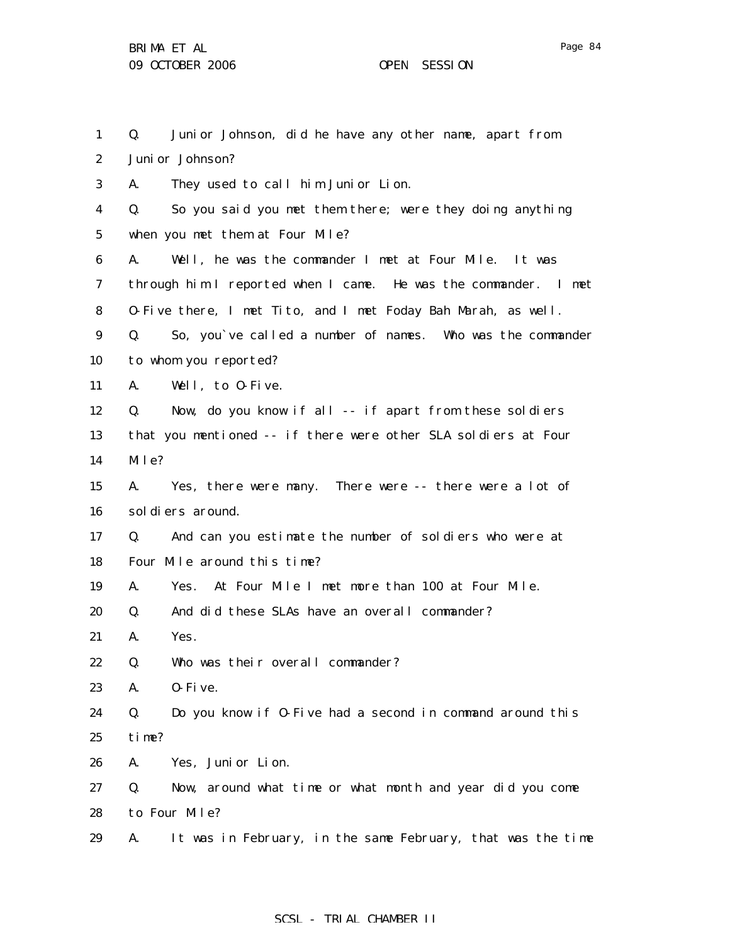1 2 3 4 5 6 7 8 9 10 11 12 13 14 15 16 17 18 19 20 21 22 23 24 25 26 27 28 29 Q. Junior Johnson, did he have any other name, apart from Junior Johnson? A. They used to call him Junior Lion. Q. So you said you met them there; were they doing anything when you met them at Four Mile? A. Well, he was the commander I met at Four Mile. It was through him I reported when I came. He was the commander. I met O-Five there, I met Tito, and I met Foday Bah Marah, as well. Q. So, you`ve called a number of names. Who was the commander to whom you reported? A. Well, to O-Five. Q. Now, do you know if all -- if apart from these soldiers that you mentioned -- if there were other SLA soldiers at Four Mile? A. Yes, there were many. There were -- there were a lot of soldiers around. Q. And can you estimate the number of soldiers who were at Four Mile around this time? A. Yes. At Four Mile I met more than 100 at Four Mile. Q. And did these SLAs have an overall commander? A. Yes. Q. Who was their overall commander? A. O-Five. Q. Do you know if O-Five had a second in command around this time? A. Yes, Junior Lion. Q. Now, around what time or what month and year did you come to Four Mile? A. It was in February, in the same February, that was the time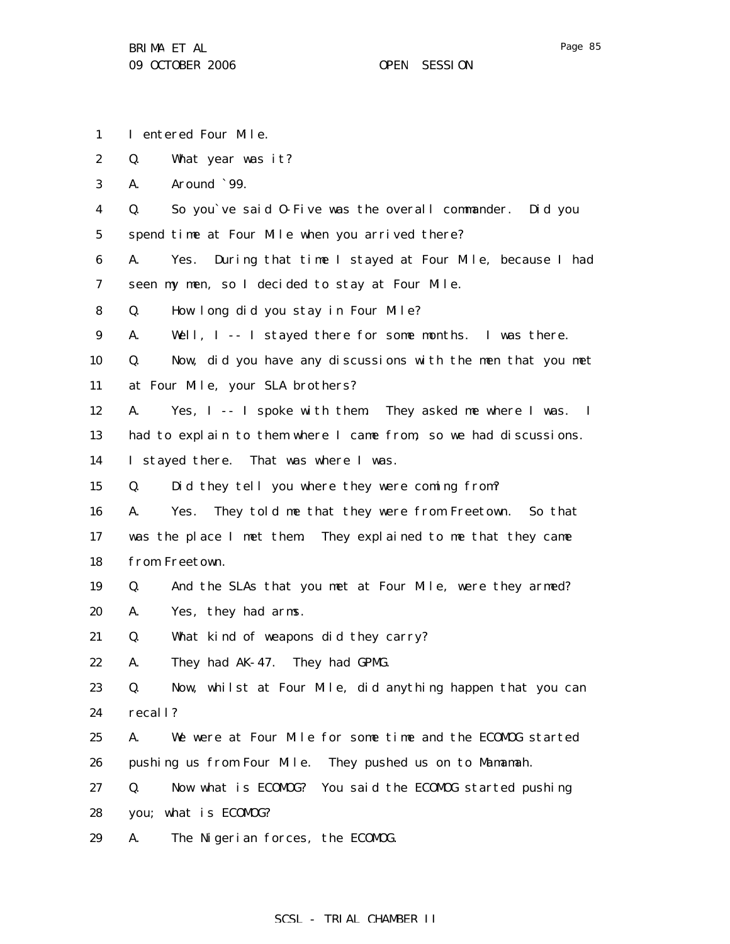- 1 I entered Four Mile.
- 2 Q. What year was it?

3 A. Around `99.

4 5 Q. So you`ve said O-Five was the overall commander. Did you spend time at Four Mile when you arrived there?

6 7 A. Yes. During that time I stayed at Four Mile, because I had seen my men, so I decided to stay at Four Mile.

- 8 Q. How long did you stay in Four Mile?
- 9 A. Well, I -- I stayed there for some months. I was there.

10 11 Q. Now, did you have any discussions with the men that you met at Four Mile, your SLA brothers?

12 A. Yes, I -- I spoke with them. They asked me where I was. I

13 had to explain to them where I came from, so we had discussions.

14 I stayed there. That was where I was.

15 Q. Did they tell you where they were coming from?

16 17 18 A. Yes. They told me that they were from Freetown. So that was the place I met them. They explained to me that they came from Freetown.

- 19 Q. And the SLAs that you met at Four Mile, were they armed?
- 20 A. Yes, they had arms.

21 Q. What kind of weapons did they carry?

22 A. They had AK-47. They had GPMG.

23 24 Q. Now, whilst at Four Mile, did anything happen that you can recall?

25 26 A. We were at Four Mile for some time and the ECOMOG started pushing us from Four Mile. They pushed us on to Mamamah.

- 27 28 Q. Now what is ECOMOG? You said the ECOMOG started pushing you; what is ECOMOG?
- 29 A. The Nigerian forces, the ECOMOG.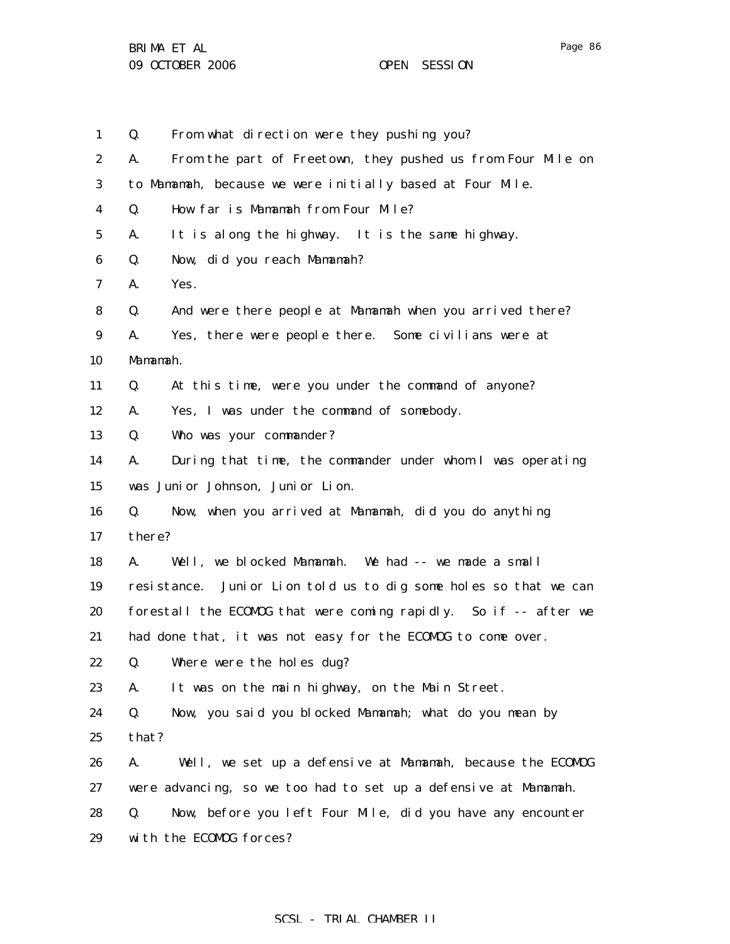BRIMA ET AL 09 OCTOBER 2006 OPEN SESSION

1 2 3 4 5 6 7 8 9 10 11 12 13 14 15 16 17 18 19 20 21 22 23 24 25 26 27 28 29 Q. From what direction were they pushing you? A. From the part of Freetown, they pushed us from Four Mile on to Mamamah, because we were initially based at Four Mile. Q. How far is Mamamah from Four Mile? A. It is along the highway. It is the same highway. Q. Now, did you reach Mamamah? A. Yes. Q. And were there people at Mamamah when you arrived there? A. Yes, there were people there. Some civilians were at Mamamah. Q. At this time, were you under the command of anyone? A. Yes, I was under the command of somebody. Q. Who was your commander? A. During that time, the commander under whom I was operating was Junior Johnson, Junior Lion. Q. Now, when you arrived at Mamamah, did you do anything there? A. Well, we blocked Mamamah. We had -- we made a small resistance. Junior Lion told us to dig some holes so that we can forestall the ECOMOG that were coming rapidly. So if -- after we had done that, it was not easy for the ECOMOG to come over. Q. Where were the holes dug? A. It was on the main highway, on the Main Street. Q. Now, you said you blocked Mamamah; what do you mean by that? A. Well, we set up a defensive at Mamamah, because the ECOMOG were advancing, so we too had to set up a defensive at Mamamah. Q. Now, before you left Four Mile, did you have any encounter with the ECOMOG forces?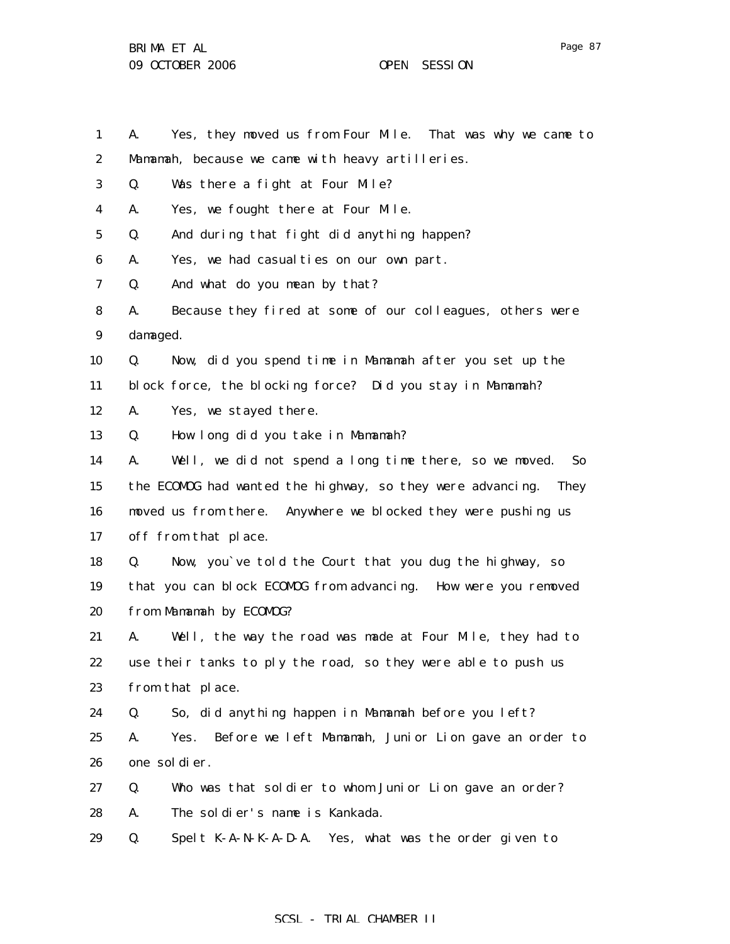BRIMA ET AL 09 OCTOBER 2006 OPEN SESSION

1 2 3 4 5 6 7 8 9 10 11 12 13 14 15 16 17 18 19 20 21 22 23 24 25 26 27 28 29 A. Yes, they moved us from Four Mile. That was why we came to Mamamah, because we came with heavy artilleries. Q. Was there a fight at Four Mile? A. Yes, we fought there at Four Mile. Q. And during that fight did anything happen? A. Yes, we had casualties on our own part. Q. And what do you mean by that? A. Because they fired at some of our colleagues, others were damaged. Q. Now, did you spend time in Mamamah after you set up the block force, the blocking force? Did you stay in Mamamah? A. Yes, we stayed there. Q. How long did you take in Mamamah? A. Well, we did not spend a long time there, so we moved. So the ECOMOG had wanted the highway, so they were advancing. They moved us from there. Anywhere we blocked they were pushing us off from that place. Q. Now, you`ve told the Court that you dug the highway, so that you can block ECOMOG from advancing. How were you removed from Mamamah by ECOMOG? A. Well, the way the road was made at Four Mile, they had to use their tanks to ply the road, so they were able to push us from that place. Q. So, did anything happen in Mamamah before you left? A. Yes. Before we left Mamamah, Junior Lion gave an order to one soldier. Q. Who was that soldier to whom Junior Lion gave an order? A. The soldier's name is Kankada. Q. Spelt K-A-N-K-A-D-A. Yes, what was the order given to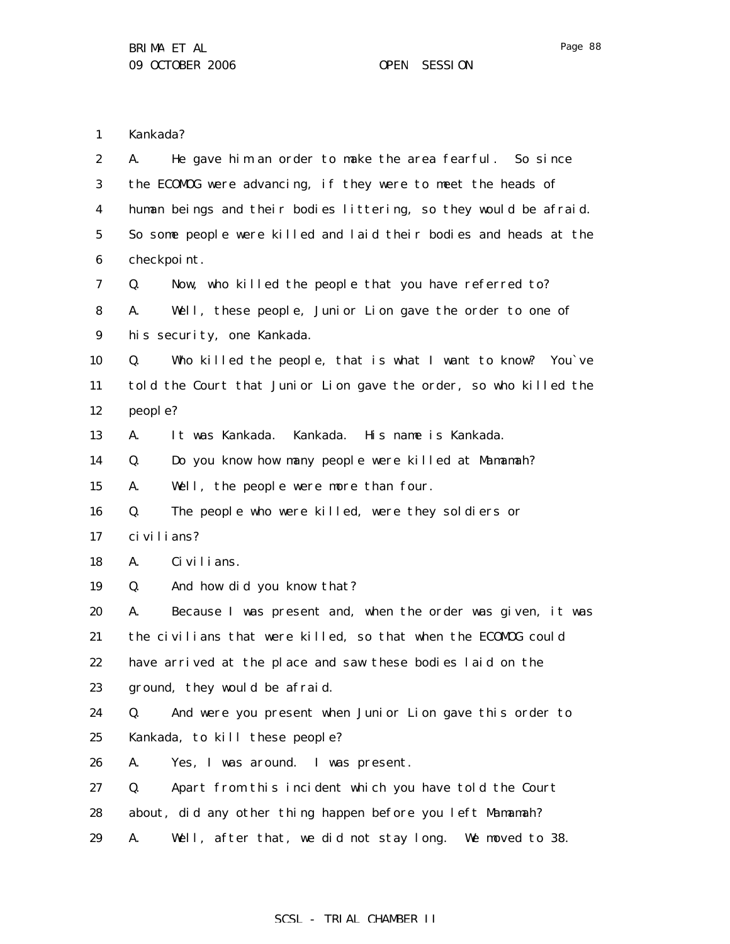1 Kankada?

| $\boldsymbol{2}$ | He gave him an order to make the area fearful. So since<br>A.     |
|------------------|-------------------------------------------------------------------|
| 3                | the ECOMOG were advancing, if they were to meet the heads of      |
| 4                | human beings and their bodies littering, so they would be afraid. |
| $\bf{5}$         | So some people were killed and laid their bodies and heads at the |
| $\boldsymbol{6}$ | checkpoint.                                                       |
| 7                | Now, who killed the people that you have referred to?<br>Q.       |
| 8                | Well, these people, Junior Lion gave the order to one of<br>A.    |
| 9                | his security, one Kankada.                                        |
| 10               | Who killed the people, that is what I want to know? You've<br>Q.  |
| 11               | told the Court that Junior Lion gave the order, so who killed the |
| 12               | people?                                                           |
| 13               | Kankada. His name is Kankada.<br>A.<br>It was Kankada.            |
| 14               | Do you know how many people were killed at Mamamah?<br>Q.         |
| 15               | A.<br>Well, the people were more than four.                       |
| 16               | The people who were killed, were they soldiers or<br>Q.           |
| 17               | ci vi li ans?                                                     |
| 18               | A.<br>Ci vi l i ans.                                              |
| 19               | And how did you know that?<br>Q.                                  |
| 20               | Because I was present and, when the order was given, it was<br>A. |
| 21               | the civilians that were killed, so that when the ECOMOG could     |
| 22               | have arrived at the place and saw these bodies laid on the        |
| 23               | ground, they would be afraid.                                     |
| 24               | And were you present when Junior Lion gave this order to<br>Q.    |
| 25               | Kankada, to kill these people?                                    |
| 26               | A.<br>Yes, I was around. I was present.                           |
| 27               | Apart from this incident which you have told the Court<br>Q.      |
| 28               | about, did any other thing happen before you left Mamamah?        |
| 29               | Well, after that, we did not stay long.<br>A.<br>We moved to 38.  |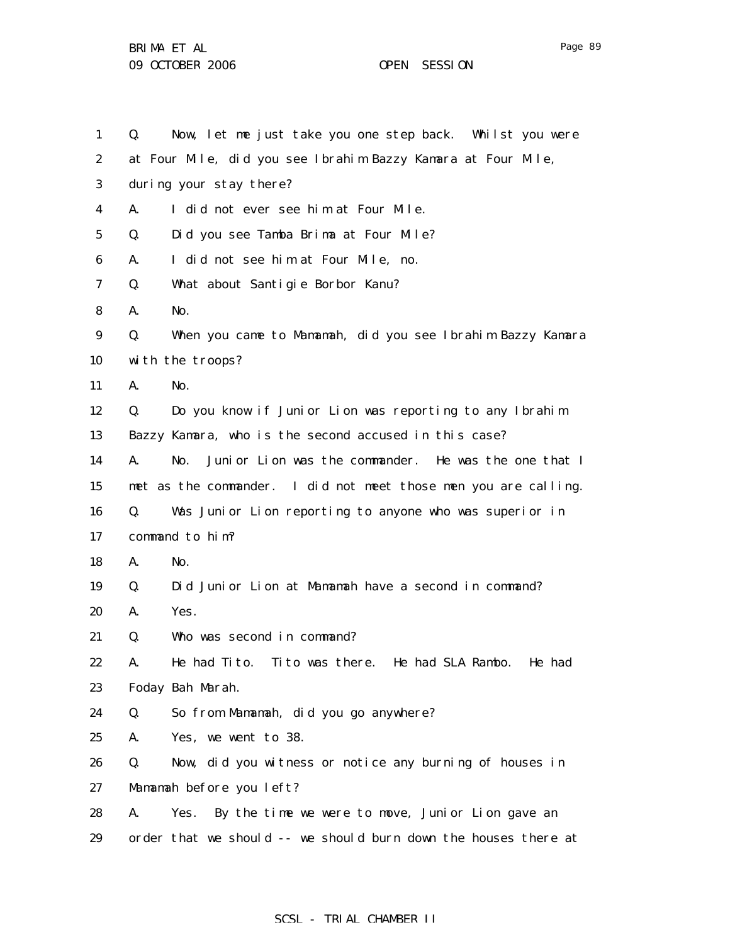| 1                | Q. | Now, let me just take you one step back. Whilst you were        |
|------------------|----|-----------------------------------------------------------------|
| $\boldsymbol{2}$ |    | at Four Mile, did you see Ibrahim Bazzy Kamara at Four Mile,    |
| 3                |    | during your stay there?                                         |
| 4                | A. | I did not ever see him at Four Mile.                            |
| $\bf{5}$         | Q. | Did you see Tamba Brima at Four Mile?                           |
| 6                | A. | I did not see him at Four Mile, no.                             |
| 7                | Q. | What about Santigie Borbor Kanu?                                |
| 8                | A. | No.                                                             |
| 9                | Q. | When you came to Mamamah, did you see Ibrahim Bazzy Kamara      |
| 10               |    | with the troops?                                                |
| 11               | A. | No.                                                             |
| 12               | Q. | Do you know if Junior Lion was reporting to any Ibrahim         |
| 13               |    | Bazzy Kamara, who is the second accused in this case?           |
| 14               | A. | Junior Lion was the commander. He was the one that I<br>No.     |
| 15               |    | met as the commander. I did not meet those men you are calling. |
| 16               | Q. | Was Junior Lion reporting to anyone who was superior in         |
| 17               |    | command to him?                                                 |
| 18               | A. | No.                                                             |
| 19               | Q. | Did Junior Lion at Mamamah have a second in command?            |
| 20               | A. | Yes.                                                            |
| 21               | Q. | Who was second in command?                                      |
| 22               | A. | He had Tito. Tito was there. He had SLA Rambo.<br>He had        |
| 23               |    | Foday Bah Marah.                                                |
| 24               | Q. | So from Mamamah, did you go anywhere?                           |
| 25               | A. | Yes, we went to 38.                                             |
| 26               | Q. | Now, did you witness or notice any burning of houses in         |
| 27               |    | Mamamah before you left?                                        |
| 28               | A. | Yes. By the time we were to move, Junior Lion gave an           |
| 29               |    | order that we should -- we should burn down the houses there at |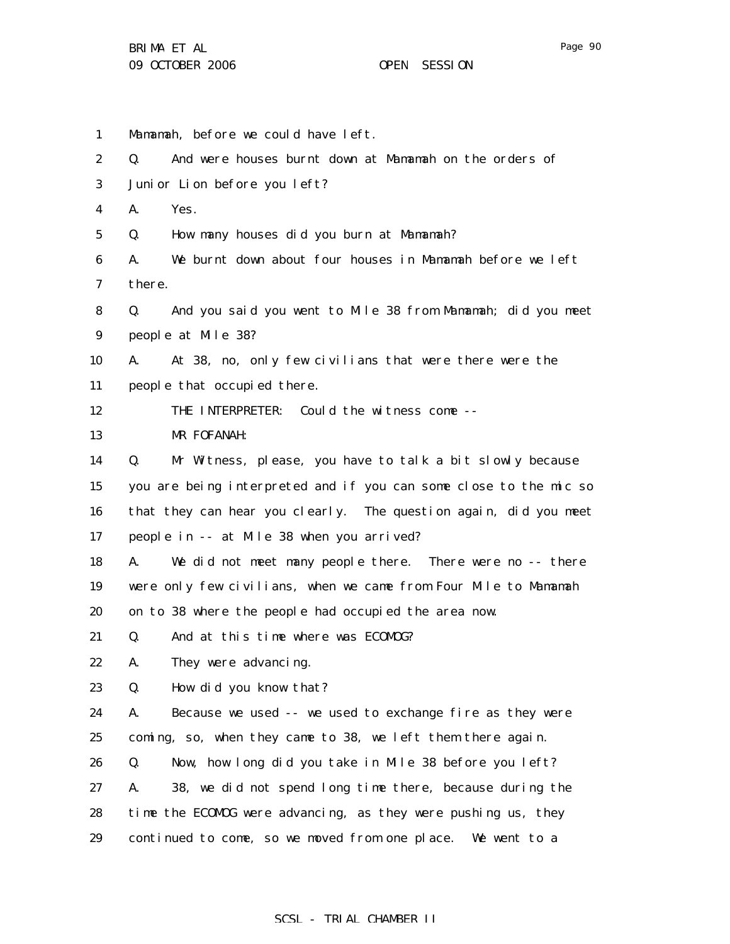1 2 3 4 5 6 7 8 9 10 11 12 13 14 15 16 17 18 19 20 21 22 23 24 25 26 27 28 29 Mamamah, before we could have left. Q. And were houses burnt down at Mamamah on the orders of Junior Lion before you left? A. Yes. Q. How many houses did you burn at Mamamah? A. We burnt down about four houses in Mamamah before we left there. Q. And you said you went to Mile 38 from Mamamah; did you meet people at Mile 38? A. At 38, no, only few civilians that were there were the people that occupied there. THE INTERPRETER: Could the witness come -- MR FOFANAH: Q. Mr Witness, please, you have to talk a bit slowly because you are being interpreted and if you can some close to the mic so that they can hear you clearly. The question again, did you meet people in -- at Mile 38 when you arrived? A. We did not meet many people there. There were no -- there were only few civilians, when we came from Four Mile to Mamamah on to 38 where the people had occupied the area now. Q. And at this time where was ECOMOG? A. They were advancing. Q. How did you know that? A. Because we used -- we used to exchange fire as they were coming, so, when they came to 38, we left them there again. Q. Now, how long did you take in Mile 38 before you left? A. 38, we did not spend long time there, because during the time the ECOMOG were advancing, as they were pushing us, they continued to come, so we moved from one place. We went to a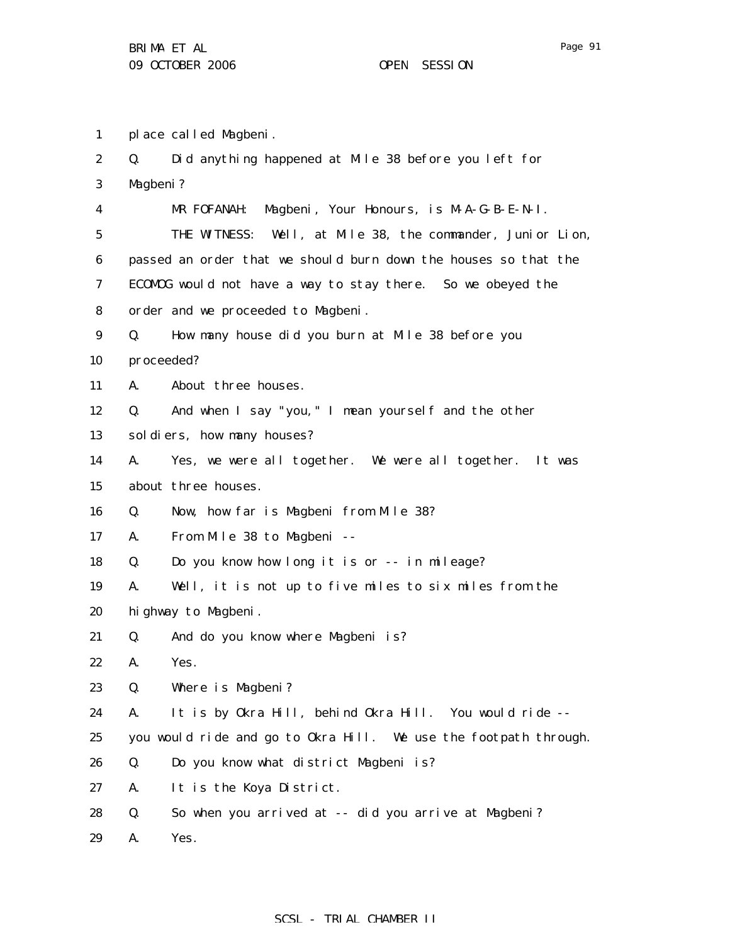1 place called Magbeni.

| $\boldsymbol{2}$ | Q.         | Did anything happened at Mile 38 before you left for             |
|------------------|------------|------------------------------------------------------------------|
| $\boldsymbol{3}$ | Magbeni?   |                                                                  |
| 4                |            | Magbeni, Your Honours, is M-A-G-B-E-N-I.<br>MR FOFANAH:          |
| $\mathbf 5$      |            | THE WITNESS: Well, at Mile 38, the commander, Junior Lion,       |
| 6                |            | passed an order that we should burn down the houses so that the  |
| 7                |            | ECOMOG would not have a way to stay there. So we obeyed the      |
| 8                |            | order and we proceeded to Magbeni.                               |
| $\boldsymbol{9}$ | Q.         | How many house did you burn at Mile 38 before you                |
| 10               | proceeded? |                                                                  |
| 11               | A.         | About three houses.                                              |
| 12               | Q.         | And when I say "you," I mean yourself and the other              |
| 13               |            | sol di ers, how many houses?                                     |
| 14               | A.         | Yes, we were all together. We were all together. It was          |
| 15               |            | about three houses.                                              |
| 16               | Q.         | Now, how far is Magbeni from Mile 38?                            |
| 17               | A.         | From Mile 38 to Magbeni --                                       |
| 18               | Q.         | Do you know how long it is or -- in mileage?                     |
| 19               | A.         | Well, it is not up to five miles to six miles from the           |
| 20               |            | highway to Magbeni.                                              |
| 21               | Q.         | And do you know where Magbeni is?                                |
| 22               | A.         | Yes.                                                             |
| 23               | Q.         | Where is Magbeni?                                                |
| 24               | A.         | It is by Okra Hill, behind Okra Hill. You would ride --          |
| 25               |            | you would ride and go to Okra Hill. We use the footpath through. |
| 26               | Q.         | Do you know what district Magbeni is?                            |
| 27               | A.         | It is the Koya District.                                         |
| 28               | Q.         | So when you arrived at -- did you arrive at Magbeni?             |
| 29               | A.         | Yes.                                                             |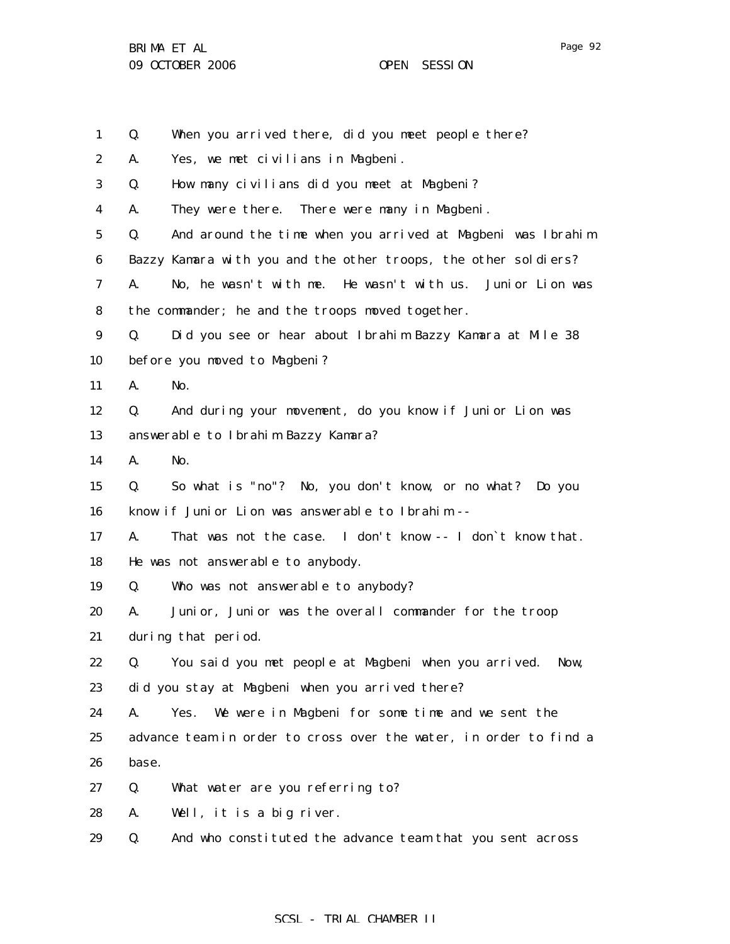| $\mathbf{1}$ | Q.    | When you arrived there, did you meet people there?                |
|--------------|-------|-------------------------------------------------------------------|
| 2            | A.    | Yes, we met civilians in Magbeni.                                 |
| 3            | Q.    | How many civilians did you meet at Magbeni?                       |
| 4            | A.    | They were there. There were many in Magbeni.                      |
| 5            | Q.    | And around the time when you arrived at Magbeni was Ibrahim       |
| 6            |       | Bazzy Kamara with you and the other troops, the other soldiers?   |
| 7            | A.    | No, he wasn't with me. He wasn't with us. Junior Lion was         |
| 8            |       | the commander; he and the troops moved together.                  |
| 9            | Q.    | Did you see or hear about Ibrahim Bazzy Kamara at Mile 38         |
| 10           |       | before you moved to Magbeni?                                      |
| 11           | A.    | No.                                                               |
| 12           | Q.    | And during your movement, do you know if Junior Lion was          |
| 13           |       | answerable to Ibrahim Bazzy Kamara?                               |
| 14           | А.    | No.                                                               |
| 15           | Q.    | So what is "no"? No, you don't know, or no what? Do you           |
| 16           |       | know if Junior Lion was answerable to Ibrahim --                  |
| 17           | A.    | That was not the case. I don't know -- I don't know that.         |
| 18           |       | He was not answerable to anybody.                                 |
| 19           | Q.    | Who was not answerable to anybody?                                |
| 20           | A.    | Junior, Junior was the overall commander for the troop            |
| 21           |       | during that period.                                               |
| 22           | Q.    | You said you met people at Magbeni when you arrived.<br>Now,      |
| 23           |       | did you stay at Magbeni when you arrived there?                   |
| 24           | A.    | We were in Magbeni for some time and we sent the<br>Yes.          |
| 25           |       | advance team in order to cross over the water, in order to find a |
| 26           | base. |                                                                   |
| 27           | Q.    | What water are you referring to?                                  |
| 28           | A.    | Well, it is a big river.                                          |
| 29           | Q.    | And who constituted the advance team that you sent across         |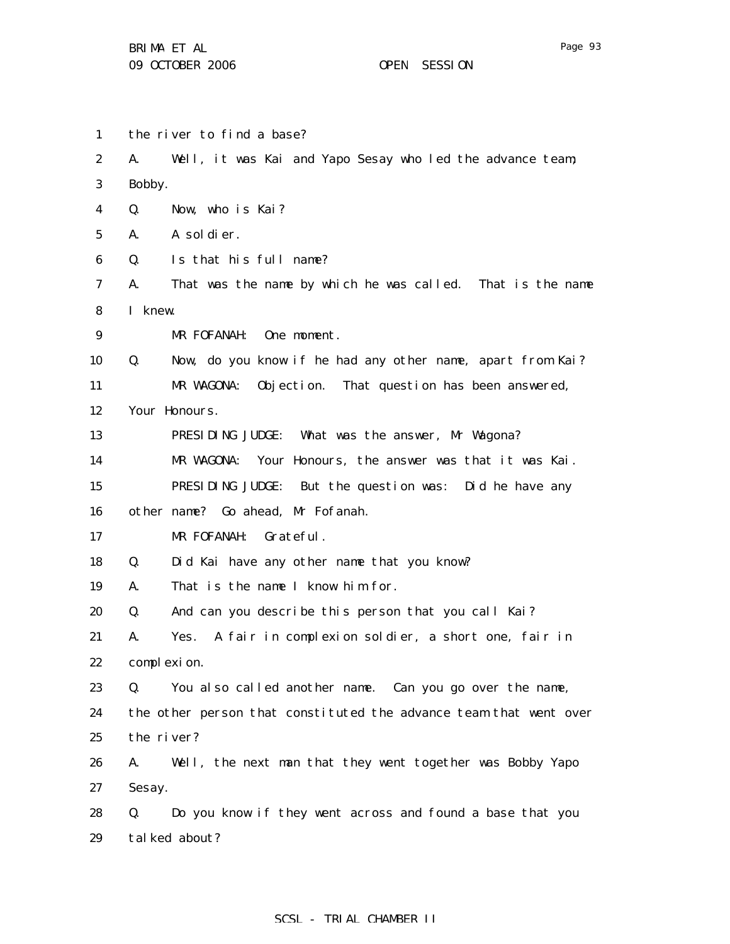1 2 3 4 5 6 7 8 9 10 11 12 13 14 15 16 17 18 19 20 21 22 23 24 25 26 27 28 29 the river to find a base? A. Well, it was Kai and Yapo Sesay who led the advance team; Bobby. Q. Now, who is Kai? A. A soldier. Q. Is that his full name? A. That was the name by which he was called. That is the name I knew. MR FOFANAH: One moment. Q. Now, do you know if he had any other name, apart from Kai? MR WAGONA: Objection. That question has been answered, Your Honours. PRESIDING JUDGE: What was the answer, Mr Wagona? MR WAGONA: Your Honours, the answer was that it was Kai. PRESIDING JUDGE: But the question was: Did he have any other name? Go ahead, Mr Fofanah. MR FOFANAH: Grateful. Q. Did Kai have any other name that you know? A. That is the name I know him for. Q. And can you describe this person that you call Kai? A. Yes. A fair in complexion soldier, a short one, fair in complexion. Q. You also called another name. Can you go over the name, the other person that constituted the advance team that went over the river? A. Well, the next man that they went together was Bobby Yapo Sesay. Q. Do you know if they went across and found a base that you talked about?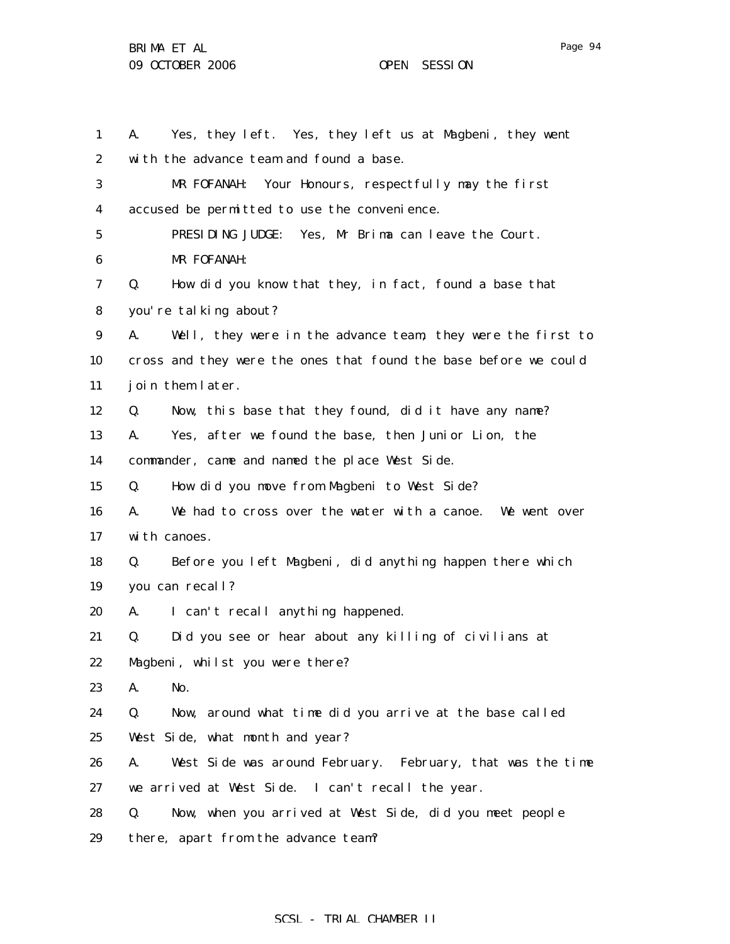1 2 3 4 5 6 7 8 9 10 11 12 13 14 15 16 17 18 19 20 21 22 23 24 25 26 27 28 29 A. Yes, they left. Yes, they left us at Magbeni, they went with the advance team and found a base. MR FOFANAH: Your Honours, respectfully may the first accused be permitted to use the convenience. PRESIDING JUDGE: Yes, Mr Brima can leave the Court. MR FOFANAH: Q. How did you know that they, in fact, found a base that you're talking about? A. Well, they were in the advance team, they were the first to cross and they were the ones that found the base before we could join them later. Q. Now, this base that they found, did it have any name? A. Yes, after we found the base, then Junior Lion, the commander, came and named the place West Side. Q. How did you move from Magbeni to West Side? A. We had to cross over the water with a canoe. We went over with canoes. Q. Before you left Magbeni, did anything happen there which you can recall? A. I can't recall anything happened. Q. Did you see or hear about any killing of civilians at Magbeni, whilst you were there? A. No. Q. Now, around what time did you arrive at the base called West Side, what month and year? A. West Side was around February. February, that was the time we arrived at West Side. I can't recall the year. Q. Now, when you arrived at West Side, did you meet people there, apart from the advance team?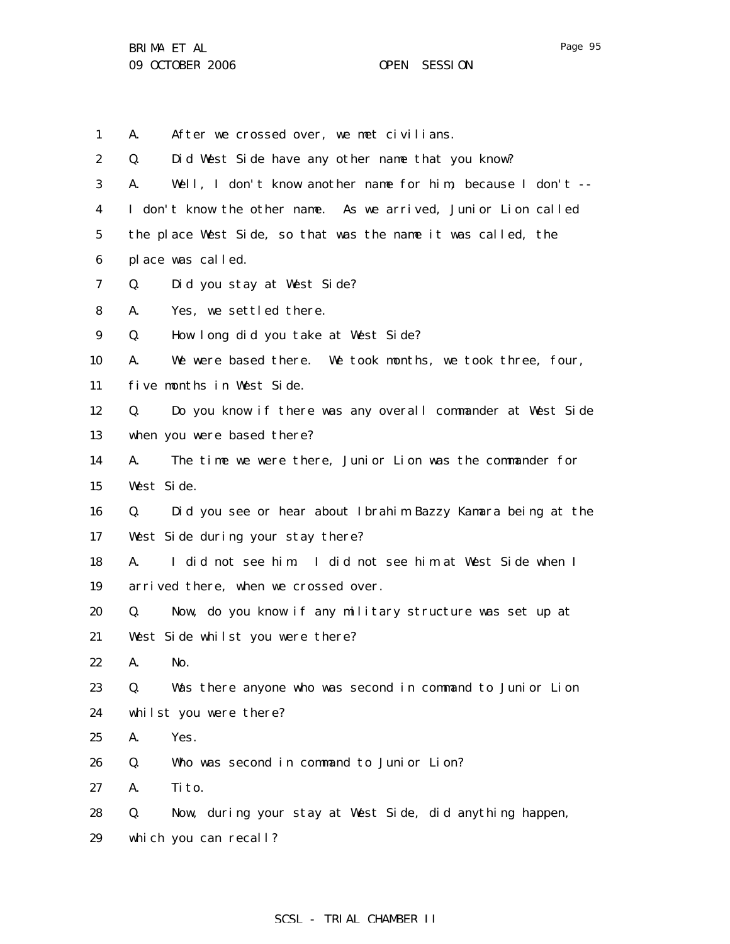1 A. After we crossed over, we met civilians.

| $\boldsymbol{2}$ | Did West Side have any other name that you know?<br>Q.            |
|------------------|-------------------------------------------------------------------|
| 3                | Well, I don't know another name for him, because I don't --<br>A. |
| 4                | I don't know the other name. As we arrived, Junior Lion called    |
| 5                | the place West Side, so that was the name it was called, the      |
| 6                | place was called.                                                 |
| 7                | Did you stay at West Side?<br>Q.                                  |
| 8                | Yes, we settled there.<br>A.                                      |
| 9                | How long did you take at West Side?<br>Q.                         |
| 10               | We were based there. We took months, we took three, four,<br>A.   |
| 11               | five months in West Side.                                         |
| 12               | Do you know if there was any overall commander at West Side<br>Q. |
| 13               | when you were based there?                                        |
| 14               | The time we were there, Junior Lion was the commander for<br>A.   |
| 15               | West Side.                                                        |
| 16               | Did you see or hear about Ibrahim Bazzy Kamara being at the<br>Q. |
| 17               | West Side during your stay there?                                 |
| 18               | A.<br>I did not see him I did not see him at West Side when I     |
| 19               | arrived there, when we crossed over.                              |
| 20               | Now, do you know if any military structure was set up at<br>Q.    |
| 21               | West Side whilst you were there?                                  |
| 22               | No.<br>A.                                                         |
| 23               | Was there anyone who was second in command to Junior Lion<br>Q.   |
| 24               | whilst you were there?                                            |
| 25               | Yes.<br>A.                                                        |
| 26               | Who was second in command to Junior Lion?<br>Q.                   |
| 27               | A.<br>Ti to.                                                      |
| 28               | Now, during your stay at West Side, did anything happen,<br>Q.    |
| 29               | which you can recall?                                             |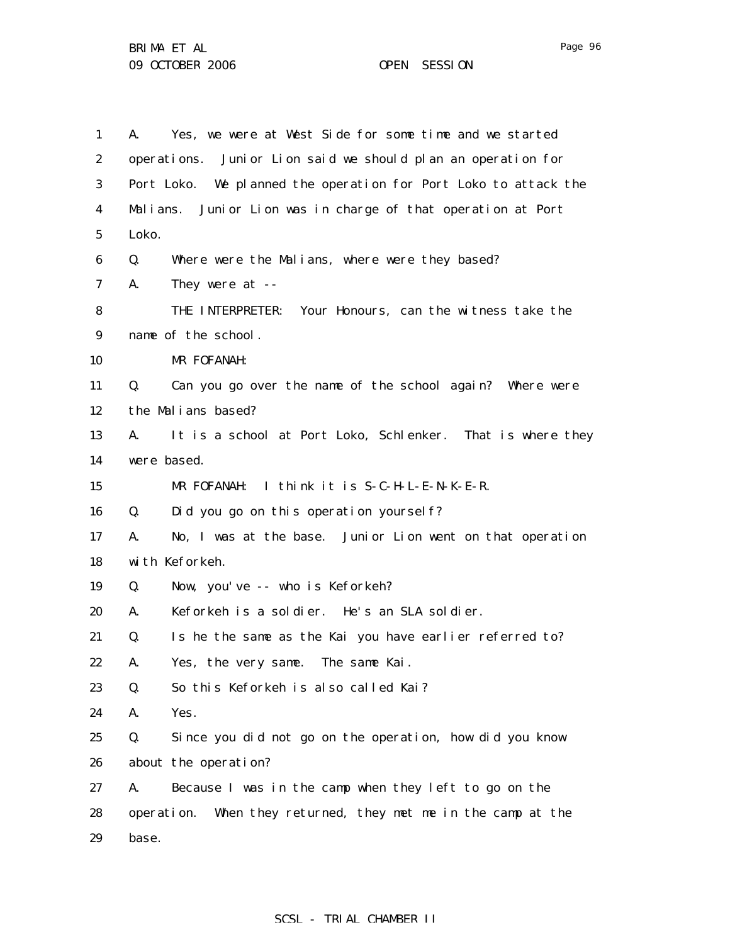1 2 3 4 5 6 7 8 9 10 11 12 13 14 15 16 17 18 19 20 21 22 23 24 25 26 27 28 29 A. Yes, we were at West Side for some time and we started operations. Junior Lion said we should plan an operation for Port Loko. We planned the operation for Port Loko to attack the Malians. Junior Lion was in charge of that operation at Port Loko. Q. Where were the Malians, where were they based? A. They were at -- THE INTERPRETER: Your Honours, can the witness take the name of the school. MR FOFANAH: Q. Can you go over the name of the school again? Where were the Malians based? A. It is a school at Port Loko, Schlenker. That is where they were based. MR FOFANAH: I think it is S-C-H-L-E-N-K-E-R. Q. Did you go on this operation yourself? A. No, I was at the base. Junior Lion went on that operation with Keforkeh. Q. Now, you've -- who is Keforkeh? A. Keforkeh is a soldier. He's an SLA soldier. Q. Is he the same as the Kai you have earlier referred to? A. Yes, the very same. The same Kai. Q. So this Keforkeh is also called Kai? A. Yes. Q. Since you did not go on the operation, how did you know about the operation? A. Because I was in the camp when they left to go on the operation. When they returned, they met me in the camp at the base.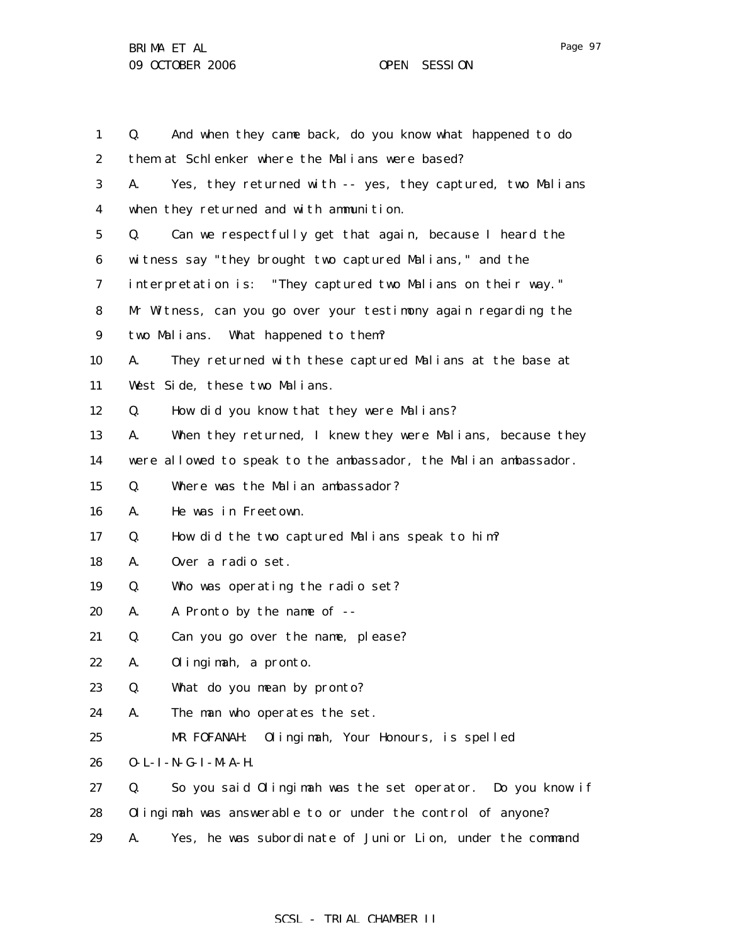| $\mathbf{1}$     | And when they came back, do you know what happened to do<br>Q.   |
|------------------|------------------------------------------------------------------|
| $\boldsymbol{2}$ | them at Schlenker where the Malians were based?                  |
| 3                | Yes, they returned with -- yes, they captured, two Malians<br>A. |
| 4                | when they returned and with ammunition.                          |
| $\mathbf 5$      | Can we respectfully get that again, because I heard the<br>Q.    |
| 6                | witness say "they brought two captured Malians," and the         |
| 7                | interpretation is: "They captured two Malians on their way."     |
| 8                | Mr Witness, can you go over your testimony again regarding the   |
| $\boldsymbol{9}$ | two Malians. What happened to them?                              |
| 10               | They returned with these captured Malians at the base at<br>A.   |
| 11               | West Side, these two Malians.                                    |
| 12               | How did you know that they were Malians?<br>Q.                   |
| 13               | When they returned, I knew they were Malians, because they<br>A. |
| 14               | were allowed to speak to the ambassador, the Malian ambassador.  |
| 15               | Where was the Malian ambassador?<br>Q.                           |
| 16               | He was in Freetown.<br>A.                                        |
| 17               | How did the two captured Malians speak to him?<br>Q.             |
| 18               | Over a radio set.<br>A.                                          |
| 19               | Who was operating the radio set?<br>Q.                           |
| 20               | A Pronto by the name of --<br>A.                                 |
| 21               | Can you go over the name, please?<br>Q.                          |
| 22               | Olingimah, a pronto.<br>A.                                       |
| 23               | Q.<br>What do you mean by pronto?                                |
| 24               | A.<br>The man who operates the set.                              |
| 25               | MR FOFANAH:<br>Olingimah, Your Honours, is spelled               |
| 26               | 0-L-I-N-G-I-M-A-H.                                               |
| 27               | So you said Olingimah was the set operator. Do you know if<br>Q. |
| 28               | Olingimah was answerable to or under the control of anyone?      |
| 29               | Yes, he was subordinate of Junior Lion, under the command<br>A.  |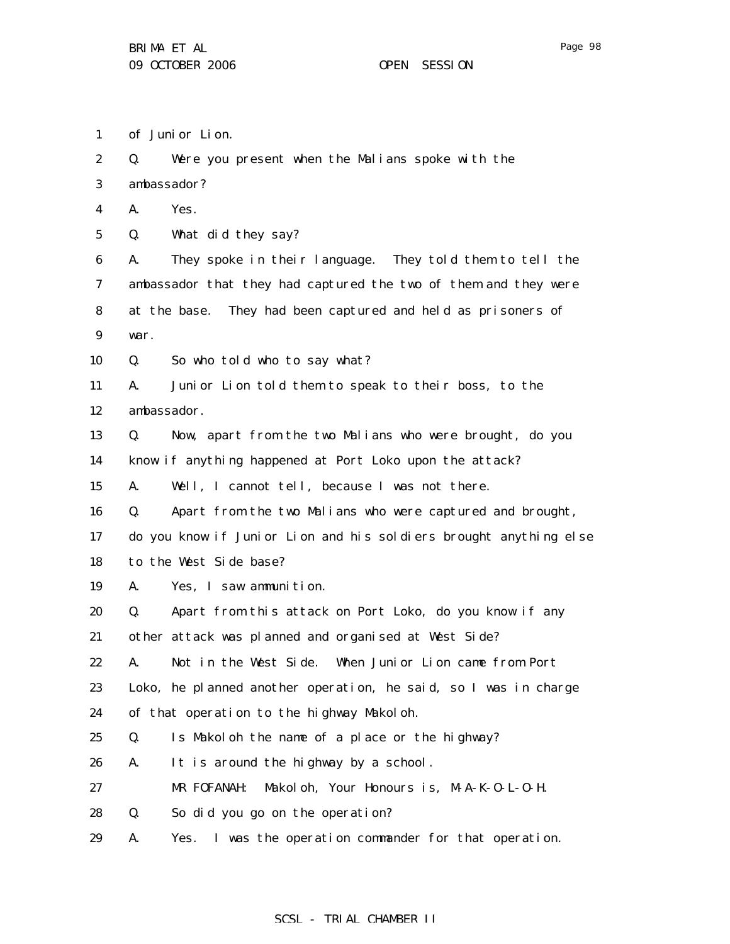1 of Junior Lion.

| $\boldsymbol{2}$ | Q.   | Were you present when the Malians spoke with the                  |  |
|------------------|------|-------------------------------------------------------------------|--|
| 3                |      | ambassador?                                                       |  |
| 4                | A.   | Yes.                                                              |  |
| $\mathbf 5$      | Q.   | What did they say?                                                |  |
| 6                | A.   | They spoke in their language. They told them to tell the          |  |
| 7                |      | ambassador that they had captured the two of them and they were   |  |
| 8                |      | at the base. They had been captured and held as prisoners of      |  |
| $\boldsymbol{9}$ | war. |                                                                   |  |
| 10               | Q.   | So who told who to say what?                                      |  |
| 11               | А.   | Junior Lion told them to speak to their boss, to the              |  |
| 12               |      | ambassador.                                                       |  |
| 13               | Q.   | Now, apart from the two Malians who were brought, do you          |  |
| 14               |      | know if anything happened at Port Loko upon the attack?           |  |
| 15               | A.   | Well, I cannot tell, because I was not there.                     |  |
| 16               | Q.   | Apart from the two Malians who were captured and brought,         |  |
| 17               |      | do you know if Junior Lion and his soldiers brought anything else |  |
| 18               |      | to the West Side base?                                            |  |
| 19               | A.   | Yes, I saw ammunition.                                            |  |
| 20               | Q.   | Apart from this attack on Port Loko, do you know if any           |  |
| 21               |      | other attack was planned and organised at West Side?              |  |
| 22               | A.   | Not in the West Side. When Junior Lion came from Port             |  |
| 23               |      | Loko, he planned another operation, he said, so I was in charge   |  |
| 24               |      | of that operation to the highway Makoloh.                         |  |
| 25               | Q.   | Is Makoloh the name of a place or the highway?                    |  |
| 26               | A.   | It is around the highway by a school.                             |  |
| 27               |      | MR FOFANAH:<br>Makol oh, Your Honours is, M-A-K-O-L-O-H.          |  |
| 28               | Q.   | So did you go on the operation?                                   |  |
| 29               | A.   | Yes. I was the operation commander for that operation.            |  |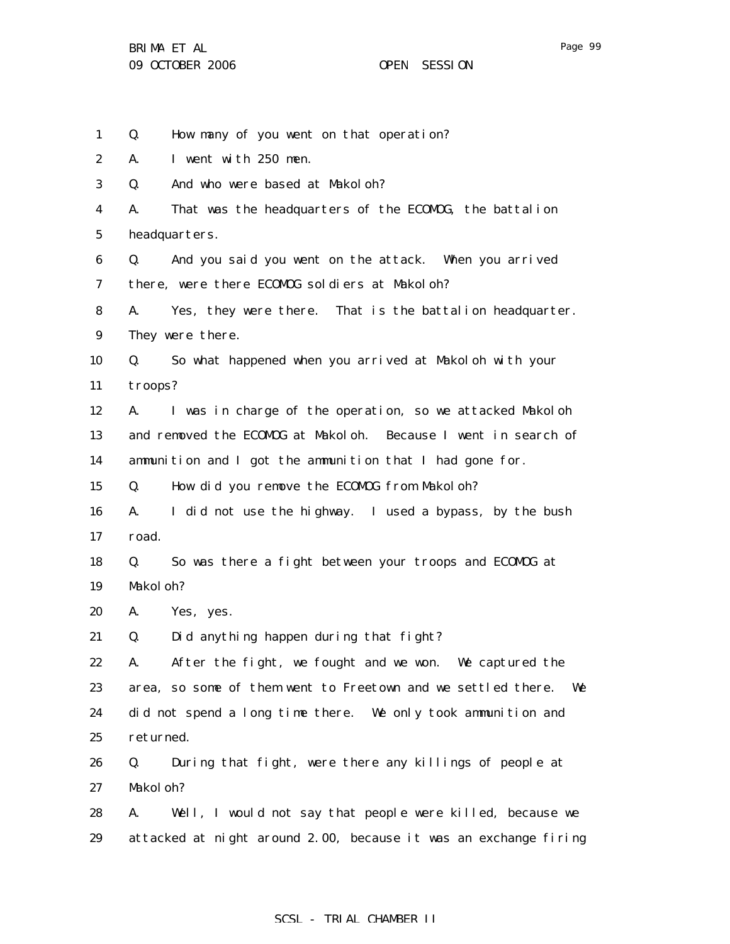1 2 3 4 5 6 7 8 9 10 11 12 13 14 15 16 17 18 19 20 21 22 23 24 25 26 27 28 29 Q. How many of you went on that operation? A. I went with 250 men. Q. And who were based at Makoloh? A. That was the headquarters of the ECOMOG, the battalion headquarters. Q. And you said you went on the attack. When you arrived there, were there ECOMOG soldiers at Makoloh? A. Yes, they were there. That is the battalion headquarter. They were there. Q. So what happened when you arrived at Makoloh with your troops? A. I was in charge of the operation, so we attacked Makoloh and removed the ECOMOG at Makoloh. Because I went in search of ammunition and I got the ammunition that I had gone for. Q. How did you remove the ECOMOG from Makoloh? A. I did not use the highway. I used a bypass, by the bush road. Q. So was there a fight between your troops and ECOMOG at Makol oh? A. Yes, yes. Q. Did anything happen during that fight? A. After the fight, we fought and we won. We captured the area, so some of them went to Freetown and we settled there. We did not spend a long time there. We only took ammunition and returned. Q. During that fight, were there any killings of people at Makol oh? A. Well, I would not say that people were killed, because we attacked at night around 2.00, because it was an exchange firing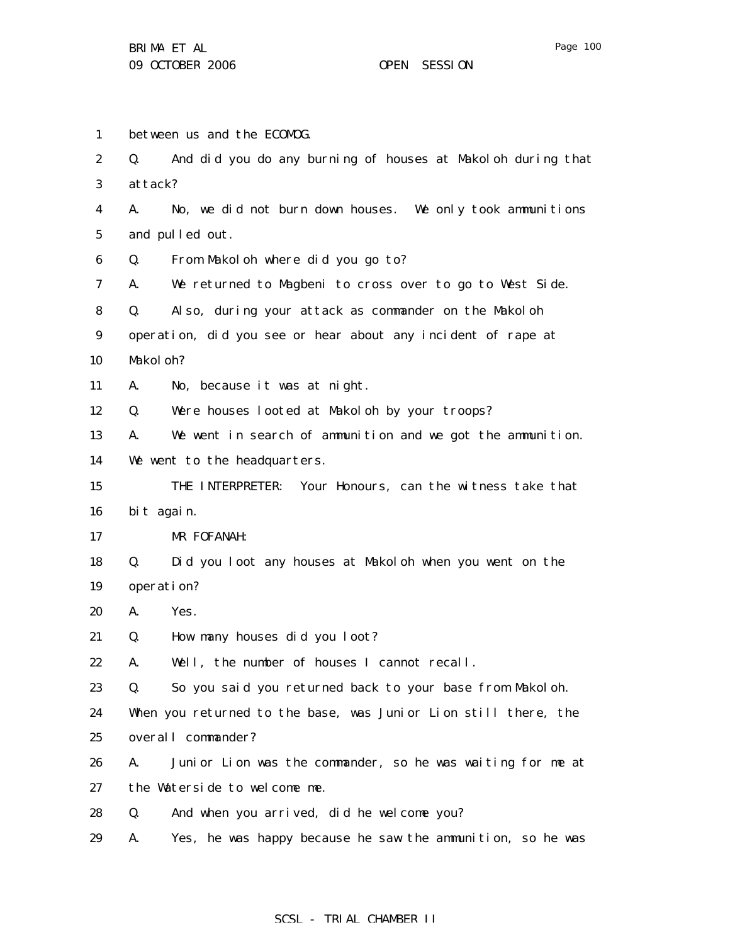1 2 3 4 5 6 7 8 9 10 11 12 13 14 15 16 17 18 19 20 21 22 23 24 25 26 27 28 29 between us and the ECOMOG. Q. And did you do any burning of houses at Makoloh during that attack? A. No, we did not burn down houses. We only took ammunitions and pulled out. Q. From Makoloh where did you go to? A. We returned to Magbeni to cross over to go to West Side. Q. Also, during your attack as commander on the Makoloh operation, did you see or hear about any incident of rape at Makol oh? A. No, because it was at night. Q. Were houses looted at Makoloh by your troops? A. We went in search of ammunition and we got the ammunition. We went to the headquarters. THE INTERPRETER: Your Honours, can the witness take that bit again. MR FOFANAH: Q. Did you loot any houses at Makoloh when you went on the operation? A. Yes. Q. How many houses did you loot? A. Well, the number of houses I cannot recall. Q. So you said you returned back to your base from Makoloh. When you returned to the base, was Junior Lion still there, the overall commander? A. Junior Lion was the commander, so he was waiting for me at the Waterside to welcome me. Q. And when you arrived, did he welcome you? A. Yes, he was happy because he saw the ammunition, so he was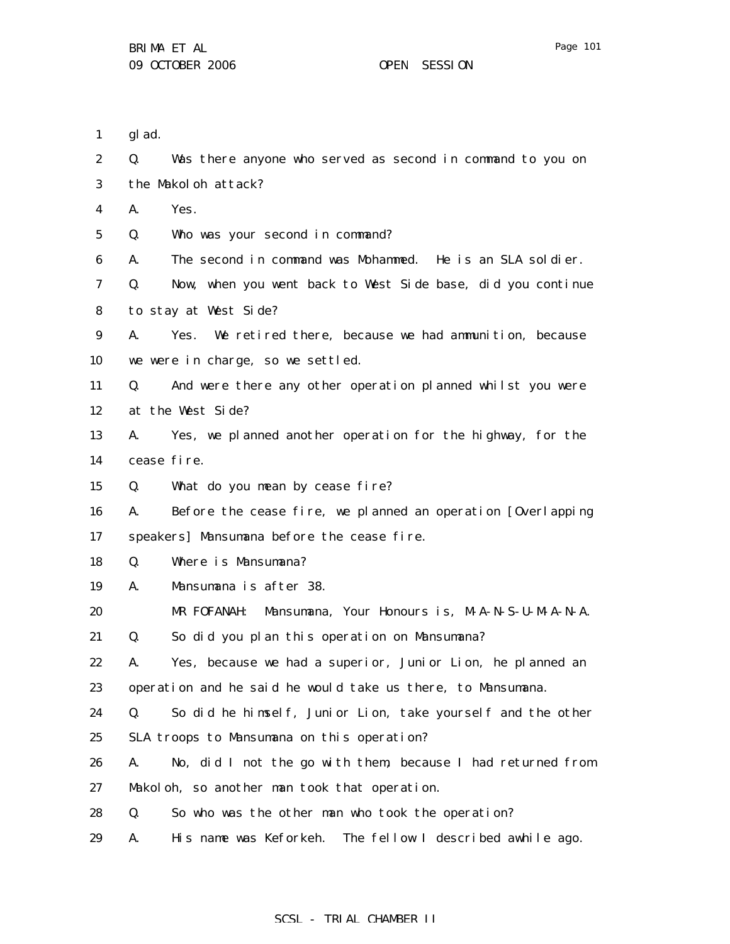Page 101

1 glad.

| $\boldsymbol{2}$ | Q. | Was there anyone who served as second in command to you on    |
|------------------|----|---------------------------------------------------------------|
| 3                |    | the Makoloh attack?                                           |
| 4                | A. | Yes.                                                          |
| $\bf{5}$         | Q. | Who was your second in command?                               |
| 6                | A. | The second in command was Mohammed. He is an SLA soldier.     |
| 7                | Q. | Now, when you went back to West Side base, did you continue   |
| 8                |    | to stay at West Side?                                         |
| 9                | A. | Yes. We retired there, because we had ammunition, because     |
| 10               |    | we were in charge, so we settled.                             |
| 11               | Q. | And were there any other operation planned whilst you were    |
| 12               |    | at the West Side?                                             |
| 13               | A. | Yes, we planned another operation for the highway, for the    |
| 14               |    | cease fire.                                                   |
| 15               | Q. | What do you mean by cease fire?                               |
| 16               | A. | Before the cease fire, we planned an operation [Overlapping   |
| 17               |    | speakers] Mansumana before the cease fire.                    |
| 18               | Q. | Where is Mansumana?                                           |
| 19               | A. | Mansumana is after 38.                                        |
| 20               |    | Mansumana, Your Honours is, M-A-N-S-U-M-A-N-A.<br>MR FOFANAH: |
| 21               | Q. | So did you plan this operation on Mansumana?                  |
| 22               | A. | Yes, because we had a superior, Junior Lion, he planned an    |
| 23               |    | operation and he said he would take us there, to Mansumana.   |
| 24               | Q. | So did he himself, Junior Lion, take yourself and the other   |
| 25               |    | SLA troops to Mansumana on this operation?                    |
| 26               | A. | No, did I not the go with them, because I had returned from   |
| 27               |    | Makoloh, so another man took that operation.                  |
| 28               | Q. | So who was the other man who took the operation?              |
| 29               | A. | His name was Keforkeh.<br>The fellow I described awhile ago.  |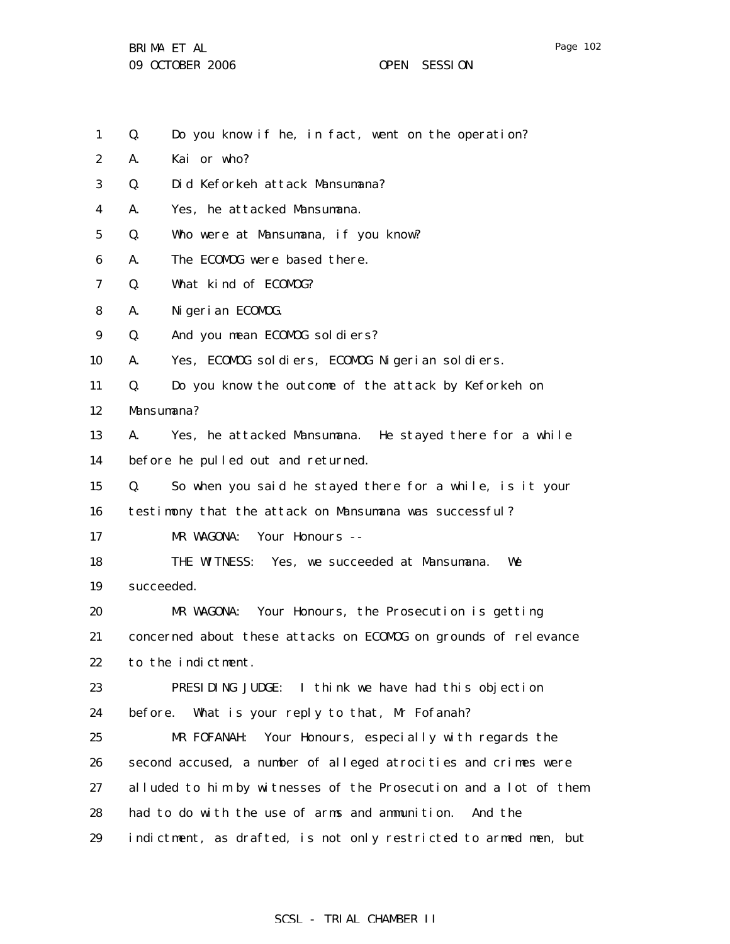- Page 102
- 1 Q. Do you know if he, in fact, went on the operation?
- 2 A. Kai or who?
- 3 Q. Did Keforkeh attack Mansumana?
- 4 A. Yes, he attacked Mansumana.
- 5 Q. Who were at Mansumana, if you know?
- 6 A. The ECOMOG were based there.
- 7 Q. What kind of ECOMOG?
- 8 A. Nigerian ECOMOG.
- 9 Q. And you mean ECOMOG soldiers?
- 10 A. Yes, ECOMOG soldiers, ECOMOG Nigerian soldiers.
- 11 Q. Do you know the outcome of the attack by Keforkeh on

12 Mansumana?

- 13 14 A. Yes, he attacked Mansumana. He stayed there for a while before he pulled out and returned.
- 15 Q. So when you said he stayed there for a while, is it your
- 16 testimony that the attack on Mansumana was successful?
- 17 MR WAGONA: Your Honours --

18 19 THE WITNESS: Yes, we succeeded at Mansumana. We succeeded.

- 20 21 22 MR WAGONA: Your Honours, the Prosecution is getting concerned about these attacks on ECOMOG on grounds of relevance to the indictment.
- 23 24 PRESIDING JUDGE: I think we have had this objection before. What is your reply to that, Mr Fofanah?
- 25 26 27 28 29 MR FOFANAH: Your Honours, especially with regards the second accused, a number of alleged atrocities and crimes were alluded to him by witnesses of the Prosecution and a lot of them had to do with the use of arms and ammunition. And the indictment, as drafted, is not only restricted to armed men, but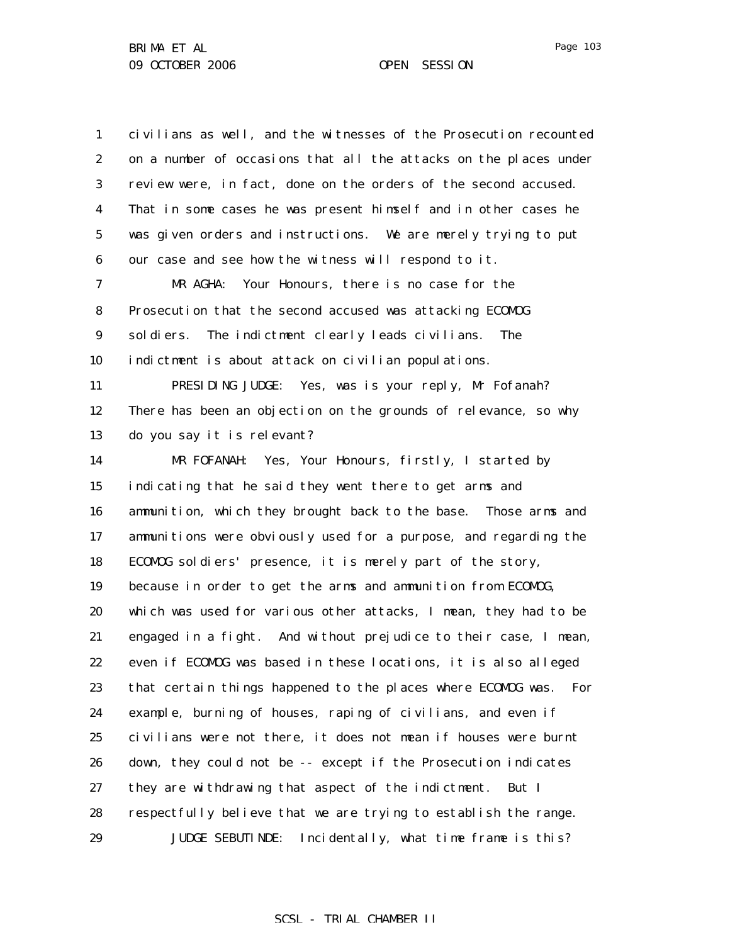1 2 3 4 5 6 7 8 9 10 11 12 13 14 15 16 17 18 19 20 21 22 23 24 25 26 27 28 29 civilians as well, and the witnesses of the Prosecution recounted on a number of occasions that all the attacks on the places under review were, in fact, done on the orders of the second accused. That in some cases he was present himself and in other cases he was given orders and instructions. We are merely trying to put our case and see how the witness will respond to it. MR AGHA: Your Honours, there is no case for the Prosecution that the second accused was attacking ECOMOG soldiers. The indictment clearly leads civilians. The indictment is about attack on civilian populations. PRESIDING JUDGE: Yes, was is your reply, Mr Fofanah? There has been an objection on the grounds of relevance, so why do you say it is relevant? MR FOFANAH: Yes, Your Honours, firstly, I started by indicating that he said they went there to get arms and ammunition, which they brought back to the base. Those arms and ammunitions were obviously used for a purpose, and regarding the ECOMOG soldiers' presence, it is merely part of the story, because in order to get the arms and ammunition from ECOMOG, which was used for various other attacks, I mean, they had to be engaged in a fight. And without prejudice to their case, I mean, even if ECOMOG was based in these locations, it is also alleged that certain things happened to the places where ECOMOG was. For example, burning of houses, raping of civilians, and even if civilians were not there, it does not mean if houses were burnt down, they could not be -- except if the Prosecution indicates they are withdrawing that aspect of the indictment. But I respectfully believe that we are trying to establish the range. JUDGE SEBUTINDE: Incidentally, what time frame is this?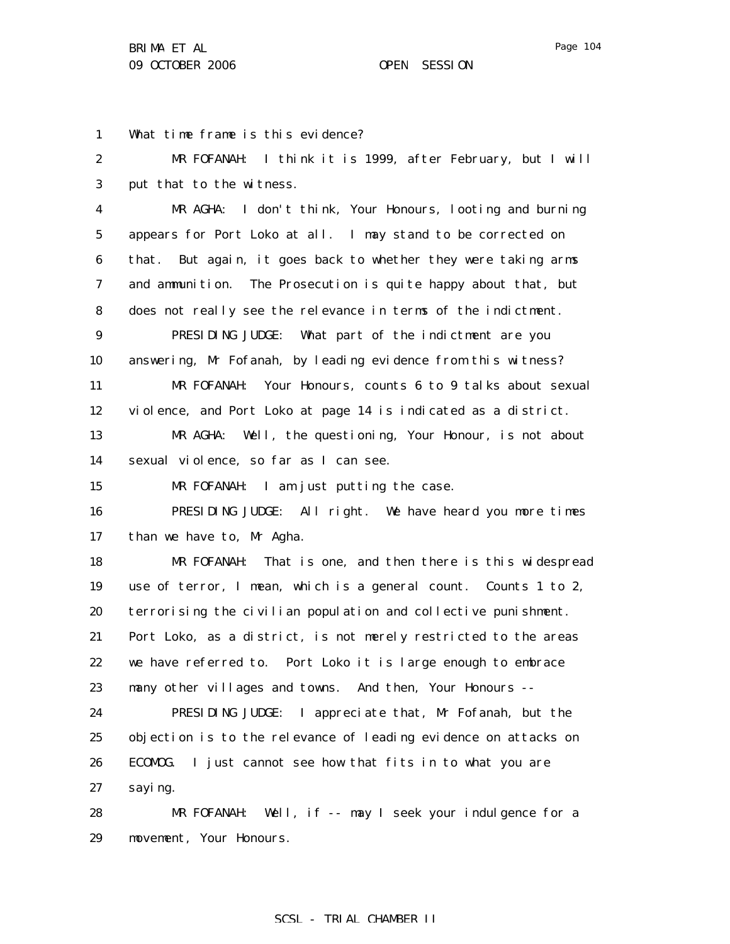1 2 3 4 5 6 7 8 9 10 11 12 13 14 15 16 17 18 19 20 21 22 23 24 25 26 27 28 29 What time frame is this evidence? MR FOFANAH: I think it is 1999, after February, but I will put that to the witness. MR AGHA: I don't think, Your Honours, looting and burning appears for Port Loko at all. I may stand to be corrected on that. But again, it goes back to whether they were taking arms and ammunition. The Prosecution is quite happy about that, but does not really see the relevance in terms of the indictment. PRESIDING JUDGE: What part of the indictment are you answering, Mr Fofanah, by leading evidence from this witness? MR FOFANAH: Your Honours, counts 6 to 9 talks about sexual violence, and Port Loko at page 14 is indicated as a district. MR AGHA: Well, the questioning, Your Honour, is not about sexual violence, so far as I can see. MR FOFANAH: I am just putting the case. PRESIDING JUDGE: All right. We have heard you more times than we have to, Mr Agha. MR FOFANAH: That is one, and then there is this widespread use of terror, I mean, which is a general count. Counts 1 to 2, terrorising the civilian population and collective punishment. Port Loko, as a district, is not merely restricted to the areas we have referred to. Port Loko it is large enough to embrace many other villages and towns. And then, Your Honours -- PRESIDING JUDGE: I appreciate that, Mr Fofanah, but the objection is to the relevance of leading evidence on attacks on ECOMOG. I just cannot see how that fits in to what you are saying. MR FOFANAH: Well, if -- may I seek your indulgence for a movement, Your Honours.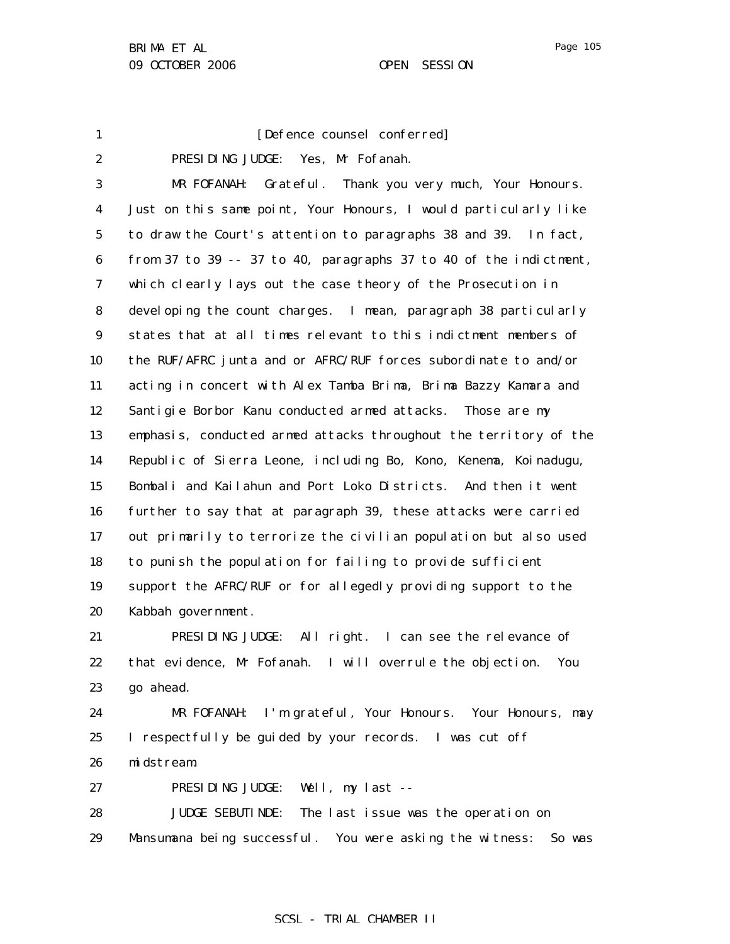1

# [Defence counsel conferred]

2 3 4 5 6 7 8 9 10 11 12 13 14 15 16 17 18 19 20 PRESIDING JUDGE: Yes, Mr Fofanah. MR FOFANAH: Grateful. Thank you very much, Your Honours. Just on this same point, Your Honours, I would particularly like to draw the Court's attention to paragraphs 38 and 39. In fact, from 37 to 39 -- 37 to 40, paragraphs 37 to 40 of the indictment, which clearly lays out the case theory of the Prosecution in developing the count charges. I mean, paragraph 38 particularly states that at all times relevant to this indictment members of the RUF/AFRC junta and or AFRC/RUF forces subordinate to and/or acting in concert with Alex Tamba Brima, Brima Bazzy Kamara and Santigie Borbor Kanu conducted armed attacks. Those are my emphasis, conducted armed attacks throughout the territory of the Republic of Sierra Leone, including Bo, Kono, Kenema, Koinadugu, Bombali and Kailahun and Port Loko Districts. And then it went further to say that at paragraph 39, these attacks were carried out primarily to terrorize the civilian population but also used to punish the population for failing to provide sufficient support the AFRC/RUF or for allegedly providing support to the Kabbah government.

21 22 23 PRESIDING JUDGE: All right. I can see the relevance of that evidence, Mr Fofanah. I will overrule the objection. You go ahead.

24 25 26 MR FOFANAH: I'm grateful, Your Honours. Your Honours, may I respectfully be guided by your records. I was cut off midstream.

27 PRESIDING JUDGE: Well, my last --

28 29 JUDGE SEBUTINDE: The last issue was the operation on Mansumana being successful. You were asking the witness: So was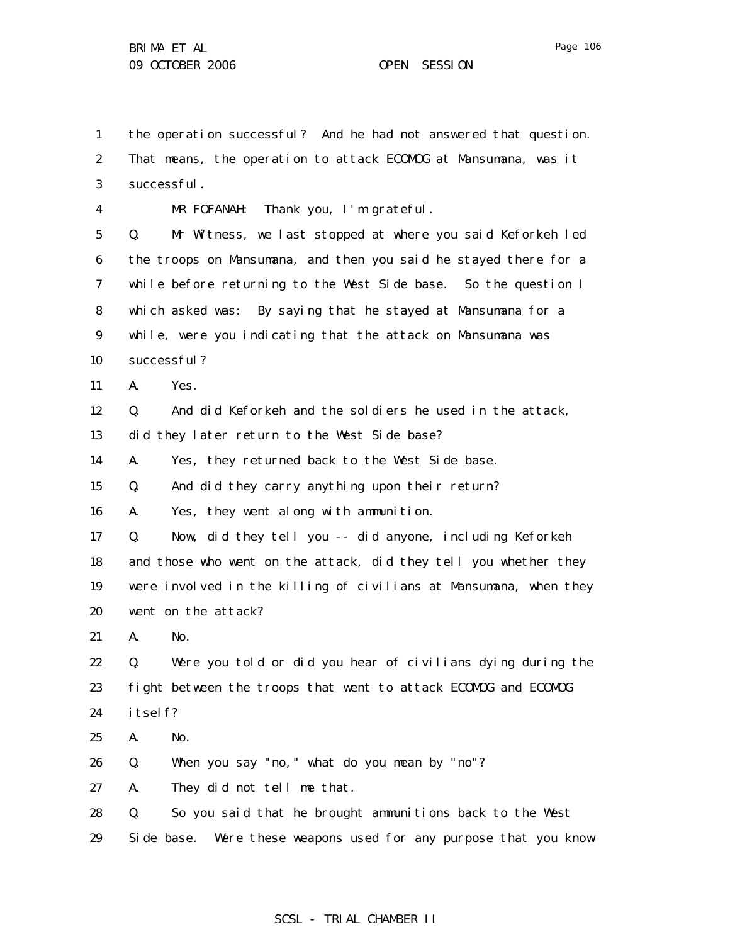1 the operation successful? And he had not answered that question.

2 3 4 5 6 7 8 9 10 11 12 13 14 15 16 17 18 19 20 21 22 23 24 25 26 27 28 That means, the operation to attack ECOMOG at Mansumana, was it successful. MR FOFANAH: Thank you, I'm grateful. Q. Mr Witness, we last stopped at where you said Keforkeh led the troops on Mansumana, and then you said he stayed there for a while before returning to the West Side base. So the question I which asked was: By saying that he stayed at Mansumana for a while, were you indicating that the attack on Mansumana was successful? A. Yes. Q. And did Keforkeh and the soldiers he used in the attack, did they later return to the West Side base? A. Yes, they returned back to the West Side base. Q. And did they carry anything upon their return? A. Yes, they went along with ammunition. Q. Now, did they tell you -- did anyone, including Keforkeh and those who went on the attack, did they tell you whether they were involved in the killing of civilians at Mansumana, when they went on the attack? A. No. Q. Were you told or did you hear of civilians dying during the fight between the troops that went to attack ECOMOG and ECOMOG itself? A. No. Q. When you say "no," what do you mean by "no"? A. They did not tell me that. Q. So you said that he brought ammunitions back to the West

29 Side base. Were these weapons used for any purpose that you know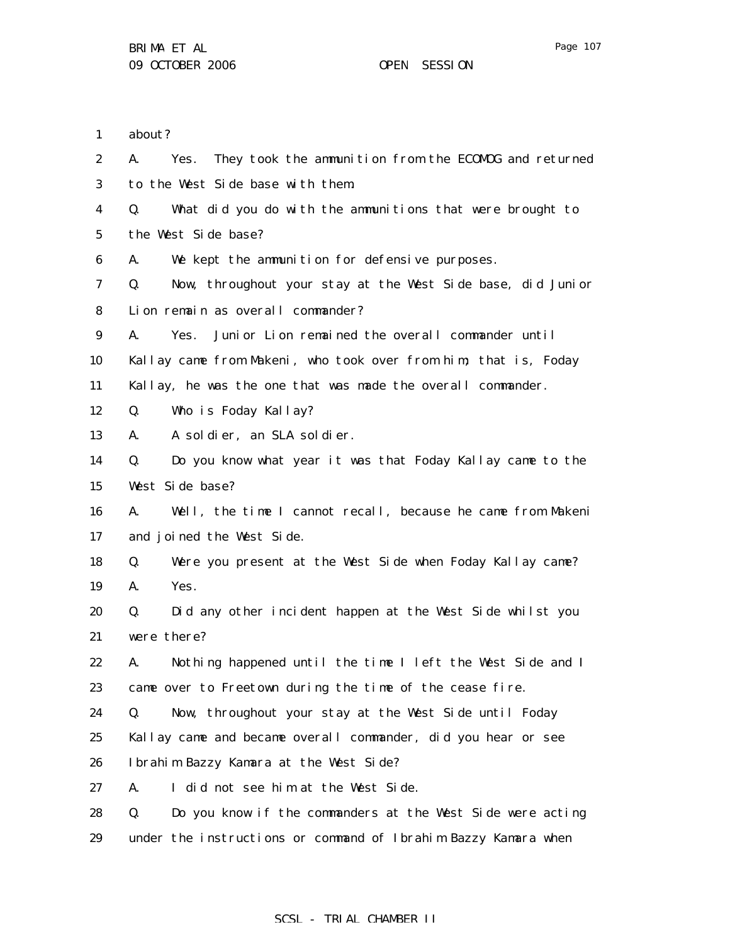| $\mathbf{1}$     | about?                                                              |
|------------------|---------------------------------------------------------------------|
| $\boldsymbol{2}$ | A.<br>They took the ammunition from the ECOMOG and returned<br>Yes. |
| 3                | to the West Side base with them.                                    |
| 4                | What did you do with the ammunitions that were brought to<br>Q.     |
| $\mathbf 5$      | the West Side base?                                                 |
| 6                | We kept the ammunition for defensive purposes.<br>A.                |
| 7                | Now, throughout your stay at the West Side base, did Junior<br>Q.   |
| 8                | Lion remain as overall commander?                                   |
| $\boldsymbol{9}$ | Junior Lion remained the overall commander until<br>A.<br>Yes.      |
| 10               | Kallay came from Makeni, who took over from him; that is, Foday     |
| 11               | Kallay, he was the one that was made the overall commander.         |
| 12               | Who is Foday Kallay?<br>Q.                                          |
| 13               | A soldier, an SLA soldier.<br>А.                                    |
| 14               | Do you know what year it was that Foday Kallay came to the<br>Q.    |
| 15               | West Side base?                                                     |
| 16               | Well, the time I cannot recall, because he came from Makeni<br>A.   |
| 17               | and joined the West Side.                                           |
| 18               | Were you present at the West Side when Foday Kallay came?<br>Q.     |
| 19               | Yes.<br>A.                                                          |
| 20               | Did any other incident happen at the West Side whilst you<br>Q.     |
| 21               | were there?                                                         |
| 22               | A. Nothing happened until the time I left the West Side and I       |
| 23               | came over to Freetown during the time of the cease fire.            |
| 24               | Now, throughout your stay at the West Side until Foday<br>Q.        |
| 25               | Kallay came and became overall commander, did you hear or see       |
| 26               | Ibrahim Bazzy Kamara at the West Side?                              |
| 27               | I did not see him at the West Side.<br>A.                           |
| 28               | Do you know if the commanders at the West Side were acting<br>Q.    |
| 29               | under the instructions or command of Ibrahim Bazzy Kamara when      |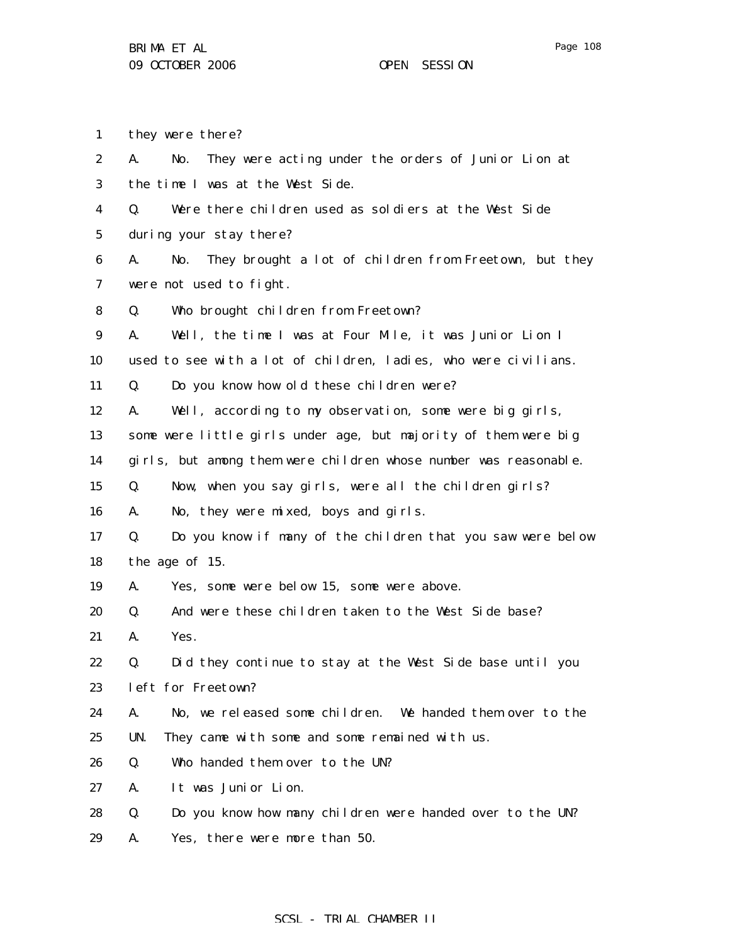Page 108

1 they were there?

| 2                | They were acting under the orders of Junior Lion at<br>No.<br>A.    |
|------------------|---------------------------------------------------------------------|
| 3                | the time I was at the West Side.                                    |
| 4                | Were there children used as soldiers at the West Side<br>Q.         |
| $\bf 5$          | during your stay there?                                             |
| 6                | They brought a lot of children from Freetown, but they<br>A.<br>No. |
| 7                | were not used to fight.                                             |
| 8                | Who brought children from Freetown?<br>Q.                           |
| $\boldsymbol{9}$ | Well, the time I was at Four Mile, it was Junior Lion I<br>A.       |
| 10               | used to see with a lot of children, ladies, who were civilians.     |
| 11               | Do you know how old these children were?<br>Q.                      |
| 12               | Well, according to my observation, some were big girls,<br>A.       |
| 13               | some were little girls under age, but majority of them were big     |
| 14               | girls, but among them were children whose number was reasonable.    |
| 15               | Now, when you say girls, were all the children girls?<br>Q.         |
| 16               | No, they were mixed, boys and girls.<br>A.                          |
| 17               | Do you know if many of the children that you saw were below<br>Q.   |
| 18               | the age of 15.                                                      |
| 19               | A.<br>Yes, some were below 15, some were above.                     |
| 20               | And were these children taken to the West Side base?<br>Q.          |
| 21               | Yes.<br>A.                                                          |
| 22               | Did they continue to stay at the West Side base until you<br>Q.     |
| 23               | left for Freetown?                                                  |
| 24               | No, we released some children. We handed them over to the<br>A.     |
| 25               | UN.<br>They came with some and some remained with us.               |
| 26               | Who handed them over to the UN?<br>Q.                               |
| 27               | A.<br>It was Junior Lion.                                           |
| 28               | Do you know how many children were handed over to the UN?<br>Q.     |

29 A. Yes, there were more than 50.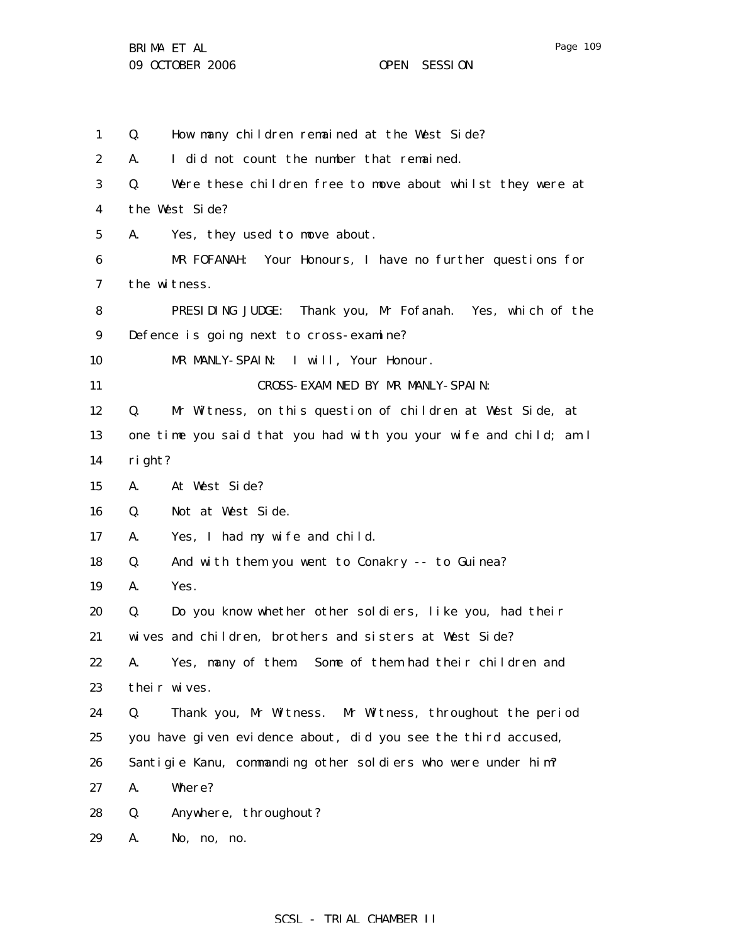the West Side?

Q. How many children remained at the West Side? A. I did not count the number that remained. Q. Were these children free to move about whilst they were at MR FOFANAH: Your Honours, I have no further questions for

7 the witness.

1

2

3

4

5

6

- 8 9 PRESIDING JUDGE: Thank you, Mr Fofanah. Yes, which of the Defence is going next to cross-examine?
- 10 MR MANLY-SPAIN: I will, Your Honour.

A. Yes, they used to move about.

- 11 CROSS-EXAMINED BY MR MANLY-SPAIN:
- 12 Q. Mr Witness, on this question of children at West Side, at
- 13 14 one time you said that you had with you your wife and child; am I right?
- 15 A. At West Side?
- 16 Q. Not at West Side.
- 17 A. Yes, I had my wife and child.
- 18 Q. And with them you went to Conakry -- to Guinea?
- 19 A. Yes.
- 20 21 Q. Do you know whether other soldiers, like you, had their wives and children, brothers and sisters at West Side?
- 22 23 A. Yes, many of them. Some of them had their children and their wives.
- 24 25 26 Q. Thank you, Mr Witness. Mr Witness, throughout the period you have given evidence about, did you see the third accused, Santigie Kanu, commanding other soldiers who were under him?
- 27 A. Where?
- 28 Q. Anywhere, throughout?
- 29 A. No, no, no.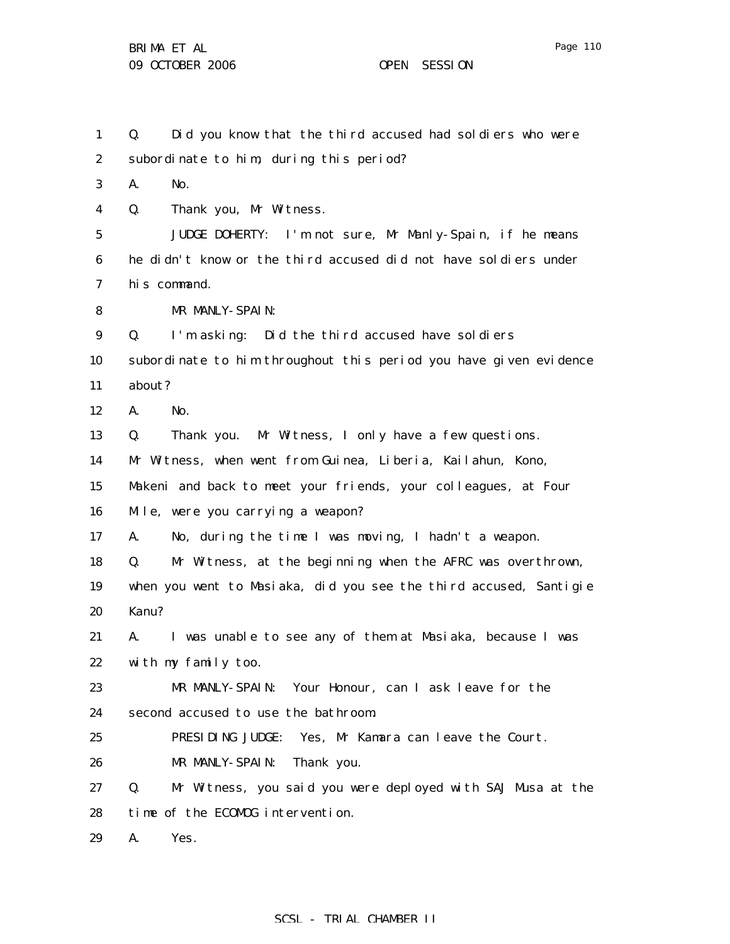29

A. Yes.

1 2 3 4 5 6 7 8 9 10 11 12 13 14 15 16 17 18 19 20 21 22 23 24 25 26 27 28 Q. Did you know that the third accused had soldiers who were subordinate to him, during this period? A. No. Q. Thank you, Mr Witness. JUDGE DOHERTY: I'm not sure, Mr Manly-Spain, if he means he didn't know or the third accused did not have soldiers under his command. MR MANLY-SPAIN: Q. I'm asking: Did the third accused have soldiers subordinate to him throughout this period you have given evidence about? A. No. Q. Thank you. Mr Witness, I only have a few questions. Mr Witness, when went from Guinea, Liberia, Kailahun, Kono, Makeni and back to meet your friends, your colleagues, at Four Mile, were you carrying a weapon? A. No, during the time I was moving, I hadn't a weapon. Q. Mr Witness, at the beginning when the AFRC was overthrown, when you went to Masiaka, did you see the third accused, Santigie Kanu? A. I was unable to see any of them at Masiaka, because I was with my family too. MR MANLY-SPAIN: Your Honour, can I ask leave for the second accused to use the bathroom. PRESIDING JUDGE: Yes, Mr Kamara can leave the Court. MR MANLY-SPAIN: Thank you. Q. Mr Witness, you said you were deployed with SAJ Musa at the time of the ECOMOG intervention.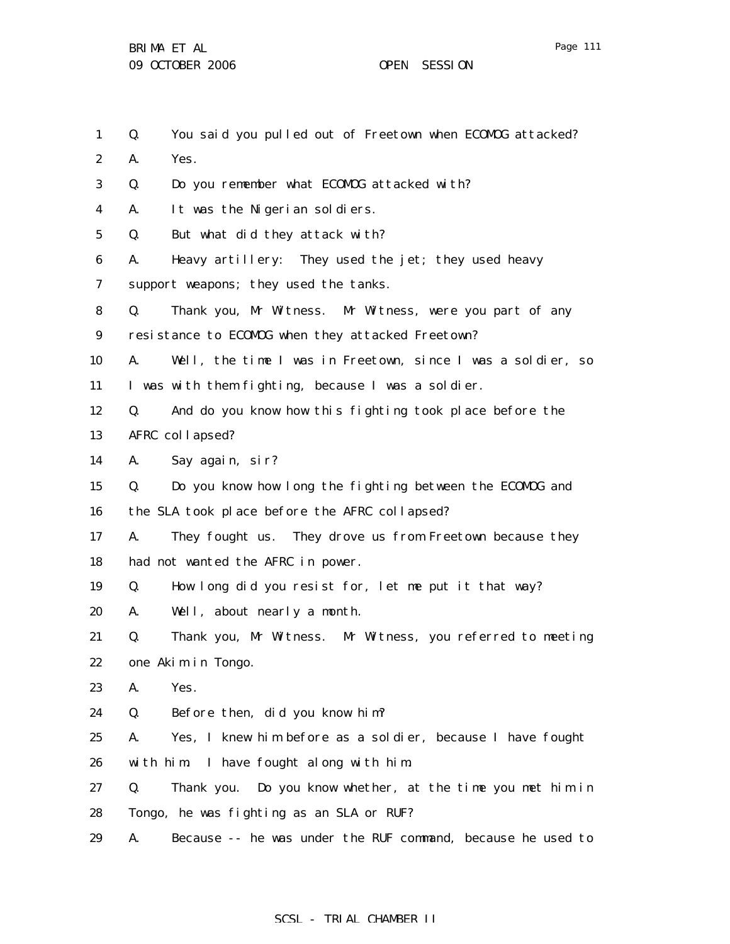| $\mathbf{1}$     | You said you pulled out of Freetown when ECOMDG attacked?<br>Q.   |
|------------------|-------------------------------------------------------------------|
| $\boldsymbol{2}$ | Yes.<br>A.                                                        |
| 3                | Do you remember what ECOMDG attacked with?<br>Q.                  |
| 4                | It was the Nigerian soldiers.<br>A.                               |
| $\mathbf 5$      | But what did they attack with?<br>Q.                              |
| 6                | Heavy artillery: They used the jet; they used heavy<br>A.         |
| 7                | support weapons; they used the tanks.                             |
| 8                | Thank you, Mr Witness. Mr Witness, were you part of any<br>Q.     |
| 9                | resistance to ECOMOG when they attacked Freetown?                 |
| 10               | A.<br>Well, the time I was in Freetown, since I was a soldier, so |
| 11               | I was with them fighting, because I was a soldier.                |
| 12               | And do you know how this fighting took place before the<br>Q.     |
| 13               | AFRC collapsed?                                                   |
| 14               | A.<br>Say again, sir?                                             |
| 15               | Do you know how long the fighting between the ECOMDG and<br>Q.    |
| 16               | the SLA took place before the AFRC collapsed?                     |
| 17               | A.<br>They fought us. They drove us from Freetown because they    |
| 18               | had not wanted the AFRC in power.                                 |
| 19               | How long did you resist for, let me put it that way?<br>Q.        |
| 20               | Well, about nearly a month.<br>A.                                 |
| 21               | Thank you, Mr Witness. Mr Witness, you referred to meeting<br>Q.  |
| 22               | one Akim in Tongo.                                                |
| 23               | A.<br>Yes.                                                        |
| 24               | Before then, did you know him?<br>Q.                              |
| 25               | Yes, I knew him before as a soldier, because I have fought<br>A.  |
| 26               | I have fought along with him.<br>with him.                        |
| 27               | Thank you. Do you know whether, at the time you met him in<br>Q.  |
| 28               | Tongo, he was fighting as an SLA or RUF?                          |
| 29               | Because -- he was under the RUF command, because he used to<br>A. |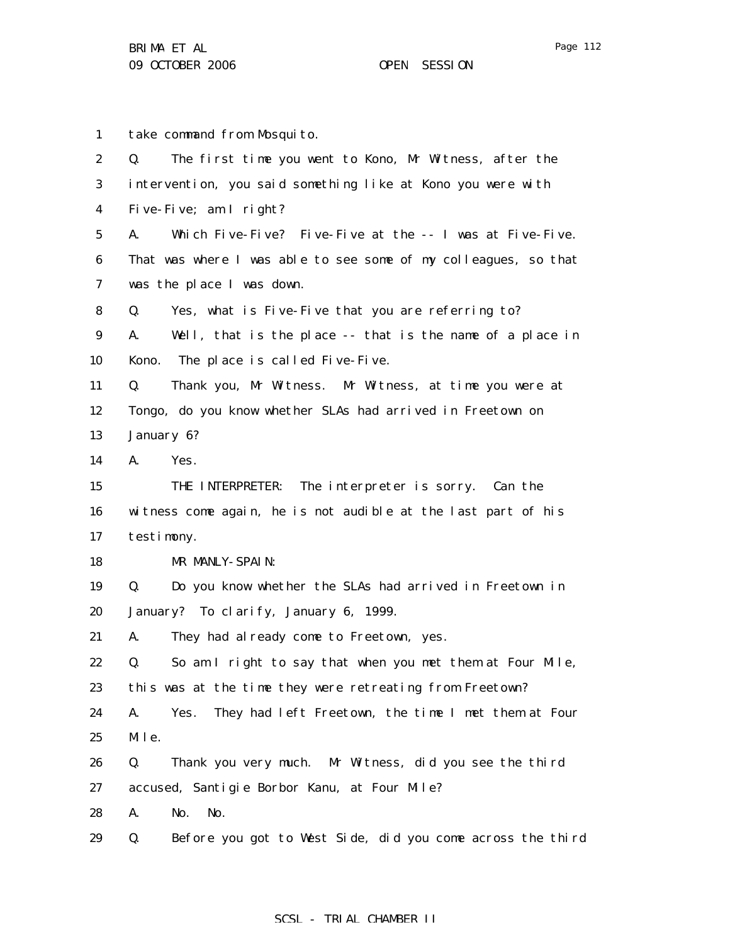1 2 3 4 5 6 7 8 9 10 11 12 13 14 15 16 17 18 19 20 21 22 23 24 25 26 27 28 take command from Mosquito. Q. The first time you went to Kono, Mr Witness, after the intervention, you said something like at Kono you were with Five-Five; am I right? A. Which Five-Five? Five-Five at the -- I was at Five-Five. That was where I was able to see some of my colleagues, so that was the place I was down. Q. Yes, what is Five-Five that you are referring to? A. Well, that is the place -- that is the name of a place in Kono. The place is called Five-Five. Q. Thank you, Mr Witness. Mr Witness, at time you were at Tongo, do you know whether SLAs had arrived in Freetown on January 6? A. Yes. THE INTERPRETER: The interpreter is sorry. Can the witness come again, he is not audible at the last part of his testimony. MR MANLY-SPAIN: Q. Do you know whether the SLAs had arrived in Freetown in January? To clarify, January 6, 1999. A. They had already come to Freetown, yes. Q. So am I right to say that when you met them at Four Mile, this was at the time they were retreating from Freetown? A. Yes. They had left Freetown, the time I met them at Four Mile. Q. Thank you very much. Mr Witness, did you see the third accused, Santigie Borbor Kanu, at Four Mile? A. No. No.

29 Q. Before you got to West Side, did you come across the third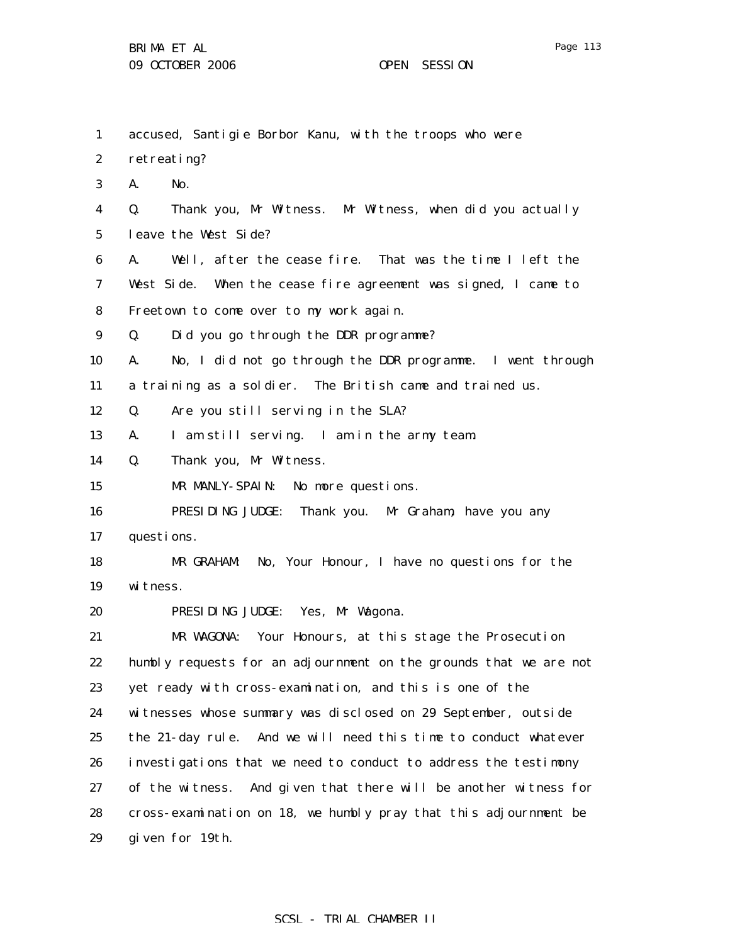| $\mathbf{1}$     | accused, Santigie Borbor Kanu, with the troops who were             |
|------------------|---------------------------------------------------------------------|
| $\boldsymbol{2}$ | retreating?                                                         |
| $\bf{3}$         | No.<br>A.                                                           |
| $\boldsymbol{4}$ | Thank you, Mr Witness. Mr Witness, when did you actually<br>Q.      |
| $\bf{5}$         | leave the West Side?                                                |
| 6                | A.<br>Well, after the cease fire. That was the time I left the      |
| 7                | West Side. When the cease fire agreement was signed, I came to      |
| 8                | Freetown to come over to my work again.                             |
| $\boldsymbol{9}$ | Did you go through the DDR programme?<br>Q.                         |
| 10               | No, I did not go through the DDR programme. I went through<br>A.    |
| 11               | a training as a soldier. The British came and trained us.           |
| 12               | Are you still serving in the SLA?<br>Q.                             |
| 13               | I am still serving. I am in the army team.<br>A.                    |
| 14               | Q.<br>Thank you, Mr Witness.                                        |
| 15               | MR MANLY-SPAIN: No more questions.                                  |
| 16               | PRESIDING JUDGE: Thank you. Mr Graham, have you any                 |
| 17               | questions.                                                          |
| 18               | MR GRAHAM: No, Your Honour, I have no questions for the             |
| 19               | witness.                                                            |
| 20               | PRESIDING JUDGE: Yes, Mr Wagona.                                    |
| 21               | MR WAGONA: Your Honours, at this stage the Prosecution              |
| 22               | humbly requests for an adjournment on the grounds that we are not   |
| 23               | yet ready with cross-examination, and this is one of the            |
| 24               | witnesses whose summary was disclosed on 29 September, outside      |
| 25               | the 21-day rule. And we will need this time to conduct whatever     |
| 26               | investigations that we need to conduct to address the testimony     |
| 27               | And given that there will be another witness for<br>of the witness. |
| 28               | cross-examination on 18, we humbly pray that this adjournment be    |
| 29               | given for 19th.                                                     |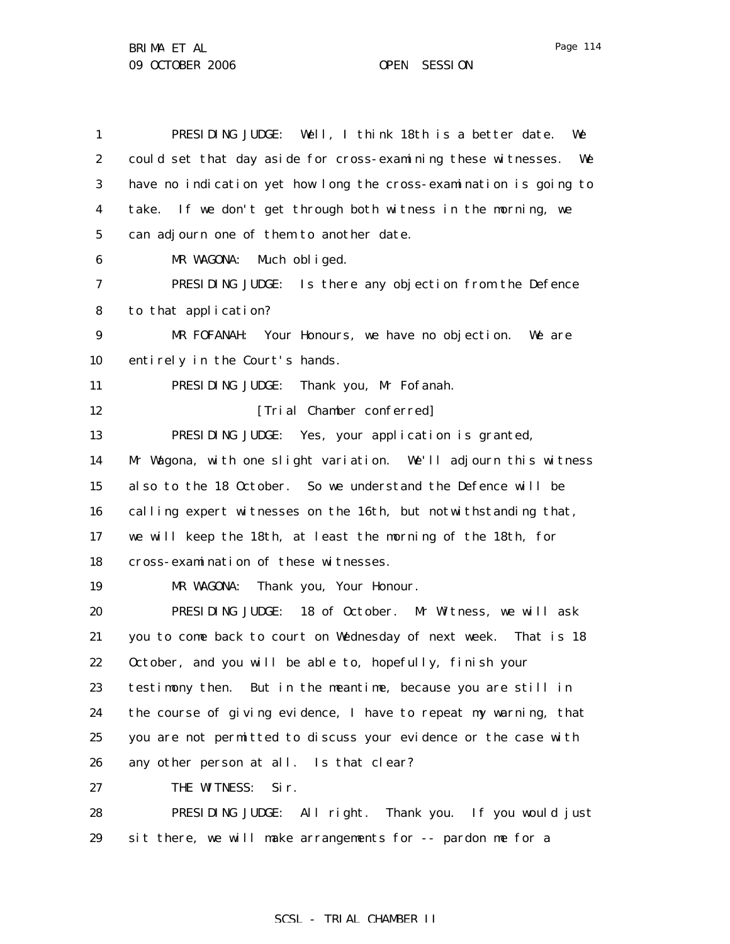| $\mathbf{1}$     | PRESIDING JUDGE: Well, I think 18th is a better date.<br>We         |
|------------------|---------------------------------------------------------------------|
| $\boldsymbol{2}$ | could set that day aside for cross-examining these witnesses.<br>We |
| 3                | have no indication yet how long the cross-examination is going to   |
| $\boldsymbol{4}$ | take. If we don't get through both witness in the morning, we       |
| $\mathbf 5$      | can adjourn one of them to another date.                            |
| 6                | MR WAGONA:<br>Much obliged.                                         |
| 7                | PRESIDING JUDGE: Is there any objection from the Defence            |
| 8                | to that application?                                                |
| 9                | MR FOFANAH: Your Honours, we have no objection.<br>We are           |
| 10               | entirely in the Court's hands.                                      |
| 11               | Thank you, Mr Fofanah.<br>PRESIDING JUDGE:                          |
| 12               | [Trial Chamber conferred]                                           |
| 13               | PRESIDING JUDGE: Yes, your application is granted,                  |
| 14               | Mr Wagona, with one slight variation. We'll adjourn this witness    |
| 15               | also to the 18 October. So we understand the Defence will be        |
| 16               | calling expert witnesses on the 16th, but notwithstanding that,     |
| 17               | we will keep the 18th, at least the morning of the 18th, for        |
| 18               | cross-examination of these witnesses.                               |
| 19               | Thank you, Your Honour.<br>MR WAGONA:                               |
| 20               | PRESIDING JUDGE: 18 of October. Mr Witness, we will ask             |
| 21               | you to come back to court on Wednesday of next week. That is 18     |
| 22               | October, and you will be able to, hopefully, finish your            |
| 23               | testimony then. But in the meantime, because you are still in       |
| 24               | the course of giving evidence, I have to repeat my warning, that    |
| 25               | you are not permitted to discuss your evidence or the case with     |
| 26               | any other person at all. Is that clear?                             |
| 27               | THE WITNESS:<br>Sir.                                                |
| 28               | PRESIDING JUDGE: All right. Thank you. If you would just            |
| 29               | sit there, we will make arrangements for -- pardon me for a         |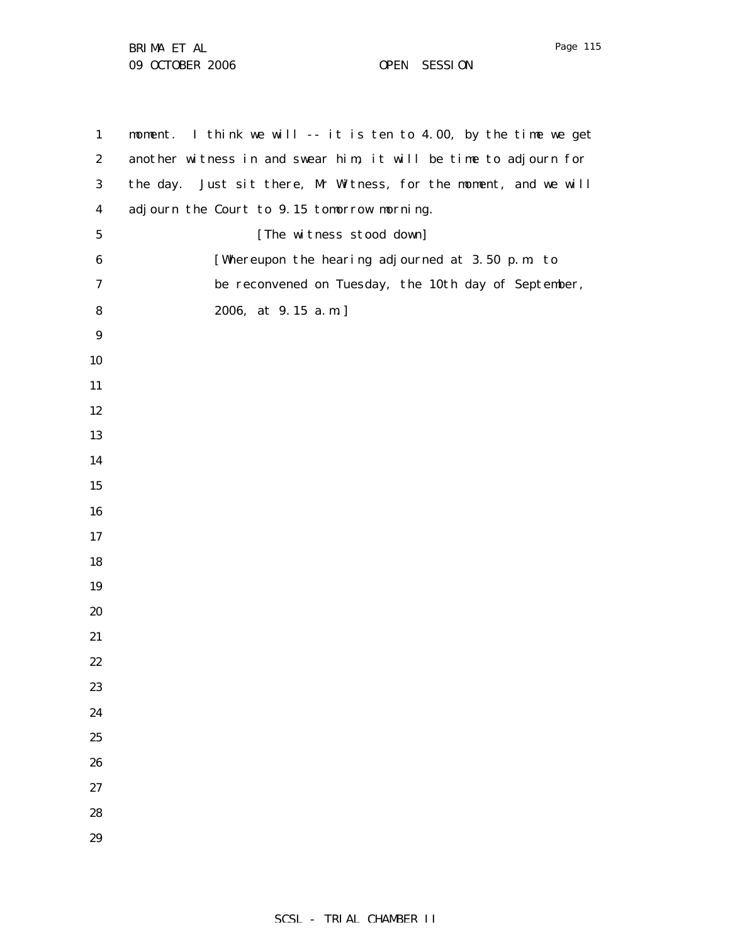BRIMA ET AL 09 OCTOBER 2006 OPEN SESSION

 moment. I think we will -- it is ten to 4.00, by the time we get another witness in and swear him, it will be time to adjourn for the day. Just sit there, Mr Witness, for the moment, and we will adjourn the Court to 9.15 tomorrow morning. [The witness stood down] [Whereupon the hearing adjourned at 3.50 p.m. to be reconvened on Tuesday, the 10th day of September, 2006, at 9.15 a.m.]

Page 115